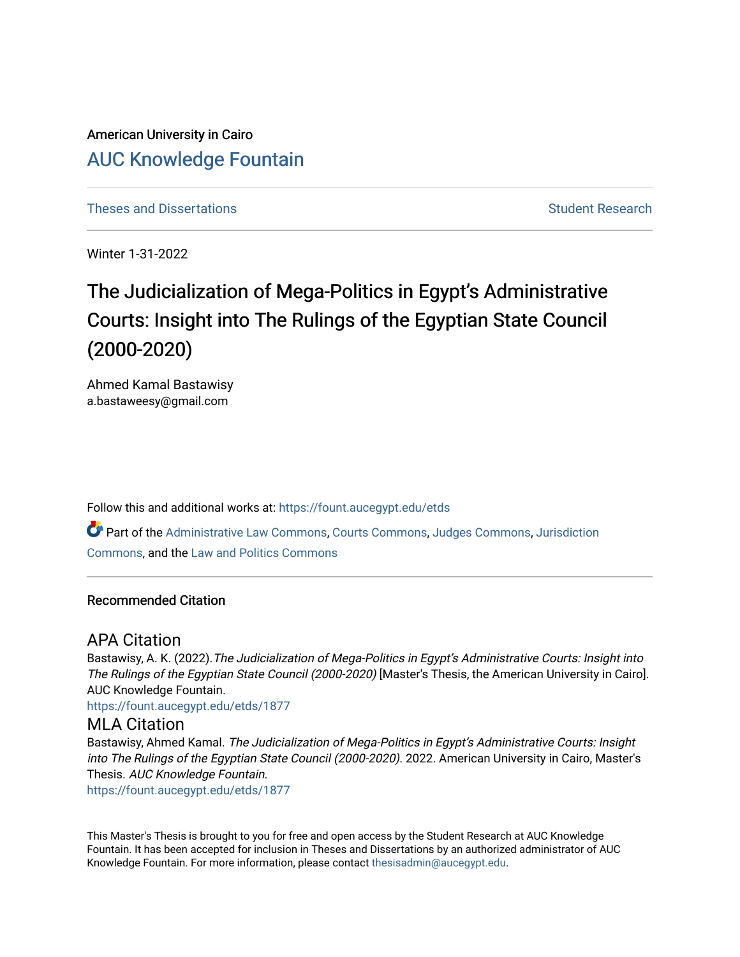American University in Cairo [AUC Knowledge Fountain](https://fount.aucegypt.edu/) 

[Theses and Dissertations](https://fount.aucegypt.edu/etds) [Student Research](https://fount.aucegypt.edu/student_research) Student Research

Winter 1-31-2022

# The Judicialization of Mega-Politics in Egypt's Administrative Courts: Insight into The Rulings of the Egyptian State Council (2000-2020)

Ahmed Kamal Bastawisy a.bastaweesy@gmail.com

Follow this and additional works at: [https://fount.aucegypt.edu/etds](https://fount.aucegypt.edu/etds?utm_source=fount.aucegypt.edu%2Fetds%2F1877&utm_medium=PDF&utm_campaign=PDFCoverPages)  Part of the [Administrative Law Commons,](http://network.bepress.com/hgg/discipline/579?utm_source=fount.aucegypt.edu%2Fetds%2F1877&utm_medium=PDF&utm_campaign=PDFCoverPages) [Courts Commons,](http://network.bepress.com/hgg/discipline/839?utm_source=fount.aucegypt.edu%2Fetds%2F1877&utm_medium=PDF&utm_campaign=PDFCoverPages) [Judges Commons](http://network.bepress.com/hgg/discipline/849?utm_source=fount.aucegypt.edu%2Fetds%2F1877&utm_medium=PDF&utm_campaign=PDFCoverPages), [Jurisdiction](http://network.bepress.com/hgg/discipline/850?utm_source=fount.aucegypt.edu%2Fetds%2F1877&utm_medium=PDF&utm_campaign=PDFCoverPages)  [Commons](http://network.bepress.com/hgg/discipline/850?utm_source=fount.aucegypt.edu%2Fetds%2F1877&utm_medium=PDF&utm_campaign=PDFCoverPages), and the [Law and Politics Commons](http://network.bepress.com/hgg/discipline/867?utm_source=fount.aucegypt.edu%2Fetds%2F1877&utm_medium=PDF&utm_campaign=PDFCoverPages) 

#### Recommended Citation

# APA Citation

Bastawisy, A. K. (2022).The Judicialization of Mega-Politics in Egypt's Administrative Courts: Insight into The Rulings of the Egyptian State Council (2000-2020) [Master's Thesis, the American University in Cairo]. AUC Knowledge Fountain.

[https://fount.aucegypt.edu/etds/1877](https://fount.aucegypt.edu/etds/1877?utm_source=fount.aucegypt.edu%2Fetds%2F1877&utm_medium=PDF&utm_campaign=PDFCoverPages)

# MLA Citation

Bastawisy, Ahmed Kamal. The Judicialization of Mega-Politics in Egypt's Administrative Courts: Insight into The Rulings of the Egyptian State Council (2000-2020). 2022. American University in Cairo, Master's Thesis. AUC Knowledge Fountain.

[https://fount.aucegypt.edu/etds/1877](https://fount.aucegypt.edu/etds/1877?utm_source=fount.aucegypt.edu%2Fetds%2F1877&utm_medium=PDF&utm_campaign=PDFCoverPages)

This Master's Thesis is brought to you for free and open access by the Student Research at AUC Knowledge Fountain. It has been accepted for inclusion in Theses and Dissertations by an authorized administrator of AUC Knowledge Fountain. For more information, please contact [thesisadmin@aucegypt.edu.](mailto:thesisadmin@aucegypt.edu)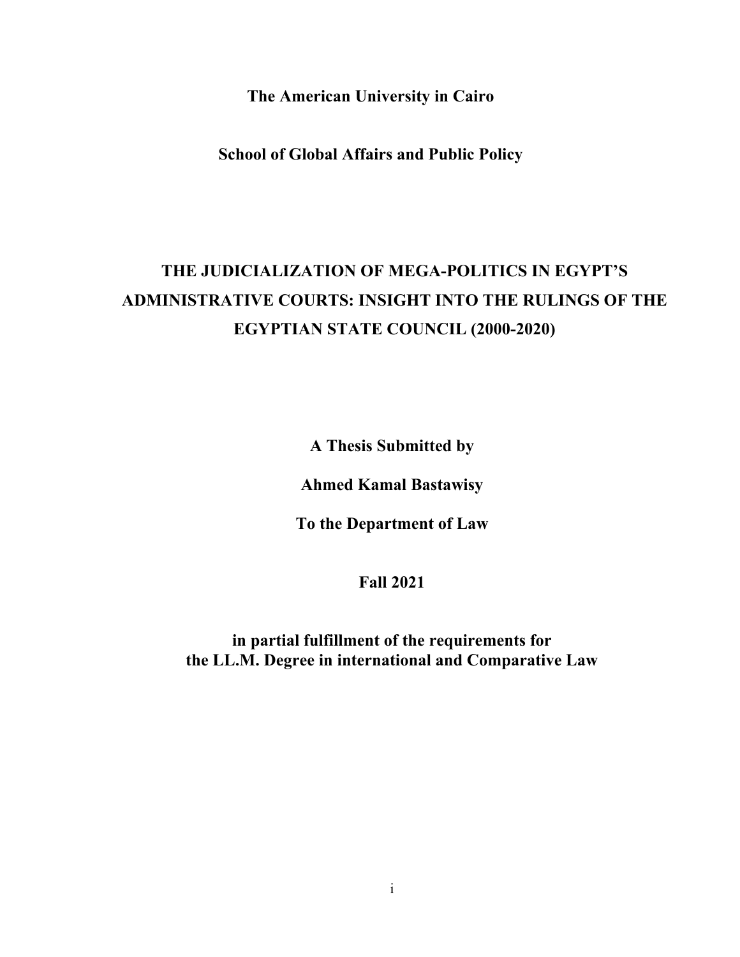**The American University in Cairo** 

**School of Global Affairs and Public Policy** 

# **THE JUDICIALIZATION OF MEGA-POLITICS IN EGYPT'S ADMINISTRATIVE COURTS: INSIGHT INTO THE RULINGS OF THE EGYPTIAN STATE COUNCIL (2000-2020)**

**A Thesis Submitted by** 

**Ahmed Kamal Bastawisy** 

**To the Department of Law** 

**Fall 2021** 

**in partial fulfillment of the requirements for the LL.M. Degree in international and Comparative Law**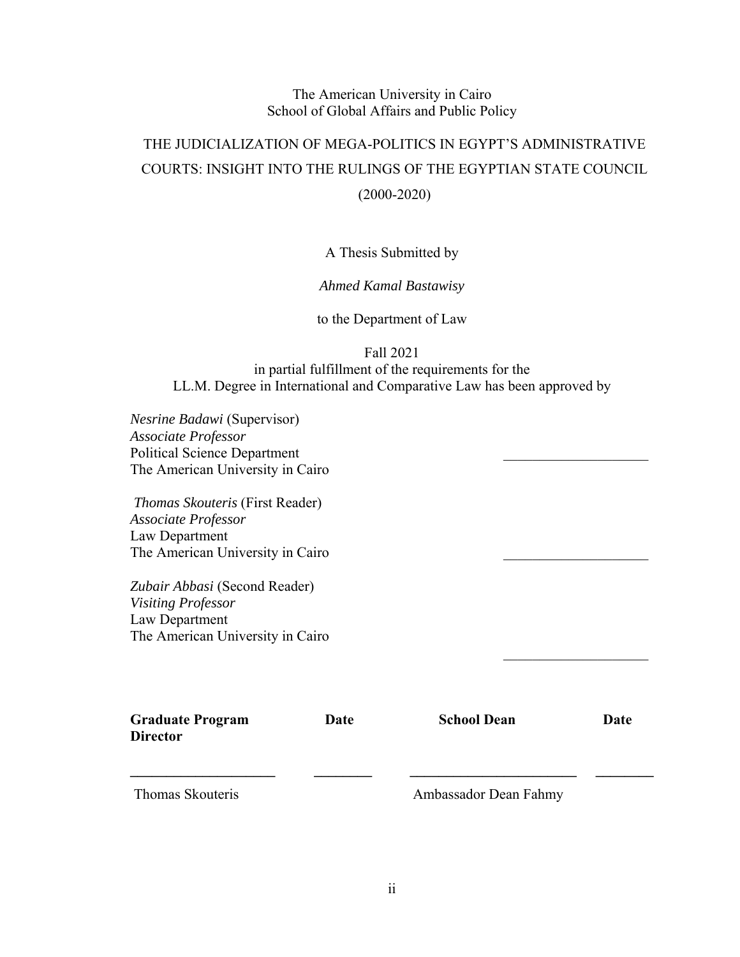# The American University in Cairo School of Global Affairs and Public Policy

# THE JUDICIALIZATION OF MEGA-POLITICS IN EGYPT'S ADMINISTRATIVE COURTS: INSIGHT INTO THE RULINGS OF THE EGYPTIAN STATE COUNCIL (2000-2020)

# A Thesis Submitted by

# *Ahmed Kamal Bastawisy*

to the Department of Law

Fall 2021

in partial fulfillment of the requirements for the LL.M. Degree in International and Comparative Law has been approved by

*Nesrine Badawi* (Supervisor) *Associate Professor* Political Science Department The American University in Cairo

 *Thomas Skouteris* (First Reader) *Associate Professor* Law Department The American University in Cairo

*Zubair Abbasi* (Second Reader) *Visiting Professor* Law Department The American University in Cairo

| <b>Graduate Program</b><br><b>Director</b> | Date | <b>School Dean</b>    | Date |
|--------------------------------------------|------|-----------------------|------|
| Thomas Skouteris                           |      | Ambassador Dean Fahmy |      |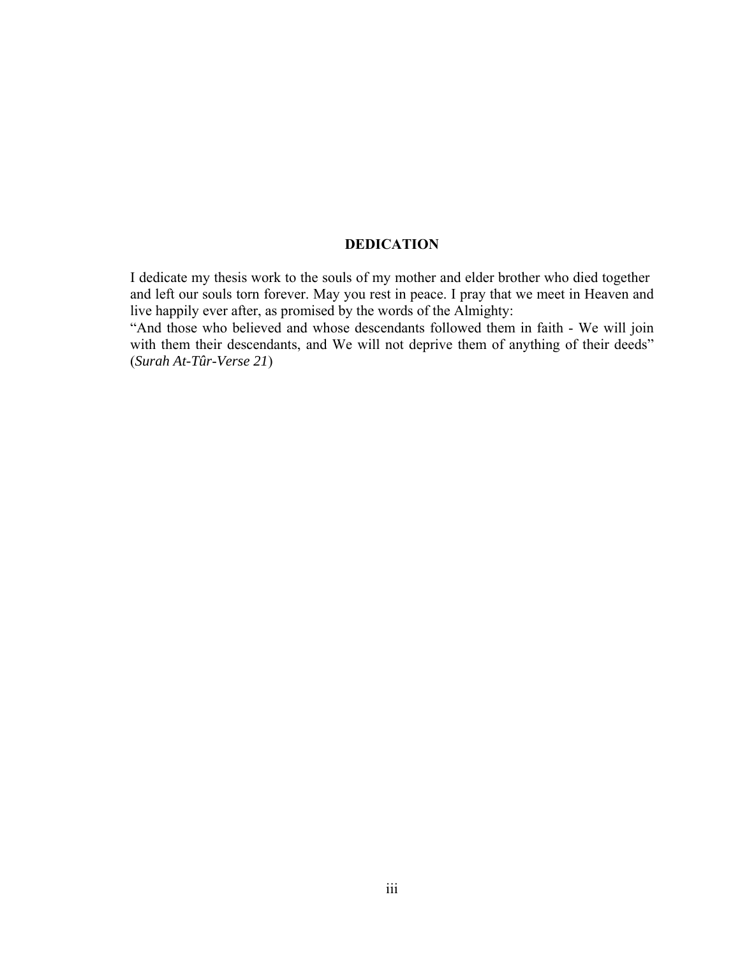#### **DEDICATION**

I dedicate my thesis work to the souls of my mother and elder brother who died together and left our souls torn forever. May you rest in peace. I pray that we meet in Heaven and live happily ever after, as promised by the words of the Almighty:

"And those who believed and whose descendants followed them in faith - We will join with them their descendants, and We will not deprive them of anything of their deeds" (*Surah At-Tûr*-*Verse 21*)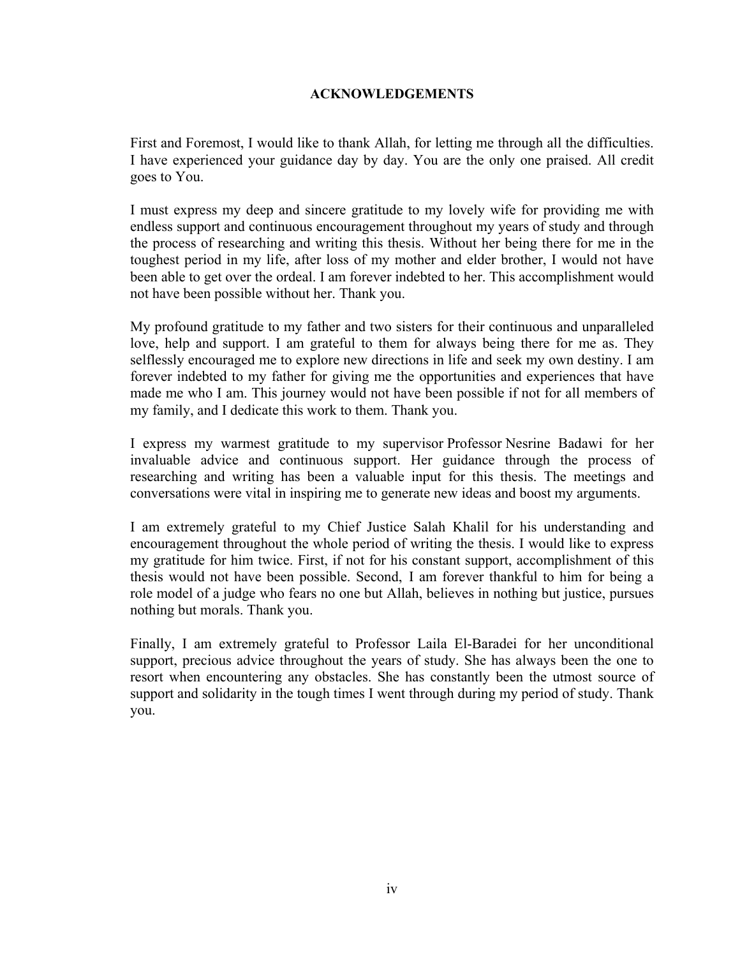### **ACKNOWLEDGEMENTS**

First and Foremost, I would like to thank Allah, for letting me through all the difficulties. I have experienced your guidance day by day. You are the only one praised. All credit goes to You.

I must express my deep and sincere gratitude to my lovely wife for providing me with endless support and continuous encouragement throughout my years of study and through the process of researching and writing this thesis. Without her being there for me in the toughest period in my life, after loss of my mother and elder brother, I would not have been able to get over the ordeal. I am forever indebted to her. This accomplishment would not have been possible without her. Thank you.

My profound gratitude to my father and two sisters for their continuous and unparalleled love, help and support. I am grateful to them for always being there for me as. They selflessly encouraged me to explore new directions in life and seek my own destiny. I am forever indebted to my father for giving me the opportunities and experiences that have made me who I am. This journey would not have been possible if not for all members of my family, and I dedicate this work to them. Thank you.

I express my warmest gratitude to my supervisor Professor Nesrine Badawi for her invaluable advice and continuous support. Her guidance through the process of researching and writing has been a valuable input for this thesis. The meetings and conversations were vital in inspiring me to generate new ideas and boost my arguments.

I am extremely grateful to my Chief Justice Salah Khalil for his understanding and encouragement throughout the whole period of writing the thesis. I would like to express my gratitude for him twice. First, if not for his constant support, accomplishment of this thesis would not have been possible. Second, I am forever thankful to him for being a role model of a judge who fears no one but Allah, believes in nothing but justice, pursues nothing but morals. Thank you.

Finally, I am extremely grateful to Professor Laila El-Baradei for her unconditional support, precious advice throughout the years of study. She has always been the one to resort when encountering any obstacles. She has constantly been the utmost source of support and solidarity in the tough times I went through during my period of study. Thank you.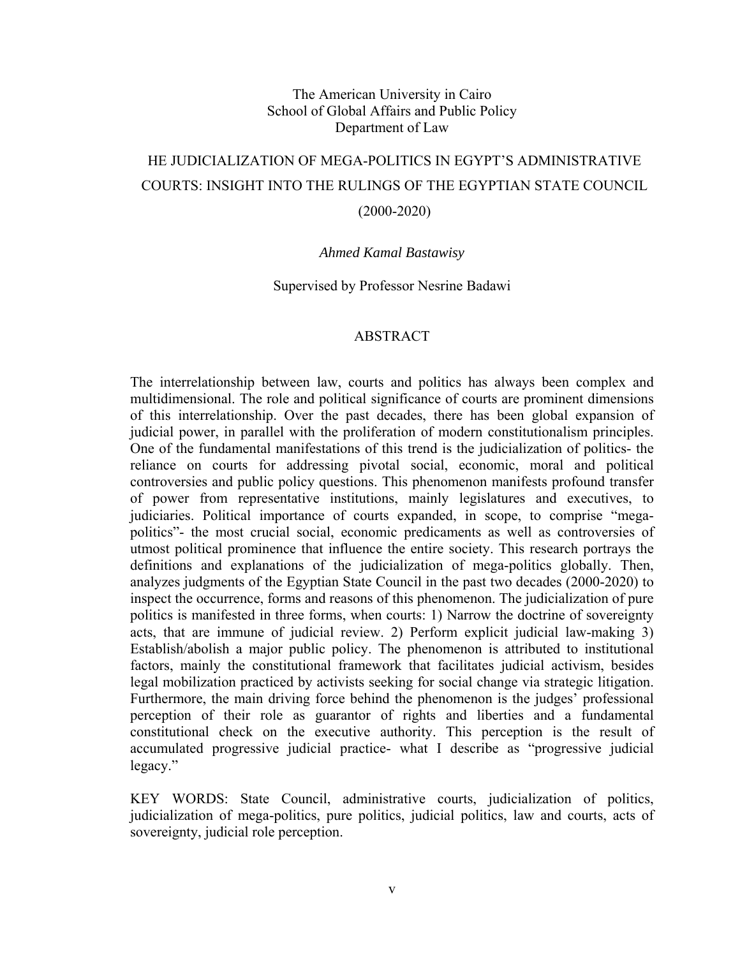## The American University in Cairo School of Global Affairs and Public Policy Department of Law

# HE JUDICIALIZATION OF MEGA-POLITICS IN EGYPT'S ADMINISTRATIVE COURTS: INSIGHT INTO THE RULINGS OF THE EGYPTIAN STATE COUNCIL (2000-2020)

#### *Ahmed Kamal Bastawisy*

#### Supervised by Professor Nesrine Badawi

#### ABSTRACT

The interrelationship between law, courts and politics has always been complex and multidimensional. The role and political significance of courts are prominent dimensions of this interrelationship. Over the past decades, there has been global expansion of judicial power, in parallel with the proliferation of modern constitutionalism principles. One of the fundamental manifestations of this trend is the judicialization of politics- the reliance on courts for addressing pivotal social, economic, moral and political controversies and public policy questions. This phenomenon manifests profound transfer of power from representative institutions, mainly legislatures and executives, to judiciaries. Political importance of courts expanded, in scope, to comprise "megapolitics"- the most crucial social, economic predicaments as well as controversies of utmost political prominence that influence the entire society. This research portrays the definitions and explanations of the judicialization of mega-politics globally. Then, analyzes judgments of the Egyptian State Council in the past two decades (2000-2020) to inspect the occurrence, forms and reasons of this phenomenon. The judicialization of pure politics is manifested in three forms, when courts: 1) Narrow the doctrine of sovereignty acts, that are immune of judicial review. 2) Perform explicit judicial law-making 3) Establish/abolish a major public policy. The phenomenon is attributed to institutional factors, mainly the constitutional framework that facilitates judicial activism, besides legal mobilization practiced by activists seeking for social change via strategic litigation. Furthermore, the main driving force behind the phenomenon is the judges' professional perception of their role as guarantor of rights and liberties and a fundamental constitutional check on the executive authority. This perception is the result of accumulated progressive judicial practice- what I describe as "progressive judicial legacy."

KEY WORDS: State Council, administrative courts, judicialization of politics, judicialization of mega-politics, pure politics, judicial politics, law and courts, acts of sovereignty, judicial role perception.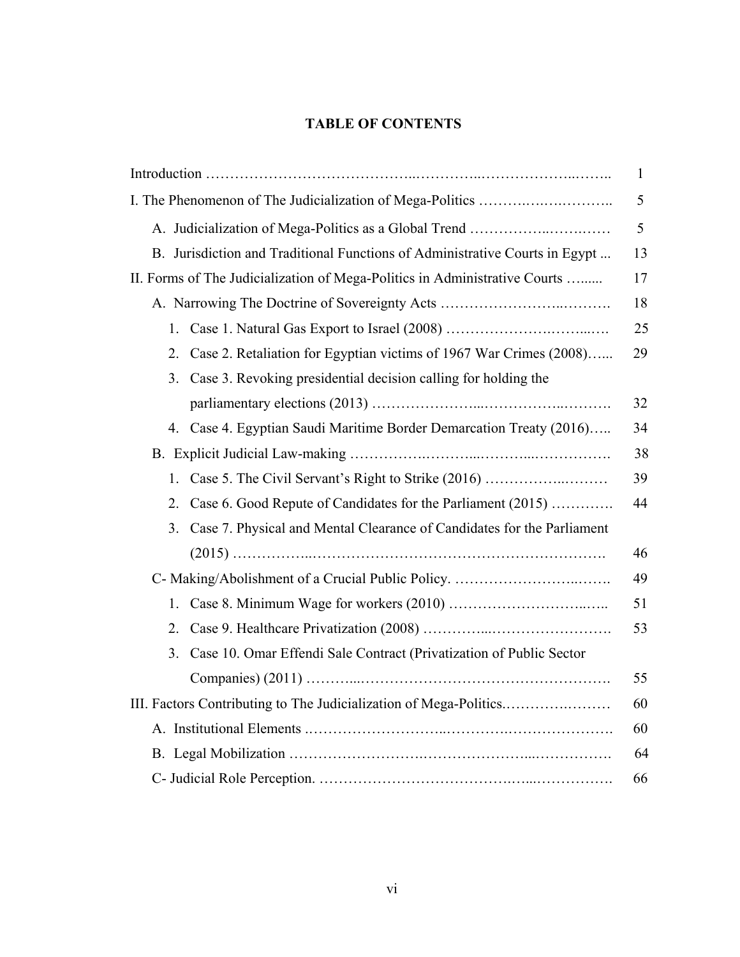# **TABLE OF CONTENTS**

|                                                                              | 1  |  |
|------------------------------------------------------------------------------|----|--|
|                                                                              | 5  |  |
| A. Judicialization of Mega-Politics as a Global Trend                        | 5  |  |
| B. Jurisdiction and Traditional Functions of Administrative Courts in Egypt  |    |  |
| II. Forms of The Judicialization of Mega-Politics in Administrative Courts   |    |  |
| A. Narrowing The Doctrine of Sovereignty Acts                                | 18 |  |
| 1.                                                                           | 25 |  |
| Case 2. Retaliation for Egyptian victims of 1967 War Crimes (2008)<br>2.     | 29 |  |
| Case 3. Revoking presidential decision calling for holding the<br>3.         |    |  |
|                                                                              | 32 |  |
| 4. Case 4. Egyptian Saudi Maritime Border Demarcation Treaty (2016)          | 34 |  |
|                                                                              |    |  |
| Case 5. The Civil Servant's Right to Strike (2016)<br>1.                     | 39 |  |
| Case 6. Good Repute of Candidates for the Parliament (2015)<br>2.            | 44 |  |
| Case 7. Physical and Mental Clearance of Candidates for the Parliament<br>3. |    |  |
|                                                                              | 46 |  |
| C- Making/Abolishment of a Crucial Public Policy.                            | 49 |  |
| 1.                                                                           | 51 |  |
| 2.                                                                           | 53 |  |
| Case 10. Omar Effendi Sale Contract (Privatization of Public Sector<br>3.    |    |  |
|                                                                              | 55 |  |
| III. Factors Contributing to The Judicialization of Mega-Politics            |    |  |
|                                                                              |    |  |
|                                                                              | 64 |  |
|                                                                              | 66 |  |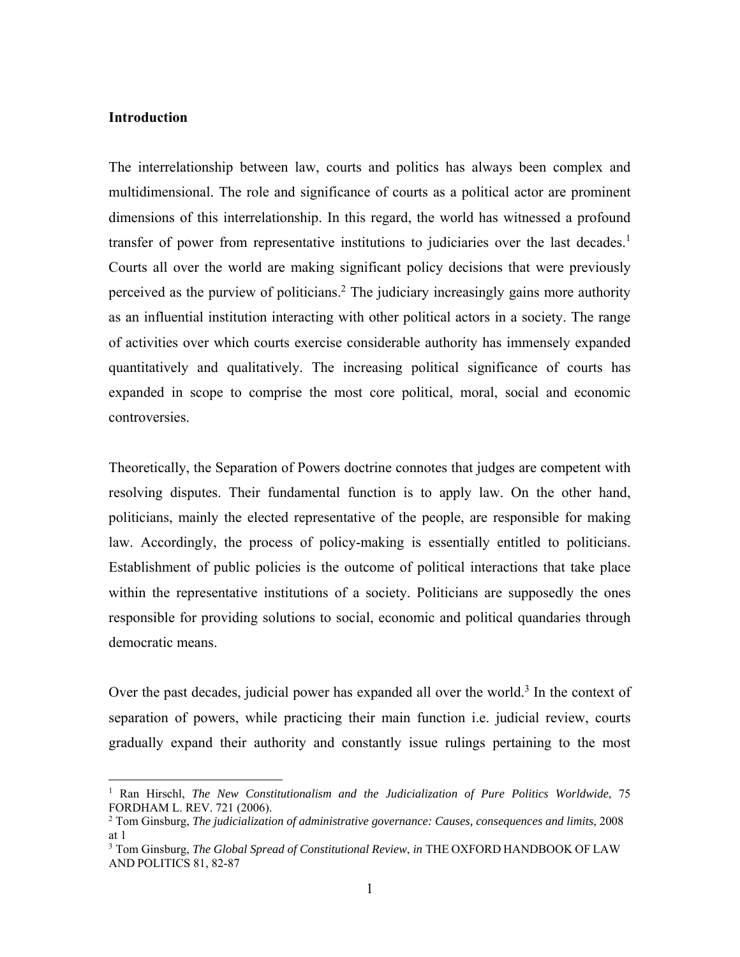#### **Introduction**

 $\overline{a}$ 

The interrelationship between law, courts and politics has always been complex and multidimensional. The role and significance of courts as a political actor are prominent dimensions of this interrelationship. In this regard, the world has witnessed a profound transfer of power from representative institutions to judiciaries over the last decades.<sup>1</sup> Courts all over the world are making significant policy decisions that were previously perceived as the purview of politicians.<sup>2</sup> The judiciary increasingly gains more authority as an influential institution interacting with other political actors in a society. The range of activities over which courts exercise considerable authority has immensely expanded quantitatively and qualitatively. The increasing political significance of courts has expanded in scope to comprise the most core political, moral, social and economic controversies.

Theoretically, the Separation of Powers doctrine connotes that judges are competent with resolving disputes. Their fundamental function is to apply law. On the other hand, politicians, mainly the elected representative of the people, are responsible for making law. Accordingly, the process of policy-making is essentially entitled to politicians. Establishment of public policies is the outcome of political interactions that take place within the representative institutions of a society. Politicians are supposedly the ones responsible for providing solutions to social, economic and political quandaries through democratic means.

Over the past decades, judicial power has expanded all over the world. $3$  In the context of separation of powers, while practicing their main function i.e. judicial review, courts gradually expand their authority and constantly issue rulings pertaining to the most

<sup>&</sup>lt;sup>1</sup> Ran Hirschl, *The New Constitutionalism and the Judicialization of Pure Politics Worldwide*, 75 FORDHAM L. REV. 721 (2006).

<sup>2</sup> Tom Ginsburg, *The judicialization of administrative governance: Causes, consequences and limits*, 2008 at 1

<sup>3</sup> Tom Ginsburg, *The Global Spread of Constitutional Review*, *in* THE OXFORD HANDBOOK OF LAW AND POLITICS 81, 82-87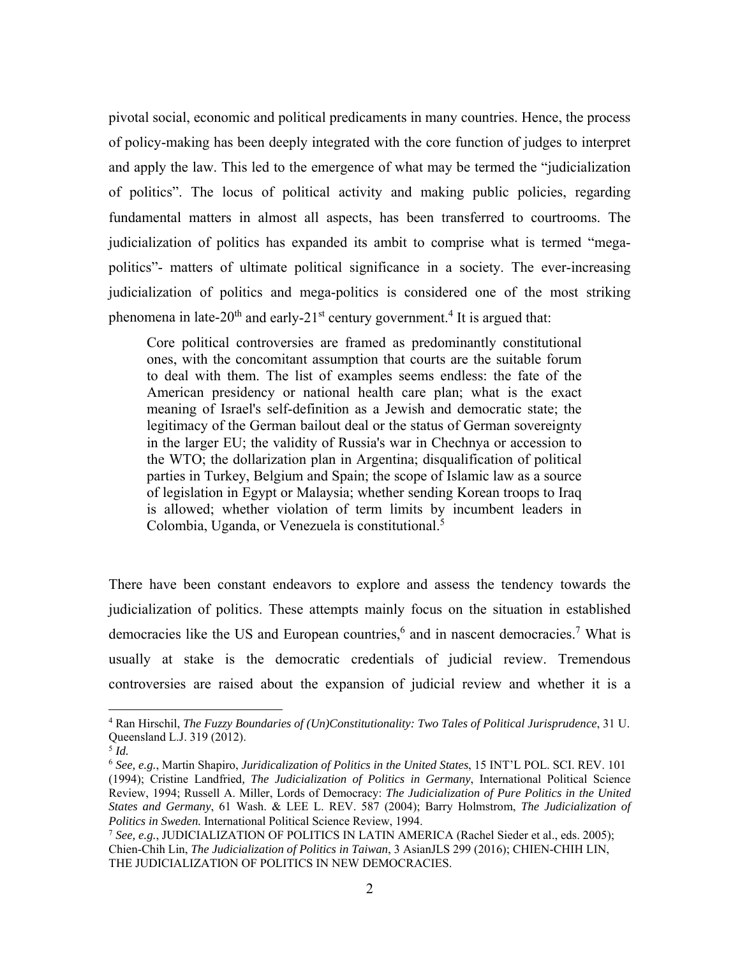pivotal social, economic and political predicaments in many countries. Hence, the process of policy-making has been deeply integrated with the core function of judges to interpret and apply the law. This led to the emergence of what may be termed the "judicialization of politics". The locus of political activity and making public policies, regarding fundamental matters in almost all aspects, has been transferred to courtrooms. The judicialization of politics has expanded its ambit to comprise what is termed "megapolitics"- matters of ultimate political significance in a society. The ever-increasing judicialization of politics and mega-politics is considered one of the most striking phenomena in late-20<sup>th</sup> and early-21<sup>st</sup> century government.<sup>4</sup> It is argued that:

Core political controversies are framed as predominantly constitutional ones, with the concomitant assumption that courts are the suitable forum to deal with them. The list of examples seems endless: the fate of the American presidency or national health care plan; what is the exact meaning of Israel's self-definition as a Jewish and democratic state; the legitimacy of the German bailout deal or the status of German sovereignty in the larger EU; the validity of Russia's war in Chechnya or accession to the WTO; the dollarization plan in Argentina; disqualification of political parties in Turkey, Belgium and Spain; the scope of Islamic law as a source of legislation in Egypt or Malaysia; whether sending Korean troops to Iraq is allowed; whether violation of term limits by incumbent leaders in Colombia, Uganda, or Venezuela is constitutional.<sup>5</sup>

There have been constant endeavors to explore and assess the tendency towards the judicialization of politics. These attempts mainly focus on the situation in established democracies like the US and European countries,<sup>6</sup> and in nascent democracies.<sup>7</sup> What is usually at stake is the democratic credentials of judicial review. Tremendous controversies are raised about the expansion of judicial review and whether it is a

1

<sup>4</sup> Ran Hirschil, *The Fuzzy Boundaries of (Un)Constitutionality: Two Tales of Political Jurisprudence*, 31 U. Queensland L.J. 319 (2012).

<sup>5</sup> *Id.*

<sup>6</sup> *See, e.g.*, Martin Shapiro, *Juridicalization of Politics in the United States*, 15 INT'L POL. SCI. REV. 101 (1994); Cristine Landfried*, The Judicialization of Politics in Germany*, International Political Science Review, 1994; Russell A. Miller, Lords of Democracy: *The Judicialization of Pure Politics in the United States and Germany*, 61 Wash. & LEE L. REV. 587 (2004); Barry Holmstrom, *The Judicialization of Politics in Sweden.* International Political Science Review, 1994.

<sup>7</sup> *See, e.g.*, JUDICIALIZATION OF POLITICS IN LATIN AMERICA (Rachel Sieder et al., eds. 2005); Chien-Chih Lin, *The Judicialization of Politics in Taiwan*, 3 AsianJLS 299 (2016); CHIEN-CHIH LIN, THE JUDICIALIZATION OF POLITICS IN NEW DEMOCRACIES.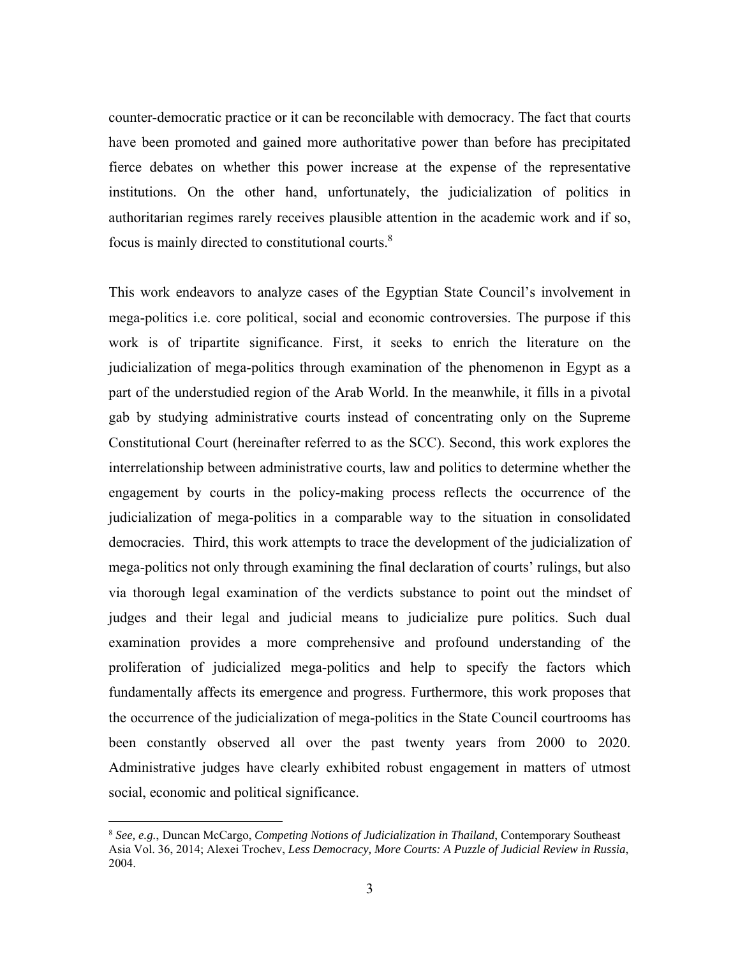counter-democratic practice or it can be reconcilable with democracy. The fact that courts have been promoted and gained more authoritative power than before has precipitated fierce debates on whether this power increase at the expense of the representative institutions. On the other hand, unfortunately, the judicialization of politics in authoritarian regimes rarely receives plausible attention in the academic work and if so, focus is mainly directed to constitutional courts.8

This work endeavors to analyze cases of the Egyptian State Council's involvement in mega-politics i.e. core political, social and economic controversies. The purpose if this work is of tripartite significance. First, it seeks to enrich the literature on the judicialization of mega-politics through examination of the phenomenon in Egypt as a part of the understudied region of the Arab World. In the meanwhile, it fills in a pivotal gab by studying administrative courts instead of concentrating only on the Supreme Constitutional Court (hereinafter referred to as the SCC). Second, this work explores the interrelationship between administrative courts, law and politics to determine whether the engagement by courts in the policy-making process reflects the occurrence of the judicialization of mega-politics in a comparable way to the situation in consolidated democracies. Third, this work attempts to trace the development of the judicialization of mega-politics not only through examining the final declaration of courts' rulings, but also via thorough legal examination of the verdicts substance to point out the mindset of judges and their legal and judicial means to judicialize pure politics. Such dual examination provides a more comprehensive and profound understanding of the proliferation of judicialized mega-politics and help to specify the factors which fundamentally affects its emergence and progress. Furthermore, this work proposes that the occurrence of the judicialization of mega-politics in the State Council courtrooms has been constantly observed all over the past twenty years from 2000 to 2020. Administrative judges have clearly exhibited robust engagement in matters of utmost social, economic and political significance.

<sup>8</sup> *See, e.g.*, Duncan McCargo, *Competing Notions of Judicialization in Thailand*, Contemporary Southeast Asia Vol. 36, 2014; Alexei Trochev, *Less Democracy, More Courts: A Puzzle of Judicial Review in Russia*, 2004.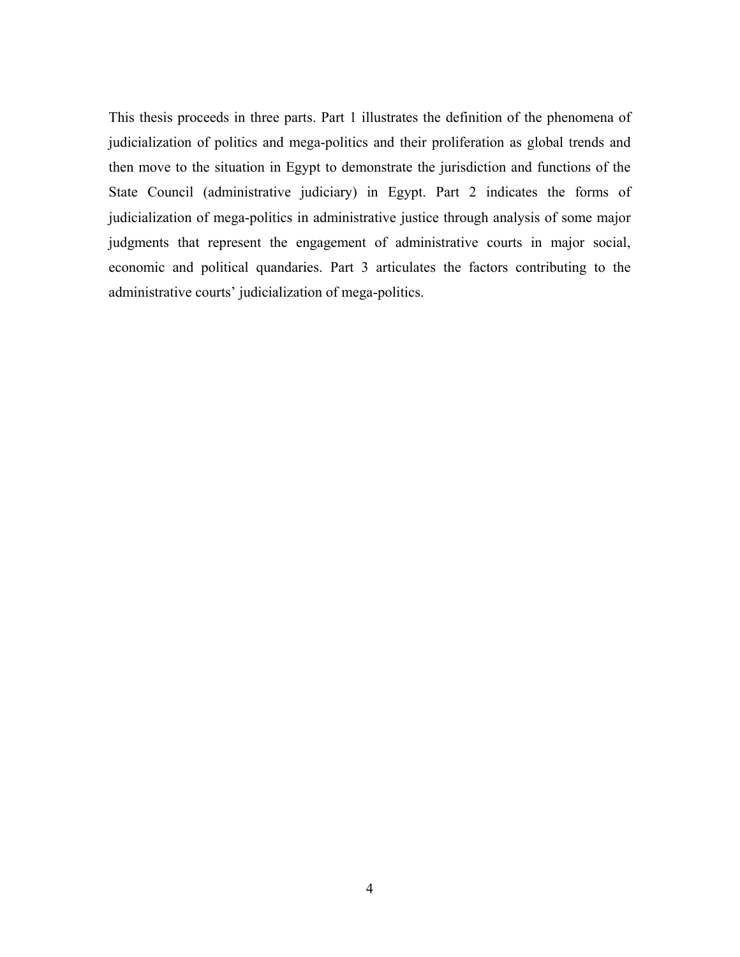This thesis proceeds in three parts. Part 1 illustrates the definition of the phenomena of judicialization of politics and mega-politics and their proliferation as global trends and then move to the situation in Egypt to demonstrate the jurisdiction and functions of the State Council (administrative judiciary) in Egypt. Part 2 indicates the forms of judicialization of mega-politics in administrative justice through analysis of some major judgments that represent the engagement of administrative courts in major social, economic and political quandaries. Part 3 articulates the factors contributing to the administrative courts' judicialization of mega-politics.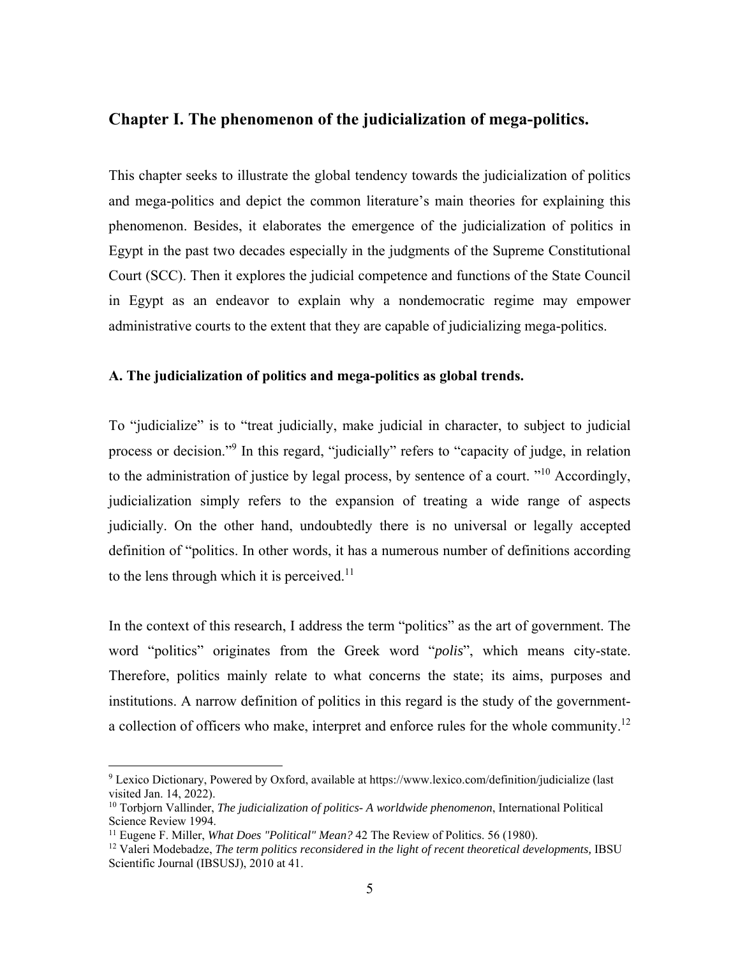# **Chapter I. The phenomenon of the judicialization of mega-politics.**

This chapter seeks to illustrate the global tendency towards the judicialization of politics and mega-politics and depict the common literature's main theories for explaining this phenomenon. Besides, it elaborates the emergence of the judicialization of politics in Egypt in the past two decades especially in the judgments of the Supreme Constitutional Court (SCC). Then it explores the judicial competence and functions of the State Council in Egypt as an endeavor to explain why a nondemocratic regime may empower administrative courts to the extent that they are capable of judicializing mega-politics.

#### **A. The judicialization of politics and mega-politics as global trends.**

To "judicialize" is to "treat judicially, make judicial in character, to subject to judicial process or decision."<sup>9</sup> In this regard, "judicially" refers to "capacity of judge, in relation to the administration of justice by legal process, by sentence of a court.  $"^{10}$  Accordingly, judicialization simply refers to the expansion of treating a wide range of aspects judicially. On the other hand, undoubtedly there is no universal or legally accepted definition of "politics. In other words, it has a numerous number of definitions according to the lens through which it is perceived. $11$ 

In the context of this research, I address the term "politics" as the art of government. The word "politics" originates from the Greek word "*polis*", which means city-state. Therefore, politics mainly relate to what concerns the state; its aims, purposes and institutions. A narrow definition of politics in this regard is the study of the governmenta collection of officers who make, interpret and enforce rules for the whole community.<sup>12</sup>

<u>.</u>

<sup>9</sup> Lexico Dictionary, Powered by Oxford, available at https://www.lexico.com/definition/judicialize (last visited Jan. 14, 2022).

<sup>10</sup> Torbjorn Vallinder, *The judicialization of politics- A worldwide phenomenon*, International Political Science Review 1994.

<sup>&</sup>lt;sup>11</sup> Eugene F. Miller, *What Does "Political" Mean?* 42 The Review of Politics. 56 (1980).<br><sup>12</sup> Valeri Modebadze, *The term politics reconsidered in the light of recent theoretical developments, IBSU* Scientific Journal (IBSUSJ), 2010 at 41.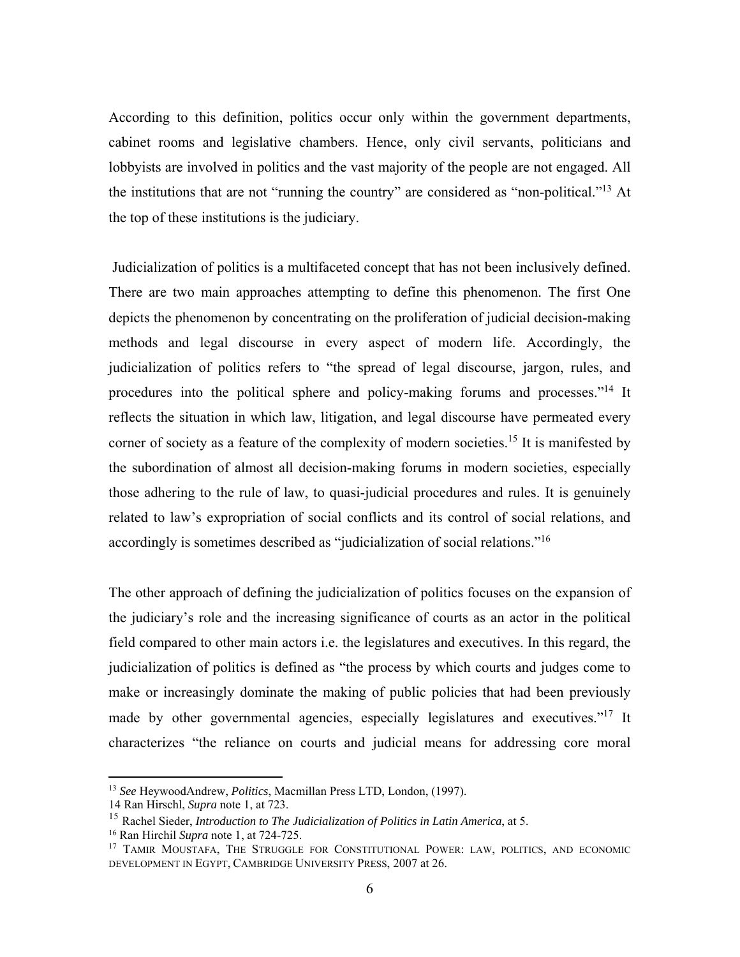According to this definition, politics occur only within the government departments, cabinet rooms and legislative chambers. Hence, only civil servants, politicians and lobbyists are involved in politics and the vast majority of the people are not engaged. All the institutions that are not "running the country" are considered as "non-political."13 At the top of these institutions is the judiciary.

 Judicialization of politics is a multifaceted concept that has not been inclusively defined. There are two main approaches attempting to define this phenomenon. The first One depicts the phenomenon by concentrating on the proliferation of judicial decision-making methods and legal discourse in every aspect of modern life. Accordingly, the judicialization of politics refers to "the spread of legal discourse, jargon, rules, and procedures into the political sphere and policy-making forums and processes."<sup>14</sup> It reflects the situation in which law, litigation, and legal discourse have permeated every corner of society as a feature of the complexity of modern societies.<sup>15</sup> It is manifested by the subordination of almost all decision-making forums in modern societies, especially those adhering to the rule of law, to quasi-judicial procedures and rules. It is genuinely related to law's expropriation of social conflicts and its control of social relations, and accordingly is sometimes described as "judicialization of social relations."16

The other approach of defining the judicialization of politics focuses on the expansion of the judiciary's role and the increasing significance of courts as an actor in the political field compared to other main actors i.e. the legislatures and executives. In this regard, the judicialization of politics is defined as "the process by which courts and judges come to make or increasingly dominate the making of public policies that had been previously made by other governmental agencies, especially legislatures and executives."<sup>17</sup> It characterizes "the reliance on courts and judicial means for addressing core moral

1

<sup>13</sup> *See* HeywoodAndrew, *Politics*, Macmillan Press LTD, London, (1997).

<sup>14</sup> Ran Hirschl, *Supra* note 1, at 723.

<sup>15</sup> Rachel Sieder, *Introduction to The Judicialization of Politics in Latin America*, at 5.

<sup>16</sup> Ran Hirchil *Supra* note 1, at 724-725.

<sup>&</sup>lt;sup>17</sup> TAMIR MOUSTAFA, THE STRUGGLE FOR CONSTITUTIONAL POWER: LAW, POLITICS, AND ECONOMIC DEVELOPMENT IN EGYPT, CAMBRIDGE UNIVERSITY PRESS, 2007 at 26.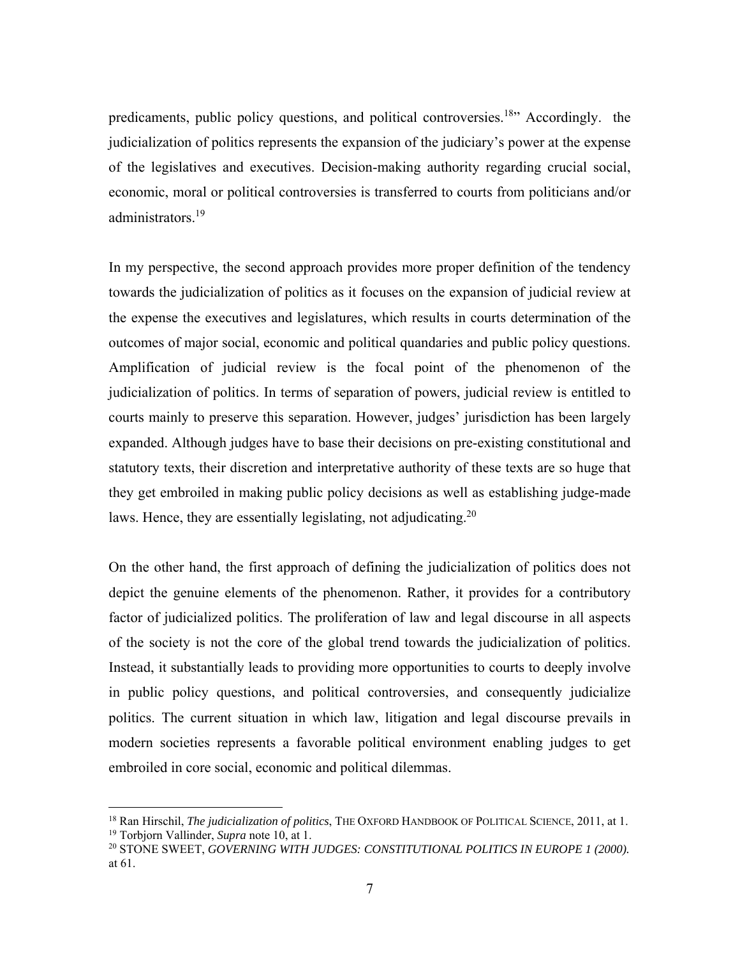predicaments, public policy questions, and political controversies.<sup>18</sup> Accordingly. the judicialization of politics represents the expansion of the judiciary's power at the expense of the legislatives and executives. Decision-making authority regarding crucial social, economic, moral or political controversies is transferred to courts from politicians and/or administrators.<sup>19</sup>

In my perspective, the second approach provides more proper definition of the tendency towards the judicialization of politics as it focuses on the expansion of judicial review at the expense the executives and legislatures, which results in courts determination of the outcomes of major social, economic and political quandaries and public policy questions. Amplification of judicial review is the focal point of the phenomenon of the judicialization of politics. In terms of separation of powers, judicial review is entitled to courts mainly to preserve this separation. However, judges' jurisdiction has been largely expanded. Although judges have to base their decisions on pre-existing constitutional and statutory texts, their discretion and interpretative authority of these texts are so huge that they get embroiled in making public policy decisions as well as establishing judge-made laws. Hence, they are essentially legislating, not adjudicating.<sup>20</sup>

On the other hand, the first approach of defining the judicialization of politics does not depict the genuine elements of the phenomenon. Rather, it provides for a contributory factor of judicialized politics. The proliferation of law and legal discourse in all aspects of the society is not the core of the global trend towards the judicialization of politics. Instead, it substantially leads to providing more opportunities to courts to deeply involve in public policy questions, and political controversies, and consequently judicialize politics. The current situation in which law, litigation and legal discourse prevails in modern societies represents a favorable political environment enabling judges to get embroiled in core social, economic and political dilemmas.

<sup>18</sup> Ran Hirschil, *The judicialization of politics*, THE OXFORD HANDBOOK OF POLITICAL SCIENCE, 2011, at 1. 19 Torbjorn Vallinder, *Supra* note 10, at 1.

<sup>20</sup> STONE SWEET, *GOVERNING WITH JUDGES: CONSTITUTIONAL POLITICS IN EUROPE 1 (2000).* at 61.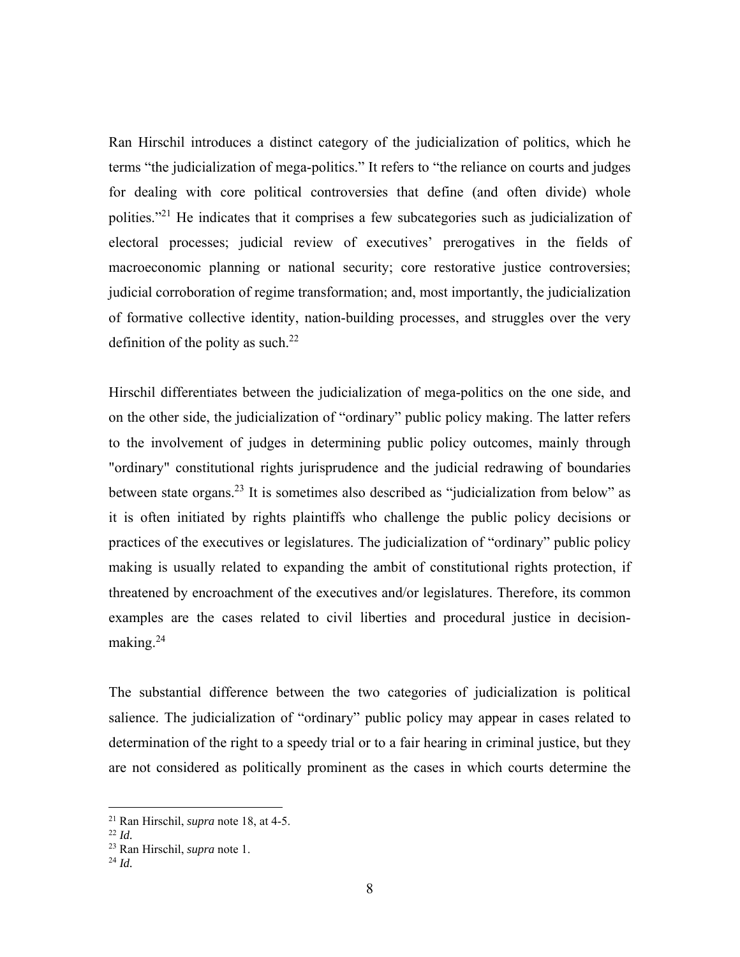Ran Hirschil introduces a distinct category of the judicialization of politics, which he terms "the judicialization of mega-politics." It refers to "the reliance on courts and judges for dealing with core political controversies that define (and often divide) whole polities."<sup>21</sup> He indicates that it comprises a few subcategories such as judicialization of electoral processes; judicial review of executives' prerogatives in the fields of macroeconomic planning or national security; core restorative justice controversies; judicial corroboration of regime transformation; and, most importantly, the judicialization of formative collective identity, nation-building processes, and struggles over the very definition of the polity as such. $^{22}$ 

Hirschil differentiates between the judicialization of mega-politics on the one side, and on the other side, the judicialization of "ordinary" public policy making. The latter refers to the involvement of judges in determining public policy outcomes, mainly through "ordinary" constitutional rights jurisprudence and the judicial redrawing of boundaries between state organs.23 It is sometimes also described as "judicialization from below" as it is often initiated by rights plaintiffs who challenge the public policy decisions or practices of the executives or legislatures. The judicialization of "ordinary" public policy making is usually related to expanding the ambit of constitutional rights protection, if threatened by encroachment of the executives and/or legislatures. Therefore, its common examples are the cases related to civil liberties and procedural justice in decisionmaking.<sup>24</sup>

The substantial difference between the two categories of judicialization is political salience. The judicialization of "ordinary" public policy may appear in cases related to determination of the right to a speedy trial or to a fair hearing in criminal justice, but they are not considered as politically prominent as the cases in which courts determine the

<u>.</u>

<sup>&</sup>lt;sup>21</sup> Ran Hirschil, *supra* note 18, at 4-5.<br><sup>22</sup> *Id.* 

<sup>23</sup> Ran Hirschil, *supra* note 1. 24 *Id.*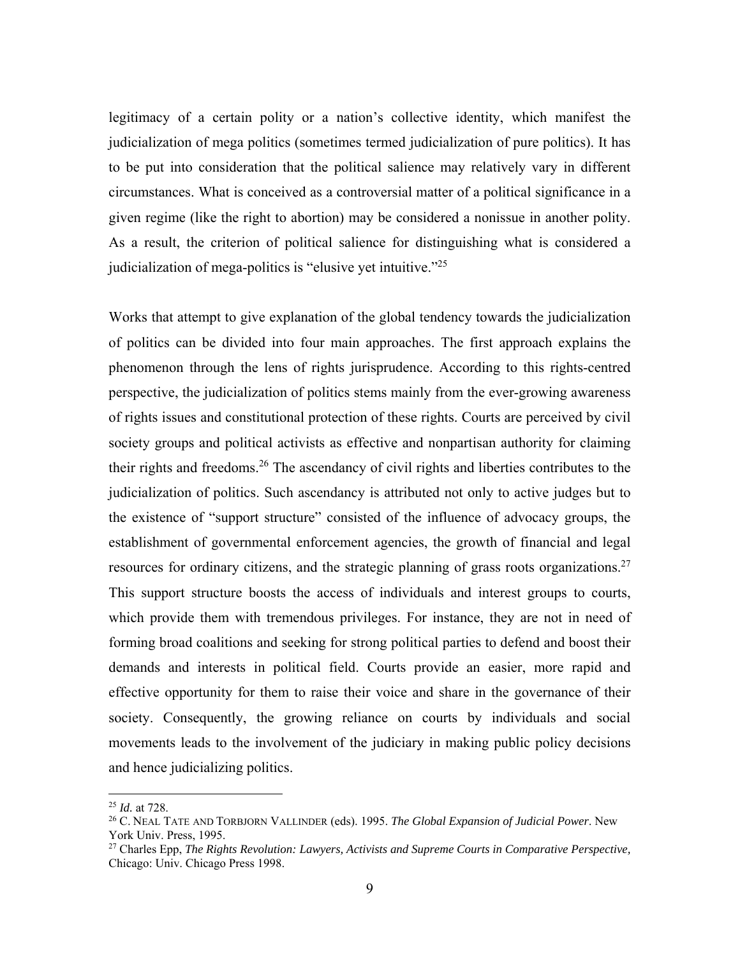legitimacy of a certain polity or a nation's collective identity, which manifest the judicialization of mega politics (sometimes termed judicialization of pure politics). It has to be put into consideration that the political salience may relatively vary in different circumstances. What is conceived as a controversial matter of a political significance in a given regime (like the right to abortion) may be considered a nonissue in another polity. As a result, the criterion of political salience for distinguishing what is considered a judicialization of mega-politics is "elusive yet intuitive."25

Works that attempt to give explanation of the global tendency towards the judicialization of politics can be divided into four main approaches. The first approach explains the phenomenon through the lens of rights jurisprudence. According to this rights-centred perspective, the judicialization of politics stems mainly from the ever-growing awareness of rights issues and constitutional protection of these rights. Courts are perceived by civil society groups and political activists as effective and nonpartisan authority for claiming their rights and freedoms.<sup>26</sup> The ascendancy of civil rights and liberties contributes to the judicialization of politics. Such ascendancy is attributed not only to active judges but to the existence of "support structure" consisted of the influence of advocacy groups, the establishment of governmental enforcement agencies, the growth of financial and legal resources for ordinary citizens, and the strategic planning of grass roots organizations.<sup>27</sup> This support structure boosts the access of individuals and interest groups to courts, which provide them with tremendous privileges. For instance, they are not in need of forming broad coalitions and seeking for strong political parties to defend and boost their demands and interests in political field. Courts provide an easier, more rapid and effective opportunity for them to raise their voice and share in the governance of their society. Consequently, the growing reliance on courts by individuals and social movements leads to the involvement of the judiciary in making public policy decisions and hence judicializing politics.

1

<sup>25</sup> *Id.* at 728.

<sup>26</sup> C. NEAL TATE AND TORBJORN VALLINDER (eds). 1995. *The Global Expansion of Judicial Power*. New York Univ. Press, 1995.

<sup>27</sup> Charles Epp, *The Rights Revolution: Lawyers, Activists and Supreme Courts in Comparative Perspective,*  Chicago: Univ. Chicago Press 1998.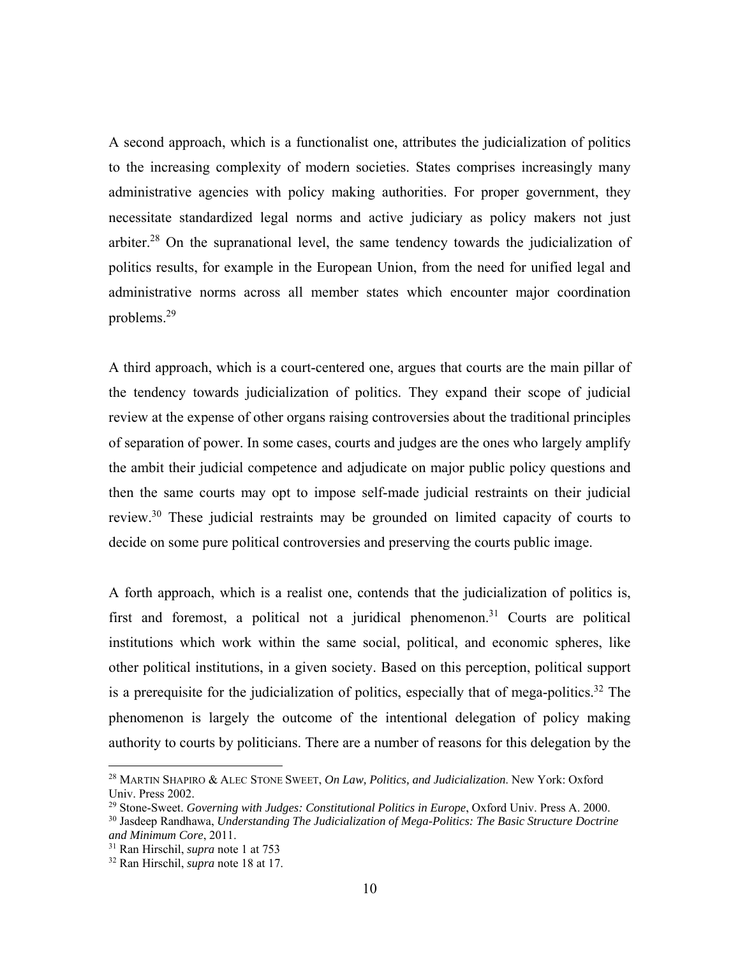A second approach, which is a functionalist one, attributes the judicialization of politics to the increasing complexity of modern societies. States comprises increasingly many administrative agencies with policy making authorities. For proper government, they necessitate standardized legal norms and active judiciary as policy makers not just arbiter.<sup>28</sup> On the supranational level, the same tendency towards the judicialization of politics results, for example in the European Union, from the need for unified legal and administrative norms across all member states which encounter major coordination problems.29

A third approach, which is a court-centered one, argues that courts are the main pillar of the tendency towards judicialization of politics. They expand their scope of judicial review at the expense of other organs raising controversies about the traditional principles of separation of power. In some cases, courts and judges are the ones who largely amplify the ambit their judicial competence and adjudicate on major public policy questions and then the same courts may opt to impose self-made judicial restraints on their judicial review.30 These judicial restraints may be grounded on limited capacity of courts to decide on some pure political controversies and preserving the courts public image.

A forth approach, which is a realist one, contends that the judicialization of politics is, first and foremost, a political not a juridical phenomenon.<sup>31</sup> Courts are political institutions which work within the same social, political, and economic spheres, like other political institutions, in a given society. Based on this perception, political support is a prerequisite for the judicialization of politics, especially that of mega-politics.<sup>32</sup> The phenomenon is largely the outcome of the intentional delegation of policy making authority to courts by politicians. There are a number of reasons for this delegation by the

<u>.</u>

<sup>28</sup> MARTIN SHAPIRO & ALEC STONE SWEET, *On Law, Politics, and Judicialization*. New York: Oxford Univ. Press 2002.

<sup>29</sup> Stone-Sweet. *Governing with Judges: Constitutional Politics in Europe*, Oxford Univ. Press A. 2000.

<sup>30</sup> Jasdeep Randhawa, *Understanding The Judicialization of Mega-Politics: The Basic Structure Doctrine and Minimum Core*, 2011.

<sup>31</sup> Ran Hirschil, *supra* note 1 at 753

<sup>32</sup> Ran Hirschil, *supra* note 18 at 17.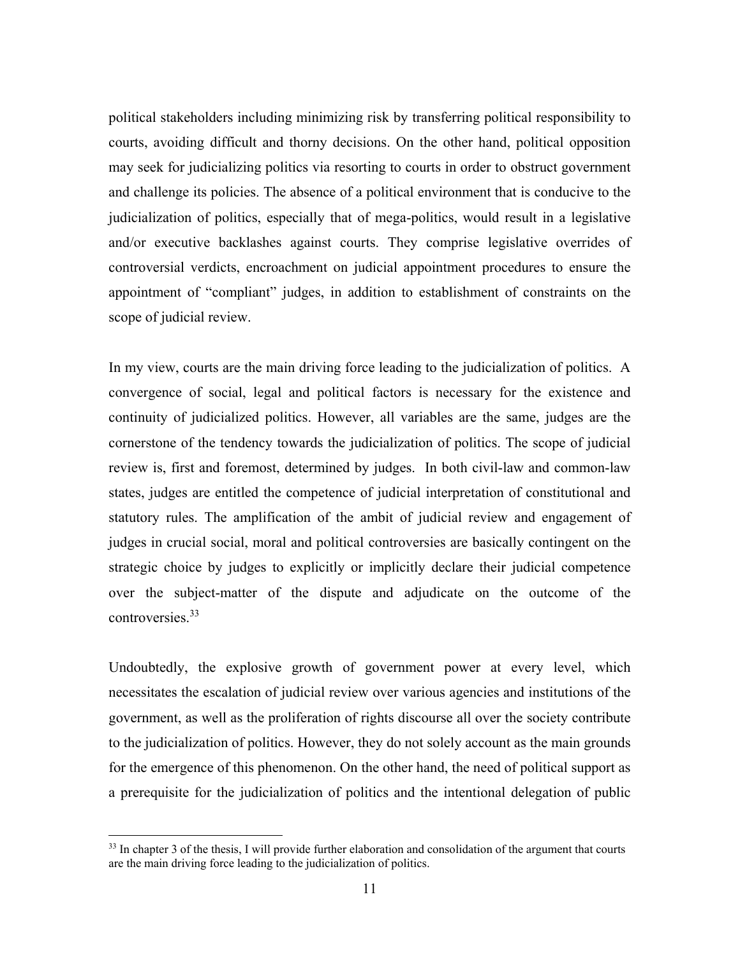political stakeholders including minimizing risk by transferring political responsibility to courts, avoiding difficult and thorny decisions. On the other hand, political opposition may seek for judicializing politics via resorting to courts in order to obstruct government and challenge its policies. The absence of a political environment that is conducive to the judicialization of politics, especially that of mega-politics, would result in a legislative and/or executive backlashes against courts. They comprise legislative overrides of controversial verdicts, encroachment on judicial appointment procedures to ensure the appointment of "compliant" judges, in addition to establishment of constraints on the scope of judicial review.

In my view, courts are the main driving force leading to the judicialization of politics. A convergence of social, legal and political factors is necessary for the existence and continuity of judicialized politics. However, all variables are the same, judges are the cornerstone of the tendency towards the judicialization of politics. The scope of judicial review is, first and foremost, determined by judges. In both civil-law and common-law states, judges are entitled the competence of judicial interpretation of constitutional and statutory rules. The amplification of the ambit of judicial review and engagement of judges in crucial social, moral and political controversies are basically contingent on the strategic choice by judges to explicitly or implicitly declare their judicial competence over the subject-matter of the dispute and adjudicate on the outcome of the controversies.33

Undoubtedly, the explosive growth of government power at every level, which necessitates the escalation of judicial review over various agencies and institutions of the government, as well as the proliferation of rights discourse all over the society contribute to the judicialization of politics. However, they do not solely account as the main grounds for the emergence of this phenomenon. On the other hand, the need of political support as a prerequisite for the judicialization of politics and the intentional delegation of public

 $33$  In chapter 3 of the thesis, I will provide further elaboration and consolidation of the argument that courts are the main driving force leading to the judicialization of politics.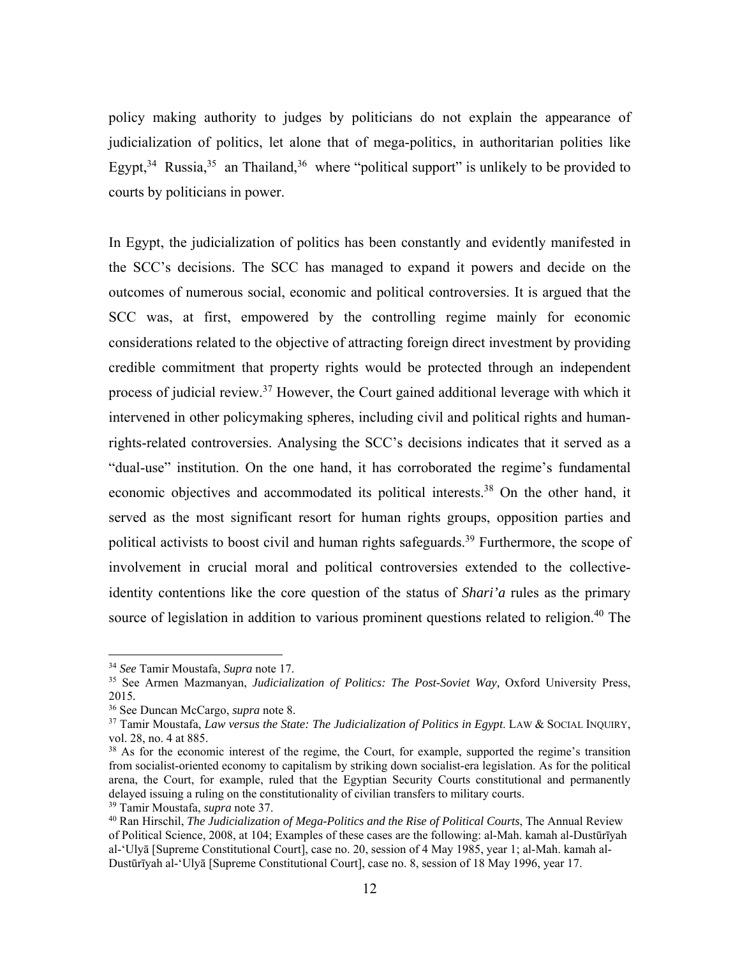policy making authority to judges by politicians do not explain the appearance of judicialization of politics, let alone that of mega-politics, in authoritarian polities like Egypt,<sup>34</sup> Russia,<sup>35</sup> an Thailand,<sup>36</sup> where "political support" is unlikely to be provided to courts by politicians in power.

In Egypt, the judicialization of politics has been constantly and evidently manifested in the SCC's decisions. The SCC has managed to expand it powers and decide on the outcomes of numerous social, economic and political controversies. It is argued that the SCC was, at first, empowered by the controlling regime mainly for economic considerations related to the objective of attracting foreign direct investment by providing credible commitment that property rights would be protected through an independent process of judicial review.<sup>37</sup> However, the Court gained additional leverage with which it intervened in other policymaking spheres, including civil and political rights and humanrights-related controversies. Analysing the SCC's decisions indicates that it served as a "dual-use" institution. On the one hand, it has corroborated the regime's fundamental economic objectives and accommodated its political interests.<sup>38</sup> On the other hand, it served as the most significant resort for human rights groups, opposition parties and political activists to boost civil and human rights safeguards.<sup>39</sup> Furthermore, the scope of involvement in crucial moral and political controversies extended to the collectiveidentity contentions like the core question of the status of *Shari'a* rules as the primary source of legislation in addition to various prominent questions related to religion.<sup>40</sup> The

1

<sup>34</sup> *See* Tamir Moustafa, *Supra* note 17.

<sup>35</sup> See Armen Mazmanyan, *Judicialization of Politics: The Post-Soviet Way,* Oxford University Press, 2015*.*

<sup>36</sup> See Duncan McCargo, *supra* note 8.

<sup>&</sup>lt;sup>37</sup> Tamir Moustafa, *Law versus the State: The Judicialization of Politics in Egypt*. LAW & SOCIAL INQUIRY, vol. 28, no. 4 at 885.

<sup>&</sup>lt;sup>38</sup> As for the economic interest of the regime, the Court, for example, supported the regime's transition from socialist-oriented economy to capitalism by striking down socialist-era legislation. As for the political arena, the Court, for example, ruled that the Egyptian Security Courts constitutional and permanently delayed issuing a ruling on the constitutionality of civilian transfers to military courts.

<sup>39</sup> Tamir Moustafa, *supra* note 37.

<sup>40</sup> Ran Hirschil, *The Judicialization of Mega-Politics and the Rise of Political Courts*, The Annual Review of Political Science, 2008, at 104; Examples of these cases are the following: al-Mah. kamah al-Dustūrīyah al-'Ulyā [Supreme Constitutional Court], case no. 20, session of 4 May 1985, year 1; al-Mah. kamah al-Dustūrīyah al-'Ulyā [Supreme Constitutional Court], case no. 8, session of 18 May 1996, year 17.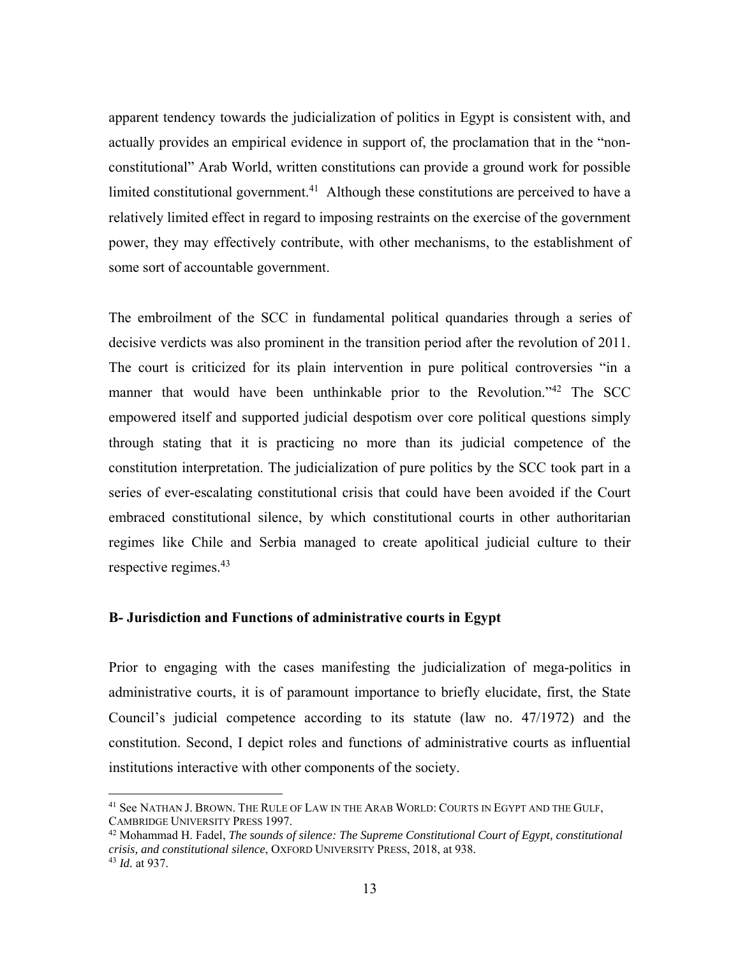apparent tendency towards the judicialization of politics in Egypt is consistent with, and actually provides an empirical evidence in support of, the proclamation that in the "nonconstitutional" Arab World, written constitutions can provide a ground work for possible limited constitutional government.<sup>41</sup> Although these constitutions are perceived to have a relatively limited effect in regard to imposing restraints on the exercise of the government power, they may effectively contribute, with other mechanisms, to the establishment of some sort of accountable government.

The embroilment of the SCC in fundamental political quandaries through a series of decisive verdicts was also prominent in the transition period after the revolution of 2011. The court is criticized for its plain intervention in pure political controversies "in a manner that would have been unthinkable prior to the Revolution."<sup>42</sup> The SCC empowered itself and supported judicial despotism over core political questions simply through stating that it is practicing no more than its judicial competence of the constitution interpretation. The judicialization of pure politics by the SCC took part in a series of ever-escalating constitutional crisis that could have been avoided if the Court embraced constitutional silence, by which constitutional courts in other authoritarian regimes like Chile and Serbia managed to create apolitical judicial culture to their respective regimes.<sup>43</sup>

#### **B- Jurisdiction and Functions of administrative courts in Egypt**

 $\overline{a}$ 

Prior to engaging with the cases manifesting the judicialization of mega-politics in administrative courts, it is of paramount importance to briefly elucidate, first, the State Council's judicial competence according to its statute (law no. 47/1972) and the constitution. Second, I depict roles and functions of administrative courts as influential institutions interactive with other components of the society.

<sup>41</sup> See NATHAN J. BROWN. THE RULE OF LAW IN THE ARAB WORLD: COURTS IN EGYPT AND THE GULF, CAMBRIDGE UNIVERSITY PRESS 1997.<br><sup>42</sup> Mohammad H. Fadel, *The sounds of silence: The Supreme Constitutional Court of Egypt, constitutional* 

*crisis, and constitutional silence*, OXFORD UNIVERSITY PRESS, 2018, at 938*.* <sup>43</sup> *Id.* at 937.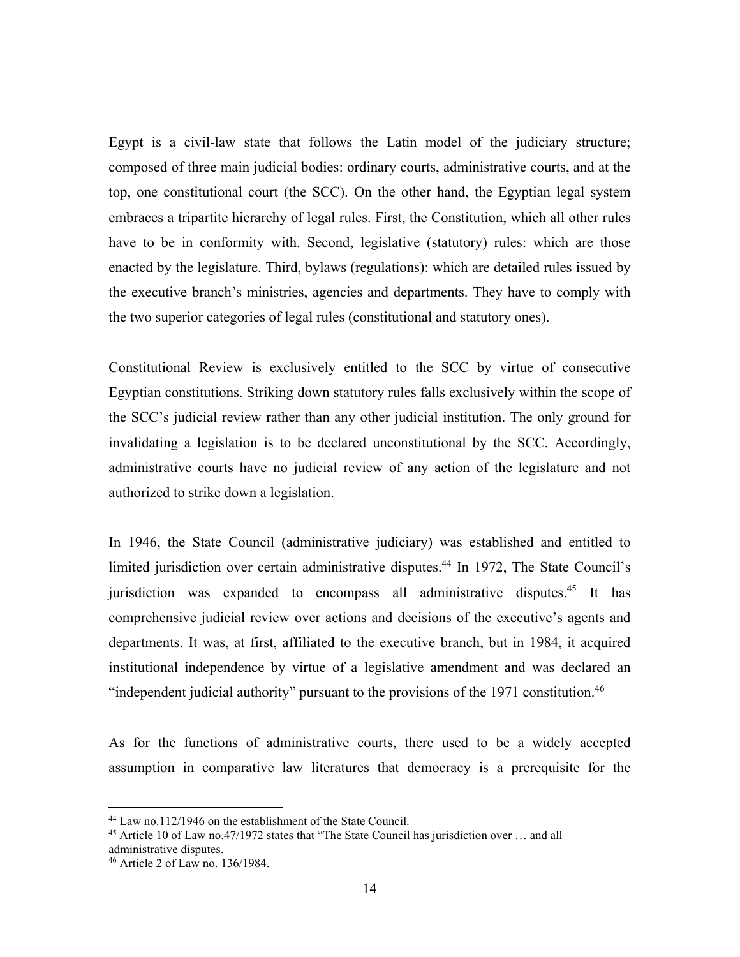Egypt is a civil-law state that follows the Latin model of the judiciary structure; composed of three main judicial bodies: ordinary courts, administrative courts, and at the top, one constitutional court (the SCC). On the other hand, the Egyptian legal system embraces a tripartite hierarchy of legal rules. First, the Constitution, which all other rules have to be in conformity with. Second, legislative (statutory) rules: which are those enacted by the legislature. Third, bylaws (regulations): which are detailed rules issued by the executive branch's ministries, agencies and departments. They have to comply with the two superior categories of legal rules (constitutional and statutory ones).

Constitutional Review is exclusively entitled to the SCC by virtue of consecutive Egyptian constitutions. Striking down statutory rules falls exclusively within the scope of the SCC's judicial review rather than any other judicial institution. The only ground for invalidating a legislation is to be declared unconstitutional by the SCC. Accordingly, administrative courts have no judicial review of any action of the legislature and not authorized to strike down a legislation.

In 1946, the State Council (administrative judiciary) was established and entitled to limited jurisdiction over certain administrative disputes.<sup>44</sup> In 1972, The State Council's jurisdiction was expanded to encompass all administrative disputes.<sup>45</sup> It has comprehensive judicial review over actions and decisions of the executive's agents and departments. It was, at first, affiliated to the executive branch, but in 1984, it acquired institutional independence by virtue of a legislative amendment and was declared an "independent judicial authority" pursuant to the provisions of the 1971 constitution.<sup>46</sup>

As for the functions of administrative courts, there used to be a widely accepted assumption in comparative law literatures that democracy is a prerequisite for the

<sup>&</sup>lt;sup>44</sup> Law no.112/1946 on the establishment of the State Council.

<sup>&</sup>lt;sup>45</sup> Article 10 of Law no.47/1972 states that "The State Council has jurisdiction over  $\ldots$  and all administrative disputes.

<sup>46</sup> Article 2 of Law no. 136/1984.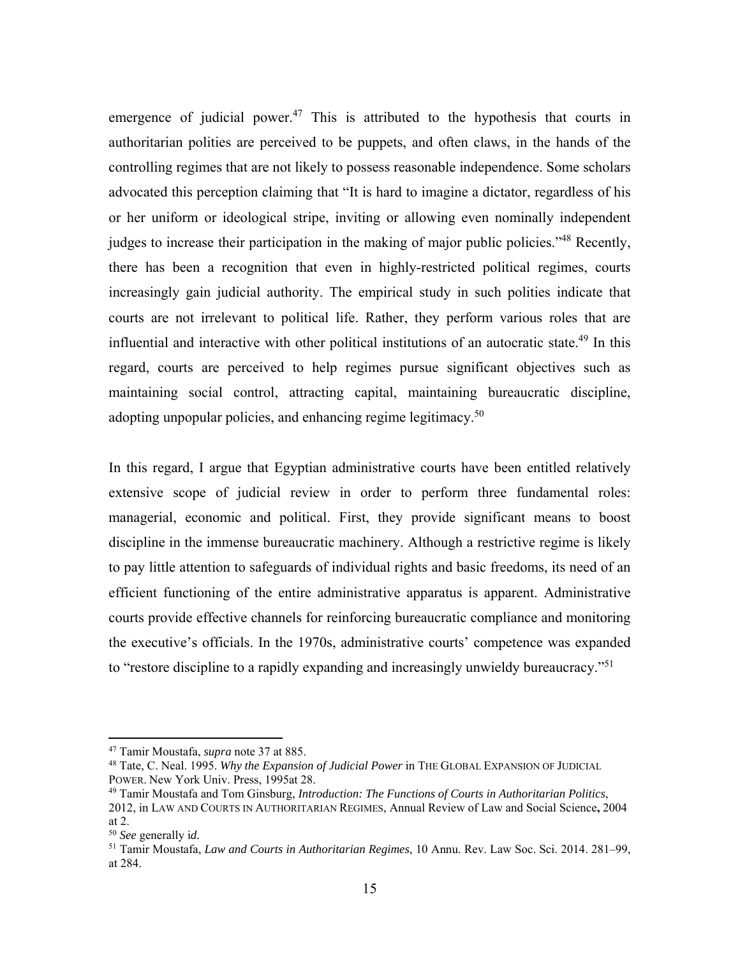emergence of judicial power.<sup>47</sup> This is attributed to the hypothesis that courts in authoritarian polities are perceived to be puppets, and often claws, in the hands of the controlling regimes that are not likely to possess reasonable independence. Some scholars advocated this perception claiming that "It is hard to imagine a dictator, regardless of his or her uniform or ideological stripe, inviting or allowing even nominally independent judges to increase their participation in the making of major public policies."<sup>48</sup> Recently, there has been a recognition that even in highly-restricted political regimes, courts increasingly gain judicial authority. The empirical study in such polities indicate that courts are not irrelevant to political life. Rather, they perform various roles that are influential and interactive with other political institutions of an autocratic state.<sup>49</sup> In this regard, courts are perceived to help regimes pursue significant objectives such as maintaining social control, attracting capital, maintaining bureaucratic discipline, adopting unpopular policies, and enhancing regime legitimacy.<sup>50</sup>

In this regard, I argue that Egyptian administrative courts have been entitled relatively extensive scope of judicial review in order to perform three fundamental roles: managerial, economic and political. First, they provide significant means to boost discipline in the immense bureaucratic machinery. Although a restrictive regime is likely to pay little attention to safeguards of individual rights and basic freedoms, its need of an efficient functioning of the entire administrative apparatus is apparent. Administrative courts provide effective channels for reinforcing bureaucratic compliance and monitoring the executive's officials. In the 1970s, administrative courts' competence was expanded to "restore discipline to a rapidly expanding and increasingly unwieldy bureaucracy."<sup>51</sup>

<sup>47</sup> Tamir Moustafa, *supra* note 37 at 885.

<sup>48</sup> Tate, C. Neal. 1995. *Why the Expansion of Judicial Power* in THE GLOBAL EXPANSION OF JUDICIAL POWER. New York Univ. Press, 1995at 28.

<sup>49</sup> Tamir Moustafa and Tom Ginsburg, *Introduction: The Functions of Courts in Authoritarian Politics*, 2012, in LAW AND COURTS IN AUTHORITARIAN REGIMES, Annual Review of Law and Social Science**,** 2004 at 2.

<sup>50</sup> *See* generally i*d.*

<sup>51</sup> Tamir Moustafa, *Law and Courts in Authoritarian Regimes*, 10 Annu. Rev. Law Soc. Sci. 2014. 281–99, at 284.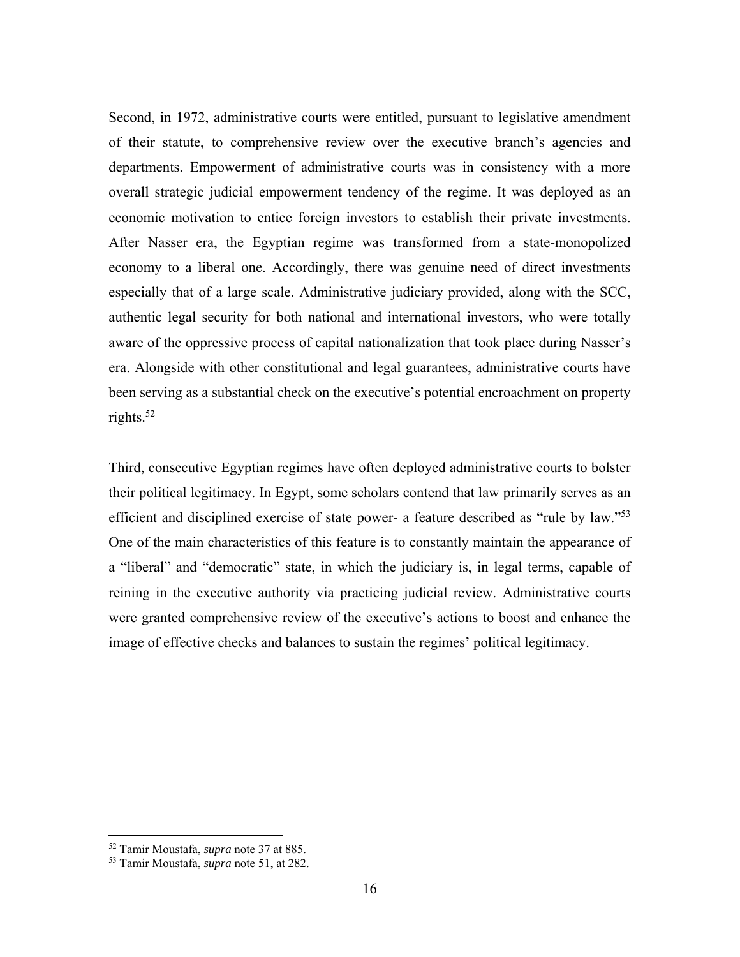Second, in 1972, administrative courts were entitled, pursuant to legislative amendment of their statute, to comprehensive review over the executive branch's agencies and departments. Empowerment of administrative courts was in consistency with a more overall strategic judicial empowerment tendency of the regime. It was deployed as an economic motivation to entice foreign investors to establish their private investments. After Nasser era, the Egyptian regime was transformed from a state-monopolized economy to a liberal one. Accordingly, there was genuine need of direct investments especially that of a large scale. Administrative judiciary provided, along with the SCC, authentic legal security for both national and international investors, who were totally aware of the oppressive process of capital nationalization that took place during Nasser's era. Alongside with other constitutional and legal guarantees, administrative courts have been serving as a substantial check on the executive's potential encroachment on property rights. $52$ 

Third, consecutive Egyptian regimes have often deployed administrative courts to bolster their political legitimacy. In Egypt, some scholars contend that law primarily serves as an efficient and disciplined exercise of state power- a feature described as "rule by law."<sup>53</sup> One of the main characteristics of this feature is to constantly maintain the appearance of a "liberal" and "democratic" state, in which the judiciary is, in legal terms, capable of reining in the executive authority via practicing judicial review. Administrative courts were granted comprehensive review of the executive's actions to boost and enhance the image of effective checks and balances to sustain the regimes' political legitimacy.

1

<sup>52</sup> Tamir Moustafa, *supra* note 37 at 885.

<sup>53</sup> Tamir Moustafa, *supra* note 51, at 282.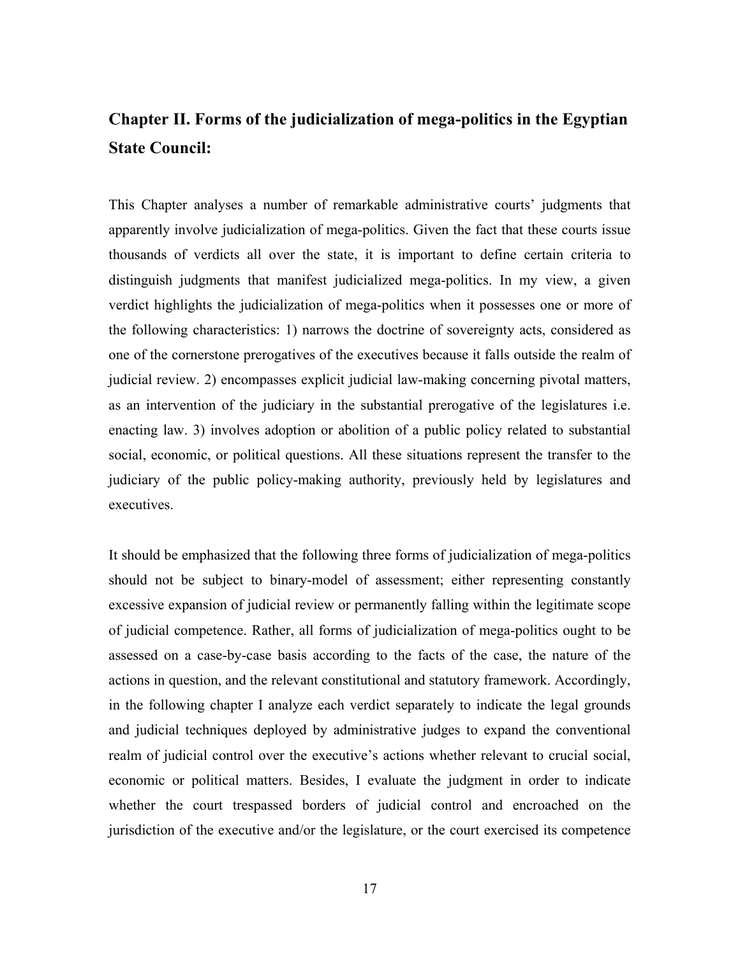# **Chapter II. Forms of the judicialization of mega-politics in the Egyptian State Council:**

This Chapter analyses a number of remarkable administrative courts' judgments that apparently involve judicialization of mega-politics. Given the fact that these courts issue thousands of verdicts all over the state, it is important to define certain criteria to distinguish judgments that manifest judicialized mega-politics. In my view, a given verdict highlights the judicialization of mega-politics when it possesses one or more of the following characteristics: 1) narrows the doctrine of sovereignty acts, considered as one of the cornerstone prerogatives of the executives because it falls outside the realm of judicial review. 2) encompasses explicit judicial law-making concerning pivotal matters, as an intervention of the judiciary in the substantial prerogative of the legislatures i.e. enacting law. 3) involves adoption or abolition of a public policy related to substantial social, economic, or political questions. All these situations represent the transfer to the judiciary of the public policy-making authority, previously held by legislatures and executives.

It should be emphasized that the following three forms of judicialization of mega-politics should not be subject to binary-model of assessment; either representing constantly excessive expansion of judicial review or permanently falling within the legitimate scope of judicial competence. Rather, all forms of judicialization of mega-politics ought to be assessed on a case-by-case basis according to the facts of the case, the nature of the actions in question, and the relevant constitutional and statutory framework. Accordingly, in the following chapter I analyze each verdict separately to indicate the legal grounds and judicial techniques deployed by administrative judges to expand the conventional realm of judicial control over the executive's actions whether relevant to crucial social, economic or political matters. Besides, I evaluate the judgment in order to indicate whether the court trespassed borders of judicial control and encroached on the jurisdiction of the executive and/or the legislature, or the court exercised its competence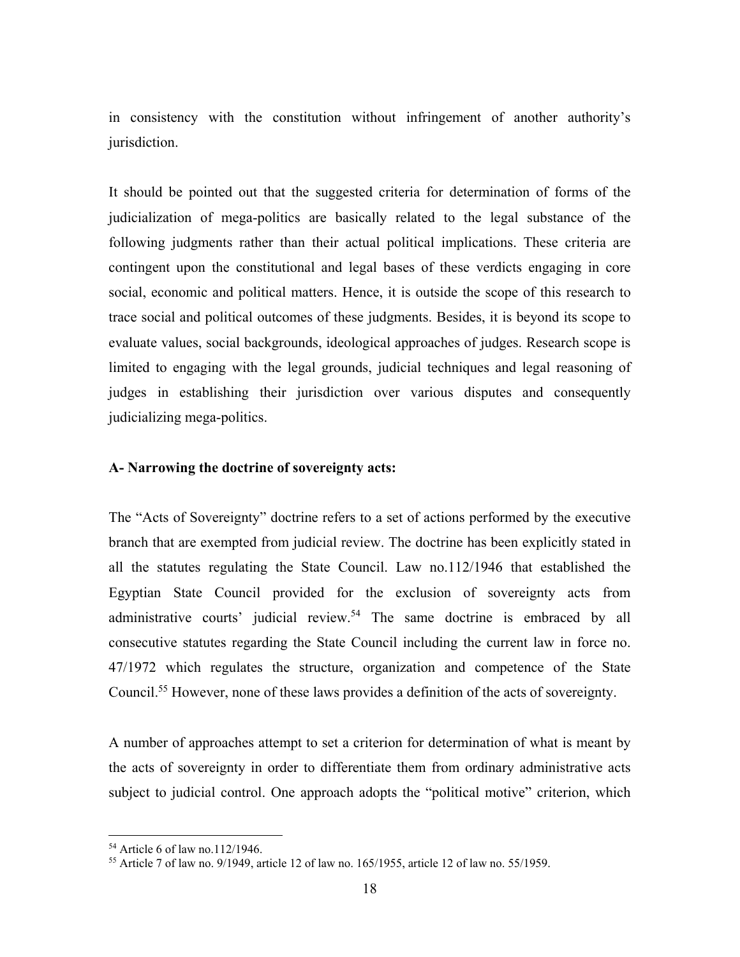in consistency with the constitution without infringement of another authority's jurisdiction.

It should be pointed out that the suggested criteria for determination of forms of the judicialization of mega-politics are basically related to the legal substance of the following judgments rather than their actual political implications. These criteria are contingent upon the constitutional and legal bases of these verdicts engaging in core social, economic and political matters. Hence, it is outside the scope of this research to trace social and political outcomes of these judgments. Besides, it is beyond its scope to evaluate values, social backgrounds, ideological approaches of judges. Research scope is limited to engaging with the legal grounds, judicial techniques and legal reasoning of judges in establishing their jurisdiction over various disputes and consequently judicializing mega-politics.

#### **A- Narrowing the doctrine of sovereignty acts:**

The "Acts of Sovereignty" doctrine refers to a set of actions performed by the executive branch that are exempted from judicial review. The doctrine has been explicitly stated in all the statutes regulating the State Council. Law no.112/1946 that established the Egyptian State Council provided for the exclusion of sovereignty acts from administrative courts' judicial review.<sup>54</sup> The same doctrine is embraced by all consecutive statutes regarding the State Council including the current law in force no. 47/1972 which regulates the structure, organization and competence of the State Council.<sup>55</sup> However, none of these laws provides a definition of the acts of sovereignty.

A number of approaches attempt to set a criterion for determination of what is meant by the acts of sovereignty in order to differentiate them from ordinary administrative acts subject to judicial control. One approach adopts the "political motive" criterion, which

<sup>54</sup> Article 6 of law no.112/1946.

<sup>55</sup> Article 7 of law no. 9/1949, article 12 of law no. 165/1955, article 12 of law no. 55/1959.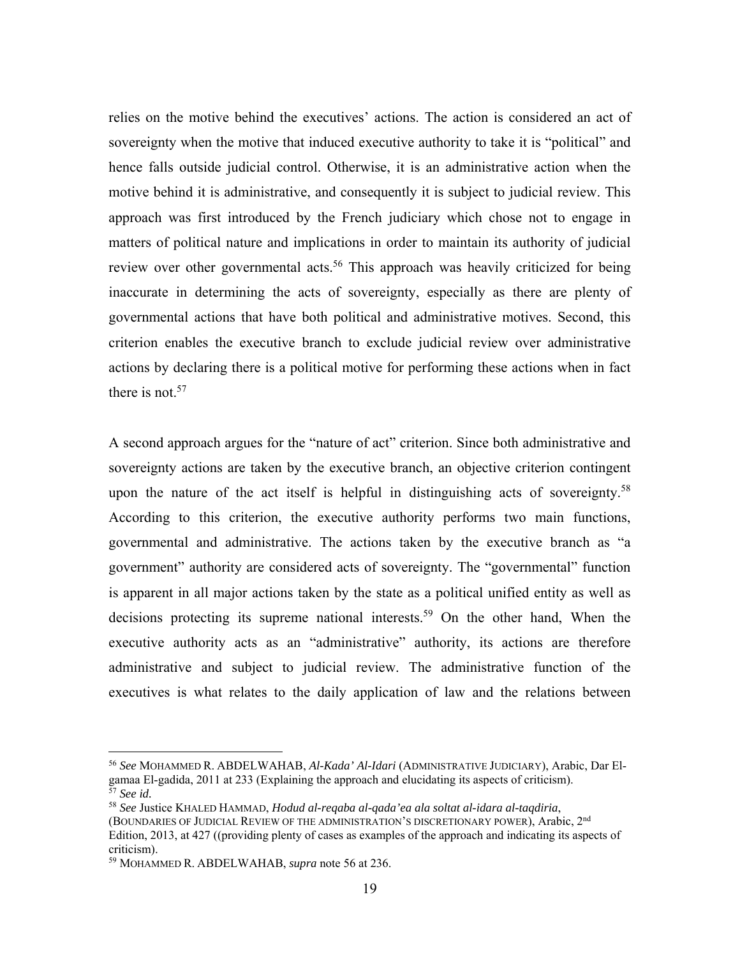relies on the motive behind the executives' actions. The action is considered an act of sovereignty when the motive that induced executive authority to take it is "political" and hence falls outside judicial control. Otherwise, it is an administrative action when the motive behind it is administrative, and consequently it is subject to judicial review. This approach was first introduced by the French judiciary which chose not to engage in matters of political nature and implications in order to maintain its authority of judicial review over other governmental acts.<sup>56</sup> This approach was heavily criticized for being inaccurate in determining the acts of sovereignty, especially as there are plenty of governmental actions that have both political and administrative motives. Second, this criterion enables the executive branch to exclude judicial review over administrative actions by declaring there is a political motive for performing these actions when in fact there is not.<sup>57</sup>

A second approach argues for the "nature of act" criterion. Since both administrative and sovereignty actions are taken by the executive branch, an objective criterion contingent upon the nature of the act itself is helpful in distinguishing acts of sovereignty.<sup>58</sup> According to this criterion, the executive authority performs two main functions, governmental and administrative. The actions taken by the executive branch as "a government" authority are considered acts of sovereignty. The "governmental" function is apparent in all major actions taken by the state as a political unified entity as well as decisions protecting its supreme national interests.<sup>59</sup> On the other hand, When the executive authority acts as an "administrative" authority, its actions are therefore administrative and subject to judicial review. The administrative function of the executives is what relates to the daily application of law and the relations between

<sup>56</sup> *See* MOHAMMED R. ABDELWAHAB, *Al-Kada' Al-Idari* (ADMINISTRATIVE JUDICIARY), Arabic, Dar Elgamaa El-gadida, 2011 at 233 (Explaining the approach and elucidating its aspects of criticism). 57 *See id.*

<sup>58</sup> *See* Justice KHALED HAMMAD, *Hodud al-reqaba al-qada'ea ala soltat al-idara al-taqdiria*,

<sup>(</sup>BOUNDARIES OF JUDICIAL REVIEW OF THE ADMINISTRATION'S DISCRETIONARY POWER), Arabic, 2<sup>nd</sup> Edition, 2013, at 427 ((providing plenty of cases as examples of the approach and indicating its aspects of criticism).

<sup>59</sup> MOHAMMED R. ABDELWAHAB, *supra* note 56 at 236.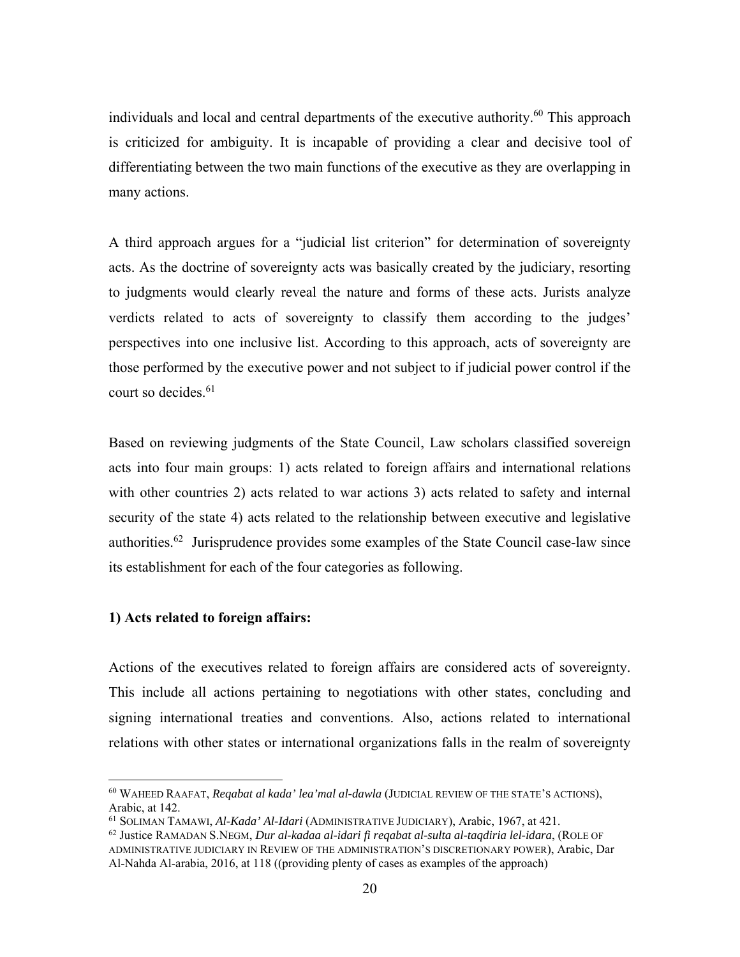individuals and local and central departments of the executive authority.<sup>60</sup> This approach is criticized for ambiguity. It is incapable of providing a clear and decisive tool of differentiating between the two main functions of the executive as they are overlapping in many actions.

A third approach argues for a "judicial list criterion" for determination of sovereignty acts. As the doctrine of sovereignty acts was basically created by the judiciary, resorting to judgments would clearly reveal the nature and forms of these acts. Jurists analyze verdicts related to acts of sovereignty to classify them according to the judges' perspectives into one inclusive list. According to this approach, acts of sovereignty are those performed by the executive power and not subject to if judicial power control if the court so decides. $61$ 

Based on reviewing judgments of the State Council, Law scholars classified sovereign acts into four main groups: 1) acts related to foreign affairs and international relations with other countries 2) acts related to war actions 3) acts related to safety and internal security of the state 4) acts related to the relationship between executive and legislative authorities.<sup>62</sup> Jurisprudence provides some examples of the State Council case-law since its establishment for each of the four categories as following.

#### **1) Acts related to foreign affairs:**

 $\overline{a}$ 

Actions of the executives related to foreign affairs are considered acts of sovereignty. This include all actions pertaining to negotiations with other states, concluding and signing international treaties and conventions. Also, actions related to international relations with other states or international organizations falls in the realm of sovereignty

<sup>60</sup> WAHEED RAAFAT, *Reqabat al kada' lea'mal al-dawla* (JUDICIAL REVIEW OF THE STATE'S ACTIONS), Arabic, at 142.

<sup>61</sup> SOLIMAN TAMAWI, *Al-Kada' Al-Idari* (ADMINISTRATIVE JUDICIARY), Arabic, 1967, at 421.

<sup>62</sup> Justice RAMADAN S.NEGM, *Dur al-kadaa al-idari fi reqabat al-sulta al-taqdiria lel-idara*, (ROLE OF ADMINISTRATIVE JUDICIARY IN REVIEW OF THE ADMINISTRATION'S DISCRETIONARY POWER), Arabic, Dar Al-Nahda Al-arabia, 2016, at 118 ((providing plenty of cases as examples of the approach)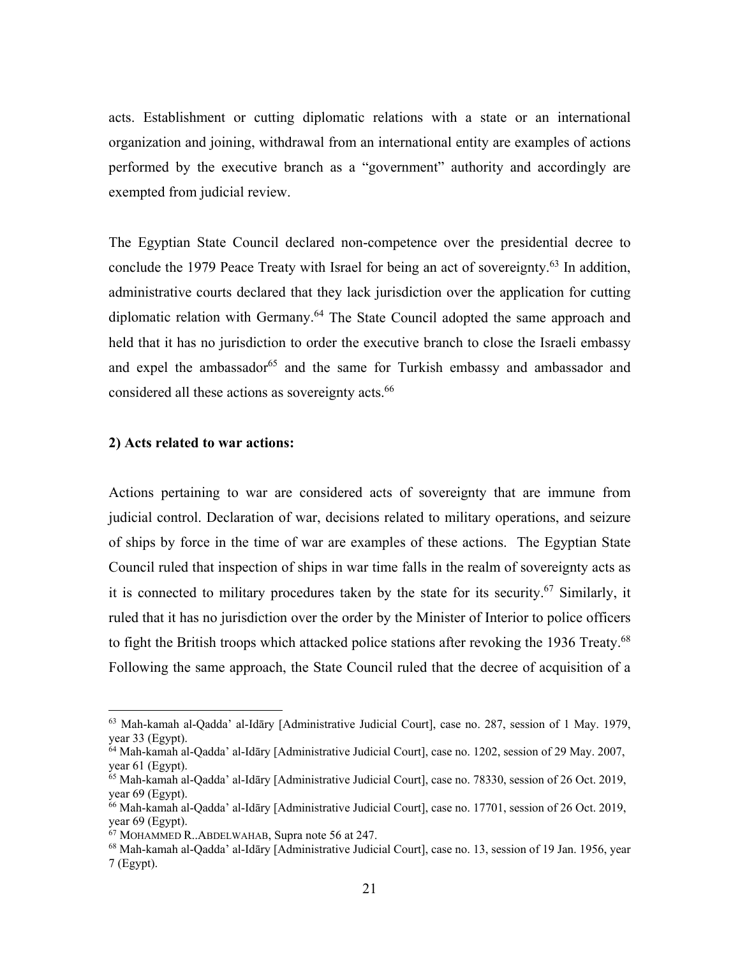acts. Establishment or cutting diplomatic relations with a state or an international organization and joining, withdrawal from an international entity are examples of actions performed by the executive branch as a "government" authority and accordingly are exempted from judicial review.

The Egyptian State Council declared non-competence over the presidential decree to conclude the 1979 Peace Treaty with Israel for being an act of sovereignty.<sup>63</sup> In addition, administrative courts declared that they lack jurisdiction over the application for cutting diplomatic relation with Germany.<sup>64</sup> The State Council adopted the same approach and held that it has no jurisdiction to order the executive branch to close the Israeli embassy and expel the ambassador<sup>65</sup> and the same for Turkish embassy and ambassador and considered all these actions as sovereignty acts.<sup>66</sup>

#### **2) Acts related to war actions:**

1

Actions pertaining to war are considered acts of sovereignty that are immune from judicial control. Declaration of war, decisions related to military operations, and seizure of ships by force in the time of war are examples of these actions. The Egyptian State Council ruled that inspection of ships in war time falls in the realm of sovereignty acts as it is connected to military procedures taken by the state for its security.<sup>67</sup> Similarly, it ruled that it has no jurisdiction over the order by the Minister of Interior to police officers to fight the British troops which attacked police stations after revoking the 1936 Treaty.<sup>68</sup> Following the same approach, the State Council ruled that the decree of acquisition of a

<sup>63</sup> Mah-kamah al-Qadda' al-Idāry [Administrative Judicial Court], case no. 287, session of 1 May. 1979, year 33 (Egypt).

<sup>64</sup> Mah-kamah al-Qadda' al-Idāry [Administrative Judicial Court], case no. 1202, session of 29 May. 2007, year 61 (Egypt).

<sup>65</sup> Mah-kamah al-Qadda' al-Idāry [Administrative Judicial Court], case no. 78330, session of 26 Oct. 2019, year 69 (Egypt).

<sup>66</sup> Mah-kamah al-Qadda' al-Idāry [Administrative Judicial Court], case no. 17701, session of 26 Oct. 2019, year 69 (Egypt).

<sup>67</sup> MOHAMMED R..ABDELWAHAB, Supra note 56 at 247.

<sup>68</sup> Mah-kamah al-Qadda' al-Idāry [Administrative Judicial Court], case no. 13, session of 19 Jan. 1956, year 7 (Egypt).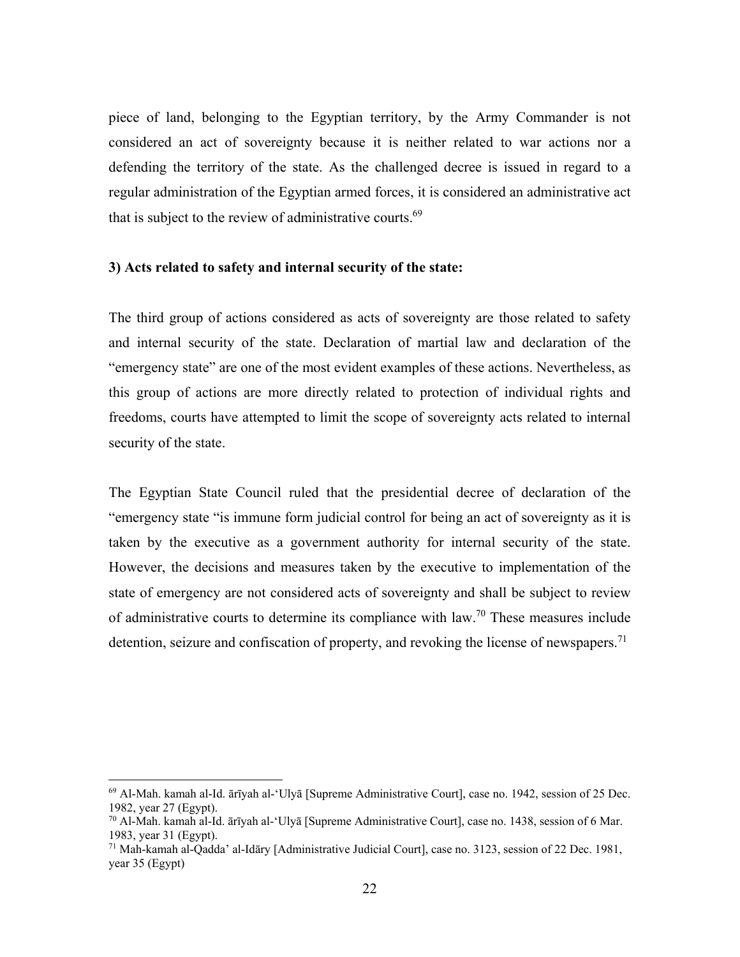piece of land, belonging to the Egyptian territory, by the Army Commander is not considered an act of sovereignty because it is neither related to war actions nor a defending the territory of the state. As the challenged decree is issued in regard to a regular administration of the Egyptian armed forces, it is considered an administrative act that is subject to the review of administrative courts.<sup>69</sup>

#### **3) Acts related to safety and internal security of the state:**

The third group of actions considered as acts of sovereignty are those related to safety and internal security of the state. Declaration of martial law and declaration of the "emergency state" are one of the most evident examples of these actions. Nevertheless, as this group of actions are more directly related to protection of individual rights and freedoms, courts have attempted to limit the scope of sovereignty acts related to internal security of the state.

The Egyptian State Council ruled that the presidential decree of declaration of the "emergency state "is immune form judicial control for being an act of sovereignty as it is taken by the executive as a government authority for internal security of the state. However, the decisions and measures taken by the executive to implementation of the state of emergency are not considered acts of sovereignty and shall be subject to review of administrative courts to determine its compliance with law.<sup>70</sup> These measures include detention, seizure and confiscation of property, and revoking the license of newspapers.<sup>71</sup>

1

<sup>69</sup> Al-Mah. kamah al-Id. ārīyah al-'Ulyā [Supreme Administrative Court], case no. 1942, session of 25 Dec. 1982, year 27 (Egypt).

<sup>70</sup> Al-Mah. kamah al-Id. ārīyah al-'Ulyā [Supreme Administrative Court], case no. 1438, session of 6 Mar. 1983, year 31 (Egypt).

<sup>71</sup> Mah-kamah al-Qadda' al-Idāry [Administrative Judicial Court], case no. 3123, session of 22 Dec. 1981, year 35 (Egypt)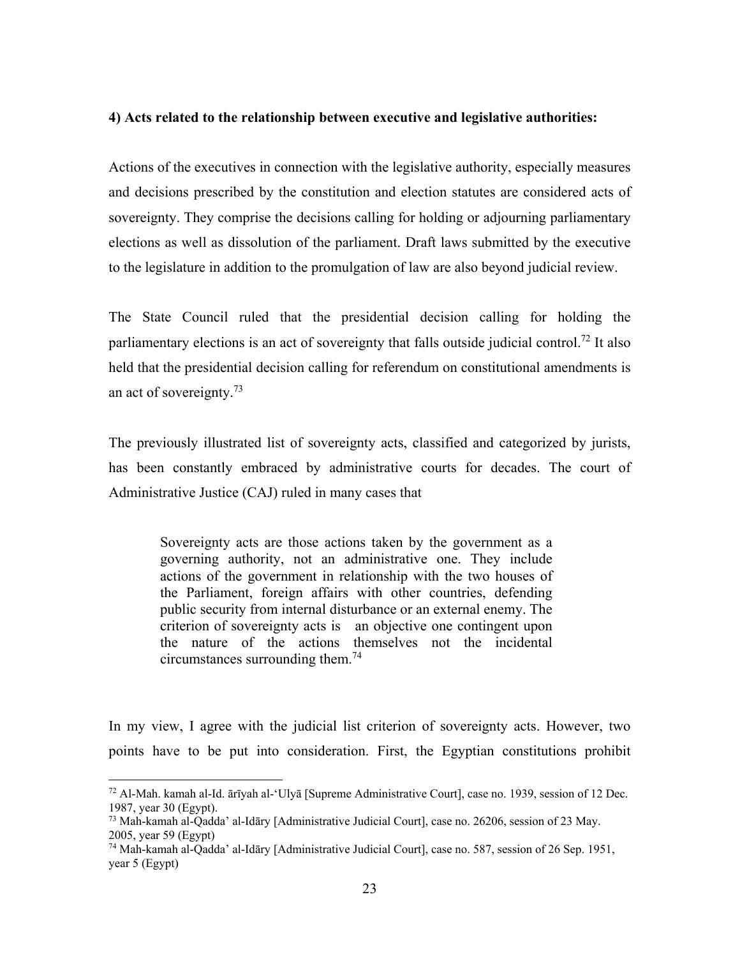#### **4) Acts related to the relationship between executive and legislative authorities:**

Actions of the executives in connection with the legislative authority, especially measures and decisions prescribed by the constitution and election statutes are considered acts of sovereignty. They comprise the decisions calling for holding or adjourning parliamentary elections as well as dissolution of the parliament. Draft laws submitted by the executive to the legislature in addition to the promulgation of law are also beyond judicial review.

The State Council ruled that the presidential decision calling for holding the parliamentary elections is an act of sovereignty that falls outside judicial control.<sup>72</sup> It also held that the presidential decision calling for referendum on constitutional amendments is an act of sovereignty.<sup>73</sup>

The previously illustrated list of sovereignty acts, classified and categorized by jurists, has been constantly embraced by administrative courts for decades. The court of Administrative Justice (CAJ) ruled in many cases that

Sovereignty acts are those actions taken by the government as a governing authority, not an administrative one. They include actions of the government in relationship with the two houses of the Parliament, foreign affairs with other countries, defending public security from internal disturbance or an external enemy. The criterion of sovereignty acts is an objective one contingent upon the nature of the actions themselves not the incidental circumstances surrounding them.<sup>74</sup>

In my view, I agree with the judicial list criterion of sovereignty acts. However, two points have to be put into consideration. First, the Egyptian constitutions prohibit

 $72$  Al-Mah. kamah al-Id. ārīyah al-'Ulyā [Supreme Administrative Court], case no. 1939, session of 12 Dec. 1987, year 30 (Egypt).

<sup>73</sup> Mah-kamah al-Qadda' al-Idāry [Administrative Judicial Court], case no. 26206, session of 23 May. 2005, year 59 (Egypt)

<sup>74</sup> Mah-kamah al-Qadda' al-Idāry [Administrative Judicial Court], case no. 587, session of 26 Sep. 1951, year 5 (Egypt)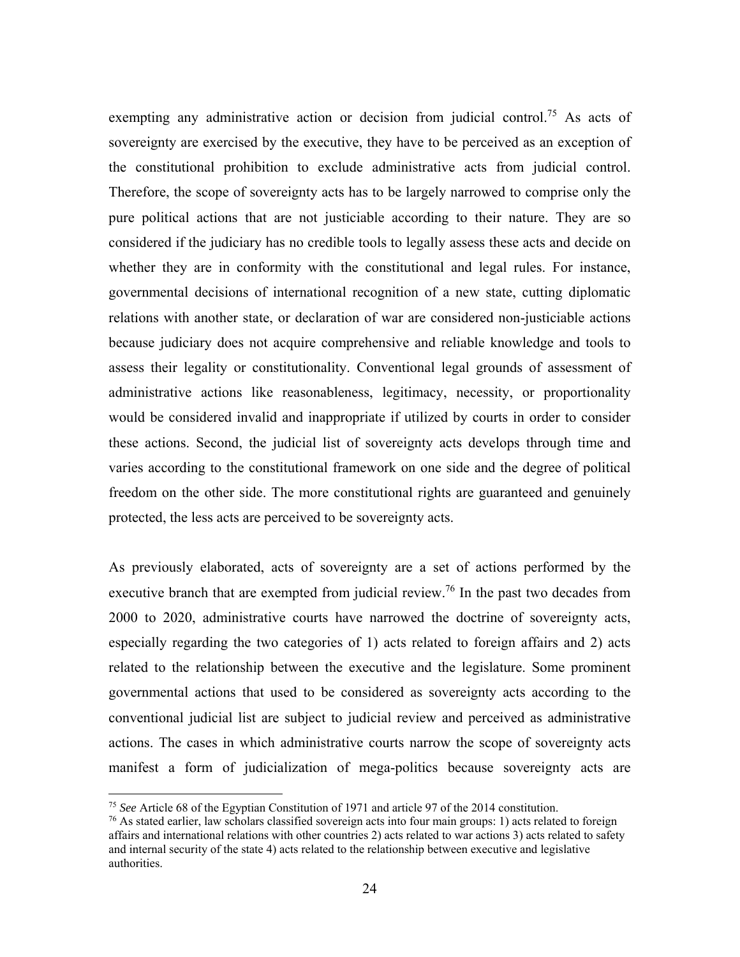exempting any administrative action or decision from judicial control.<sup>75</sup> As acts of sovereignty are exercised by the executive, they have to be perceived as an exception of the constitutional prohibition to exclude administrative acts from judicial control. Therefore, the scope of sovereignty acts has to be largely narrowed to comprise only the pure political actions that are not justiciable according to their nature. They are so considered if the judiciary has no credible tools to legally assess these acts and decide on whether they are in conformity with the constitutional and legal rules. For instance, governmental decisions of international recognition of a new state, cutting diplomatic relations with another state, or declaration of war are considered non-justiciable actions because judiciary does not acquire comprehensive and reliable knowledge and tools to assess their legality or constitutionality. Conventional legal grounds of assessment of administrative actions like reasonableness, legitimacy, necessity, or proportionality would be considered invalid and inappropriate if utilized by courts in order to consider these actions. Second, the judicial list of sovereignty acts develops through time and varies according to the constitutional framework on one side and the degree of political freedom on the other side. The more constitutional rights are guaranteed and genuinely protected, the less acts are perceived to be sovereignty acts.

As previously elaborated, acts of sovereignty are a set of actions performed by the executive branch that are exempted from judicial review.<sup>76</sup> In the past two decades from 2000 to 2020, administrative courts have narrowed the doctrine of sovereignty acts, especially regarding the two categories of 1) acts related to foreign affairs and 2) acts related to the relationship between the executive and the legislature. Some prominent governmental actions that used to be considered as sovereignty acts according to the conventional judicial list are subject to judicial review and perceived as administrative actions. The cases in which administrative courts narrow the scope of sovereignty acts manifest a form of judicialization of mega-politics because sovereignty acts are

<sup>75</sup> *See* Article 68 of the Egyptian Constitution of 1971 and article 97 of the 2014 constitution.

 $76$  As stated earlier, law scholars classified sovereign acts into four main groups: 1) acts related to foreign affairs and international relations with other countries 2) acts related to war actions 3) acts related to safety and internal security of the state 4) acts related to the relationship between executive and legislative authorities.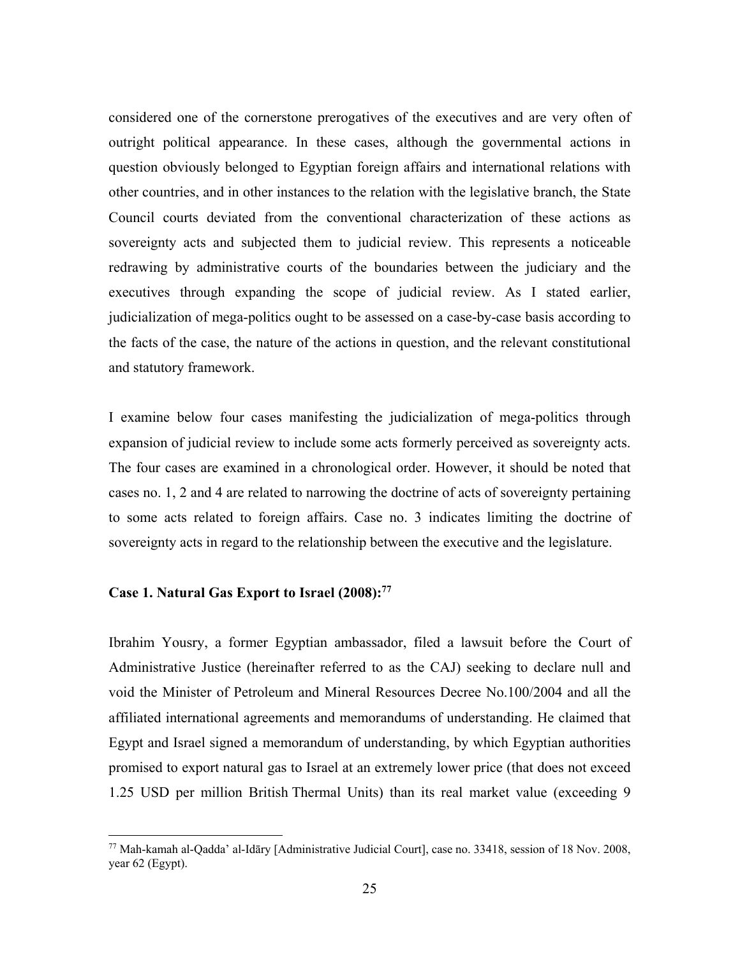considered one of the cornerstone prerogatives of the executives and are very often of outright political appearance. In these cases, although the governmental actions in question obviously belonged to Egyptian foreign affairs and international relations with other countries, and in other instances to the relation with the legislative branch, the State Council courts deviated from the conventional characterization of these actions as sovereignty acts and subjected them to judicial review. This represents a noticeable redrawing by administrative courts of the boundaries between the judiciary and the executives through expanding the scope of judicial review. As I stated earlier, judicialization of mega-politics ought to be assessed on a case-by-case basis according to the facts of the case, the nature of the actions in question, and the relevant constitutional and statutory framework.

I examine below four cases manifesting the judicialization of mega-politics through expansion of judicial review to include some acts formerly perceived as sovereignty acts. The four cases are examined in a chronological order. However, it should be noted that cases no. 1, 2 and 4 are related to narrowing the doctrine of acts of sovereignty pertaining to some acts related to foreign affairs. Case no. 3 indicates limiting the doctrine of sovereignty acts in regard to the relationship between the executive and the legislature.

#### **Case 1. Natural Gas Export to Israel (2008):77**

 $\overline{a}$ 

Ibrahim Yousry, a former Egyptian ambassador, filed a lawsuit before the Court of Administrative Justice (hereinafter referred to as the CAJ) seeking to declare null and void the Minister of Petroleum and Mineral Resources Decree No.100/2004 and all the affiliated international agreements and memorandums of understanding. He claimed that Egypt and Israel signed a memorandum of understanding, by which Egyptian authorities promised to export natural gas to Israel at an extremely lower price (that does not exceed 1.25 USD per million British Thermal Units) than its real market value (exceeding 9

<sup>77</sup> Mah-kamah al-Qadda' al-Idāry [Administrative Judicial Court], case no. 33418, session of 18 Nov. 2008, year 62 (Egypt).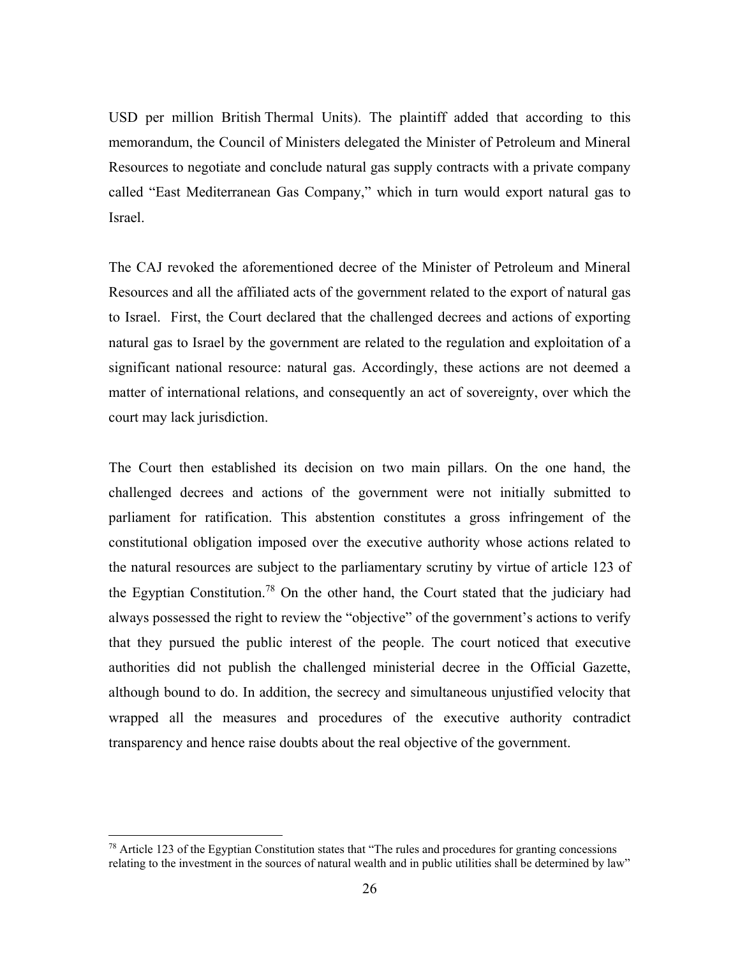USD per million British Thermal Units). The plaintiff added that according to this memorandum, the Council of Ministers delegated the Minister of Petroleum and Mineral Resources to negotiate and conclude natural gas supply contracts with a private company called "East Mediterranean Gas Company," which in turn would export natural gas to Israel.

The CAJ revoked the aforementioned decree of the Minister of Petroleum and Mineral Resources and all the affiliated acts of the government related to the export of natural gas to Israel. First, the Court declared that the challenged decrees and actions of exporting natural gas to Israel by the government are related to the regulation and exploitation of a significant national resource: natural gas. Accordingly, these actions are not deemed a matter of international relations, and consequently an act of sovereignty, over which the court may lack jurisdiction.

The Court then established its decision on two main pillars. On the one hand, the challenged decrees and actions of the government were not initially submitted to parliament for ratification. This abstention constitutes a gross infringement of the constitutional obligation imposed over the executive authority whose actions related to the natural resources are subject to the parliamentary scrutiny by virtue of article 123 of the Egyptian Constitution.78 On the other hand, the Court stated that the judiciary had always possessed the right to review the "objective" of the government's actions to verify that they pursued the public interest of the people. The court noticed that executive authorities did not publish the challenged ministerial decree in the Official Gazette, although bound to do. In addition, the secrecy and simultaneous unjustified velocity that wrapped all the measures and procedures of the executive authority contradict transparency and hence raise doubts about the real objective of the government.

<sup>&</sup>lt;sup>78</sup> Article 123 of the Egyptian Constitution states that "The rules and procedures for granting concessions relating to the investment in the sources of natural wealth and in public utilities shall be determined by law"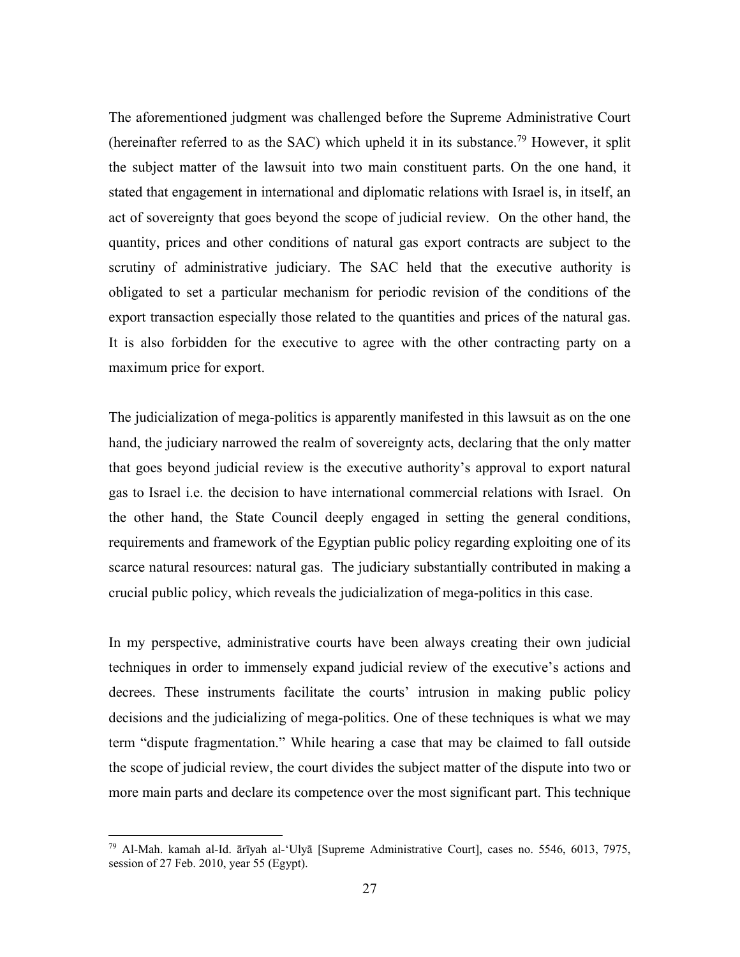The aforementioned judgment was challenged before the Supreme Administrative Court (hereinafter referred to as the SAC) which upheld it in its substance.<sup>79</sup> However, it split the subject matter of the lawsuit into two main constituent parts. On the one hand, it stated that engagement in international and diplomatic relations with Israel is, in itself, an act of sovereignty that goes beyond the scope of judicial review. On the other hand, the quantity, prices and other conditions of natural gas export contracts are subject to the scrutiny of administrative judiciary. The SAC held that the executive authority is obligated to set a particular mechanism for periodic revision of the conditions of the export transaction especially those related to the quantities and prices of the natural gas. It is also forbidden for the executive to agree with the other contracting party on a maximum price for export.

The judicialization of mega-politics is apparently manifested in this lawsuit as on the one hand, the judiciary narrowed the realm of sovereignty acts, declaring that the only matter that goes beyond judicial review is the executive authority's approval to export natural gas to Israel i.e. the decision to have international commercial relations with Israel. On the other hand, the State Council deeply engaged in setting the general conditions, requirements and framework of the Egyptian public policy regarding exploiting one of its scarce natural resources: natural gas. The judiciary substantially contributed in making a crucial public policy, which reveals the judicialization of mega-politics in this case.

In my perspective, administrative courts have been always creating their own judicial techniques in order to immensely expand judicial review of the executive's actions and decrees. These instruments facilitate the courts' intrusion in making public policy decisions and the judicializing of mega-politics. One of these techniques is what we may term "dispute fragmentation." While hearing a case that may be claimed to fall outside the scope of judicial review, the court divides the subject matter of the dispute into two or more main parts and declare its competence over the most significant part. This technique

<sup>79</sup> Al-Mah. kamah al-Id. ārīyah al-'Ulyā [Supreme Administrative Court], cases no. 5546, 6013, 7975, session of 27 Feb. 2010, year 55 (Egypt).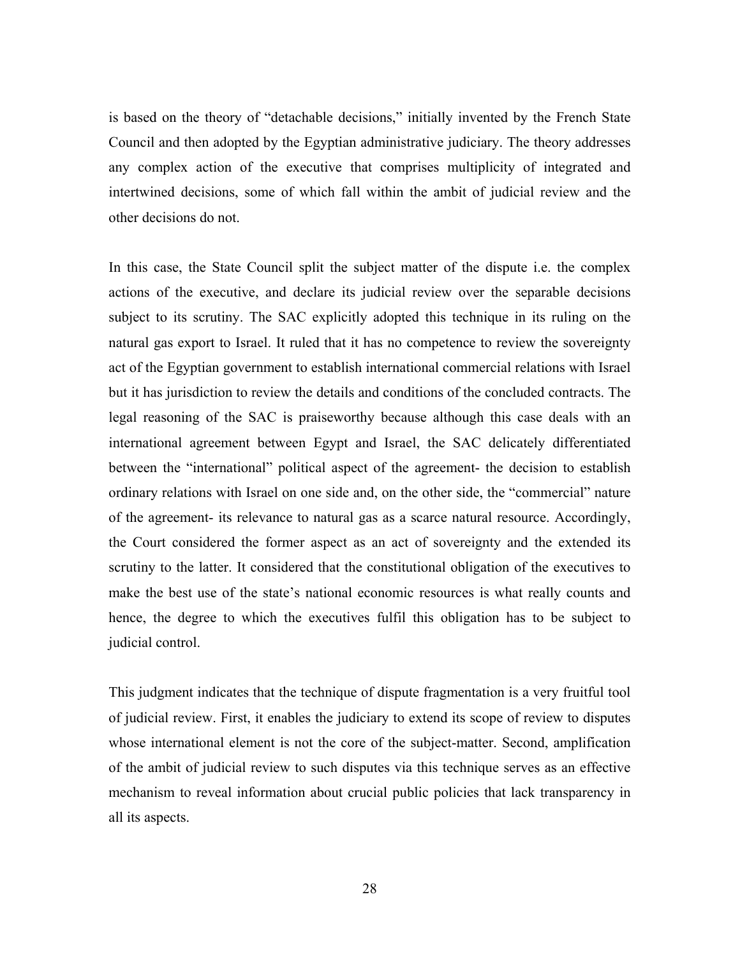is based on the theory of "detachable decisions," initially invented by the French State Council and then adopted by the Egyptian administrative judiciary. The theory addresses any complex action of the executive that comprises multiplicity of integrated and intertwined decisions, some of which fall within the ambit of judicial review and the other decisions do not.

In this case, the State Council split the subject matter of the dispute i.e. the complex actions of the executive, and declare its judicial review over the separable decisions subject to its scrutiny. The SAC explicitly adopted this technique in its ruling on the natural gas export to Israel. It ruled that it has no competence to review the sovereignty act of the Egyptian government to establish international commercial relations with Israel but it has jurisdiction to review the details and conditions of the concluded contracts. The legal reasoning of the SAC is praiseworthy because although this case deals with an international agreement between Egypt and Israel, the SAC delicately differentiated between the "international" political aspect of the agreement- the decision to establish ordinary relations with Israel on one side and, on the other side, the "commercial" nature of the agreement- its relevance to natural gas as a scarce natural resource. Accordingly, the Court considered the former aspect as an act of sovereignty and the extended its scrutiny to the latter. It considered that the constitutional obligation of the executives to make the best use of the state's national economic resources is what really counts and hence, the degree to which the executives fulfil this obligation has to be subject to judicial control.

This judgment indicates that the technique of dispute fragmentation is a very fruitful tool of judicial review. First, it enables the judiciary to extend its scope of review to disputes whose international element is not the core of the subject-matter. Second, amplification of the ambit of judicial review to such disputes via this technique serves as an effective mechanism to reveal information about crucial public policies that lack transparency in all its aspects.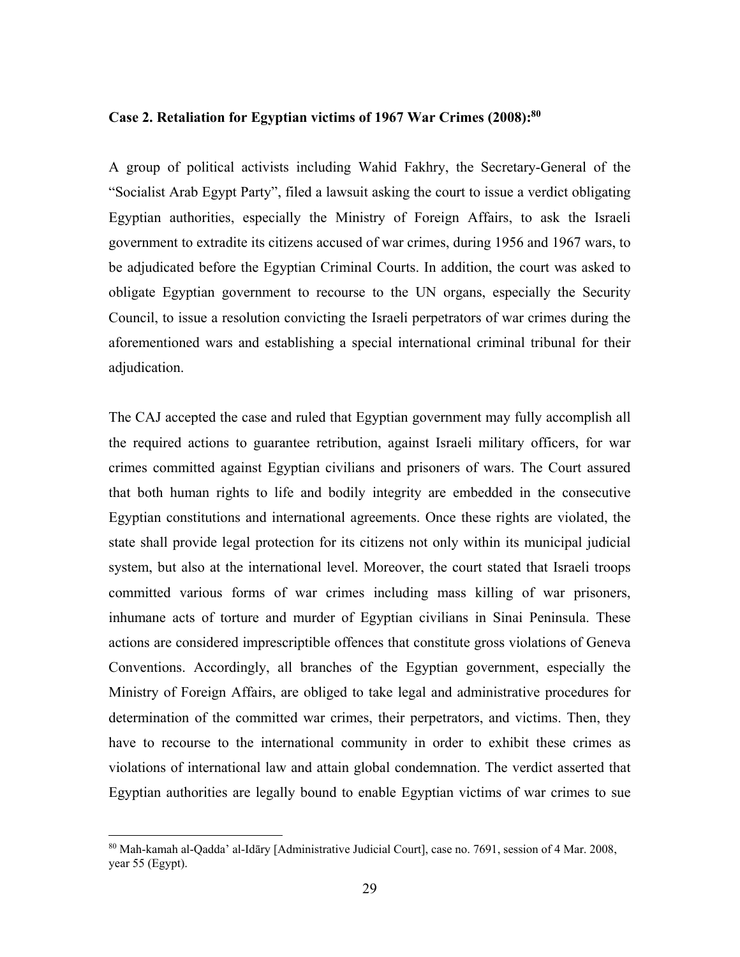#### **Case 2. Retaliation for Egyptian victims of 1967 War Crimes (2008):80**

A group of political activists including Wahid Fakhry, the Secretary-General of the "Socialist Arab Egypt Party", filed a lawsuit asking the court to issue a verdict obligating Egyptian authorities, especially the Ministry of Foreign Affairs, to ask the Israeli government to extradite its citizens accused of war crimes, during 1956 and 1967 wars, to be adjudicated before the Egyptian Criminal Courts. In addition, the court was asked to obligate Egyptian government to recourse to the UN organs, especially the Security Council, to issue a resolution convicting the Israeli perpetrators of war crimes during the aforementioned wars and establishing a special international criminal tribunal for their adjudication.

The CAJ accepted the case and ruled that Egyptian government may fully accomplish all the required actions to guarantee retribution, against Israeli military officers, for war crimes committed against Egyptian civilians and prisoners of wars. The Court assured that both human rights to life and bodily integrity are embedded in the consecutive Egyptian constitutions and international agreements. Once these rights are violated, the state shall provide legal protection for its citizens not only within its municipal judicial system, but also at the international level. Moreover, the court stated that Israeli troops committed various forms of war crimes including mass killing of war prisoners, inhumane acts of torture and murder of Egyptian civilians in Sinai Peninsula. These actions are considered imprescriptible offences that constitute gross violations of Geneva Conventions. Accordingly, all branches of the Egyptian government, especially the Ministry of Foreign Affairs, are obliged to take legal and administrative procedures for determination of the committed war crimes, their perpetrators, and victims. Then, they have to recourse to the international community in order to exhibit these crimes as violations of international law and attain global condemnation. The verdict asserted that Egyptian authorities are legally bound to enable Egyptian victims of war crimes to sue

<sup>80</sup> Mah-kamah al-Qadda' al-Idāry [Administrative Judicial Court], case no. 7691, session of 4 Mar. 2008, year 55 (Egypt).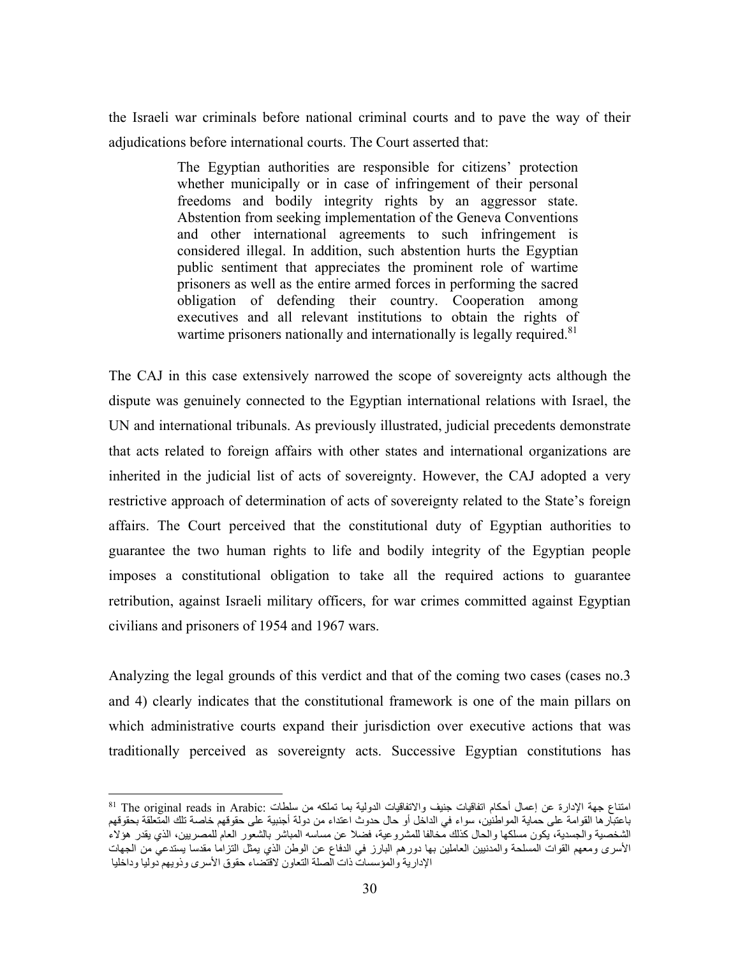the Israeli war criminals before national criminal courts and to pave the way of their adjudications before international courts. The Court asserted that:

> The Egyptian authorities are responsible for citizens' protection whether municipally or in case of infringement of their personal freedoms and bodily integrity rights by an aggressor state. Abstention from seeking implementation of the Geneva Conventions and other international agreements to such infringement is considered illegal. In addition, such abstention hurts the Egyptian public sentiment that appreciates the prominent role of wartime prisoners as well as the entire armed forces in performing the sacred obligation of defending their country. Cooperation among executives and all relevant institutions to obtain the rights of wartime prisoners nationally and internationally is legally required.<sup>81</sup>

The CAJ in this case extensively narrowed the scope of sovereignty acts although the dispute was genuinely connected to the Egyptian international relations with Israel, the UN and international tribunals. As previously illustrated, judicial precedents demonstrate that acts related to foreign affairs with other states and international organizations are inherited in the judicial list of acts of sovereignty. However, the CAJ adopted a very restrictive approach of determination of acts of sovereignty related to the State's foreign affairs. The Court perceived that the constitutional duty of Egyptian authorities to guarantee the two human rights to life and bodily integrity of the Egyptian people imposes a constitutional obligation to take all the required actions to guarantee retribution, against Israeli military officers, for war crimes committed against Egyptian civilians and prisoners of 1954 and 1967 wars.

Analyzing the legal grounds of this verdict and that of the coming two cases (cases no.3 and 4) clearly indicates that the constitutional framework is one of the main pillars on which administrative courts expand their jurisdiction over executive actions that was traditionally perceived as sovereignty acts. Successive Egyptian constitutions has

 $\overline{a}$ امتناع جهة الإدارة عن إعمال أحكام اتفاقيات جنيف والاتفاقيات الدولية بما تملكه من سلطات :Arabic in reads original The 81 باعتبارها القوامة على حماية المواطنين، سواء في الداخل أو حال حدوث اعتداء من دولة أجنبية على حقوقهم خاصة تلك المتعلقة بحقوقهم الشخصية والجسدية، يكون مسلكها والحال كذلك مخالفا للمشروعية، فضلا عن مساسه المباشر بالشعور العام للمصريين، الذي يقدر هؤلاء الأسرى ومعهم القوات المسلحة والمدنيين العاملين بها دورهم البارز في الدفاع عن الوطن الذي يمثل التزاما مقدسا يستدعي من الجهات الإدارية والمؤسسات ذات الصلة التعاون لاقتضاء حقوق الأسرى وذويهم دوليا وداخليا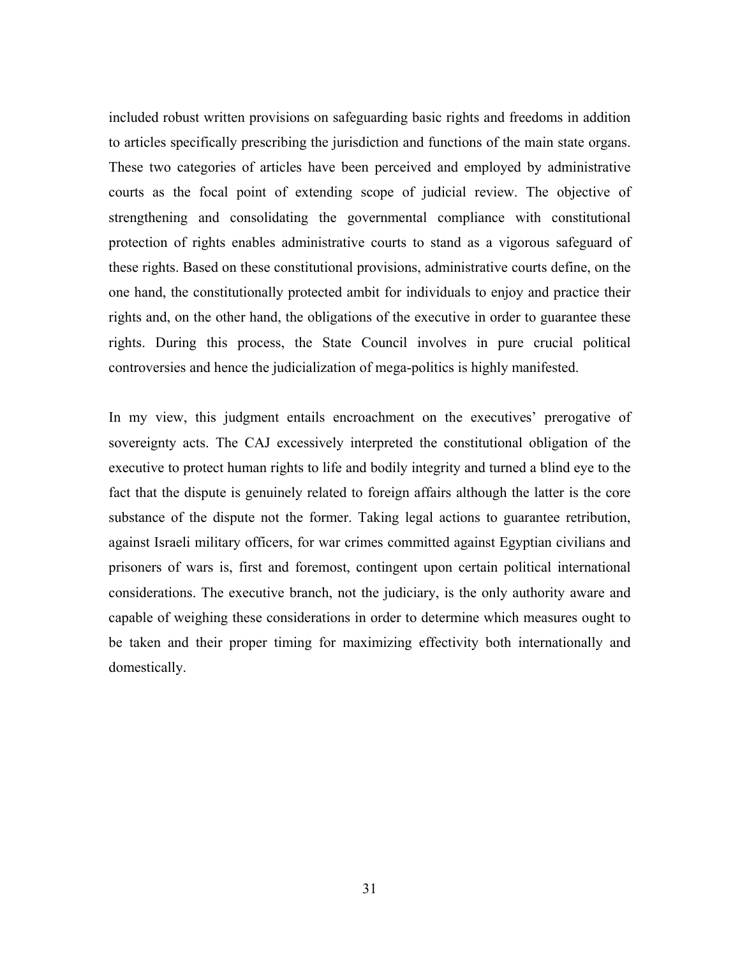included robust written provisions on safeguarding basic rights and freedoms in addition to articles specifically prescribing the jurisdiction and functions of the main state organs. These two categories of articles have been perceived and employed by administrative courts as the focal point of extending scope of judicial review. The objective of strengthening and consolidating the governmental compliance with constitutional protection of rights enables administrative courts to stand as a vigorous safeguard of these rights. Based on these constitutional provisions, administrative courts define, on the one hand, the constitutionally protected ambit for individuals to enjoy and practice their rights and, on the other hand, the obligations of the executive in order to guarantee these rights. During this process, the State Council involves in pure crucial political controversies and hence the judicialization of mega-politics is highly manifested.

In my view, this judgment entails encroachment on the executives' prerogative of sovereignty acts. The CAJ excessively interpreted the constitutional obligation of the executive to protect human rights to life and bodily integrity and turned a blind eye to the fact that the dispute is genuinely related to foreign affairs although the latter is the core substance of the dispute not the former. Taking legal actions to guarantee retribution, against Israeli military officers, for war crimes committed against Egyptian civilians and prisoners of wars is, first and foremost, contingent upon certain political international considerations. The executive branch, not the judiciary, is the only authority aware and capable of weighing these considerations in order to determine which measures ought to be taken and their proper timing for maximizing effectivity both internationally and domestically.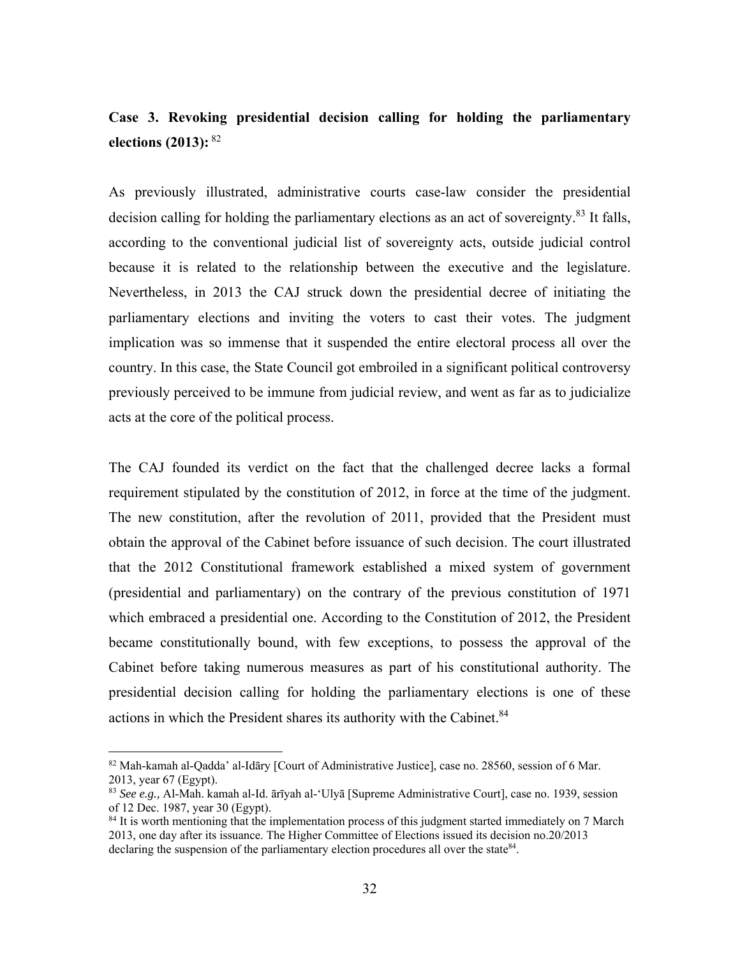# **Case 3. Revoking presidential decision calling for holding the parliamentary elections (2013):**<sup>82</sup>

As previously illustrated, administrative courts case-law consider the presidential decision calling for holding the parliamentary elections as an act of sovereignty.<sup>83</sup> It falls, according to the conventional judicial list of sovereignty acts, outside judicial control because it is related to the relationship between the executive and the legislature. Nevertheless, in 2013 the CAJ struck down the presidential decree of initiating the parliamentary elections and inviting the voters to cast their votes. The judgment implication was so immense that it suspended the entire electoral process all over the country. In this case, the State Council got embroiled in a significant political controversy previously perceived to be immune from judicial review, and went as far as to judicialize acts at the core of the political process.

The CAJ founded its verdict on the fact that the challenged decree lacks a formal requirement stipulated by the constitution of 2012, in force at the time of the judgment. The new constitution, after the revolution of 2011, provided that the President must obtain the approval of the Cabinet before issuance of such decision. The court illustrated that the 2012 Constitutional framework established a mixed system of government (presidential and parliamentary) on the contrary of the previous constitution of 1971 which embraced a presidential one. According to the Constitution of 2012, the President became constitutionally bound, with few exceptions, to possess the approval of the Cabinet before taking numerous measures as part of his constitutional authority. The presidential decision calling for holding the parliamentary elections is one of these actions in which the President shares its authority with the Cabinet.<sup>84</sup>

<sup>82</sup> Mah-kamah al-Qadda' al-Idāry [Court of Administrative Justice], case no. 28560, session of 6 Mar. 2013, year 67 (Egypt).

<sup>83</sup> *See e.g.,* Al-Mah. kamah al-Id. ārīyah al-'Ulyā [Supreme Administrative Court], case no. 1939, session of 12 Dec. 1987, year 30 (Egypt).

<sup>&</sup>lt;sup>84</sup> It is worth mentioning that the implementation process of this judgment started immediately on 7 March 2013, one day after its issuance. The Higher Committee of Elections issued its decision no.20/2013 declaring the suspension of the parliamentary election procedures all over the state  $84$ .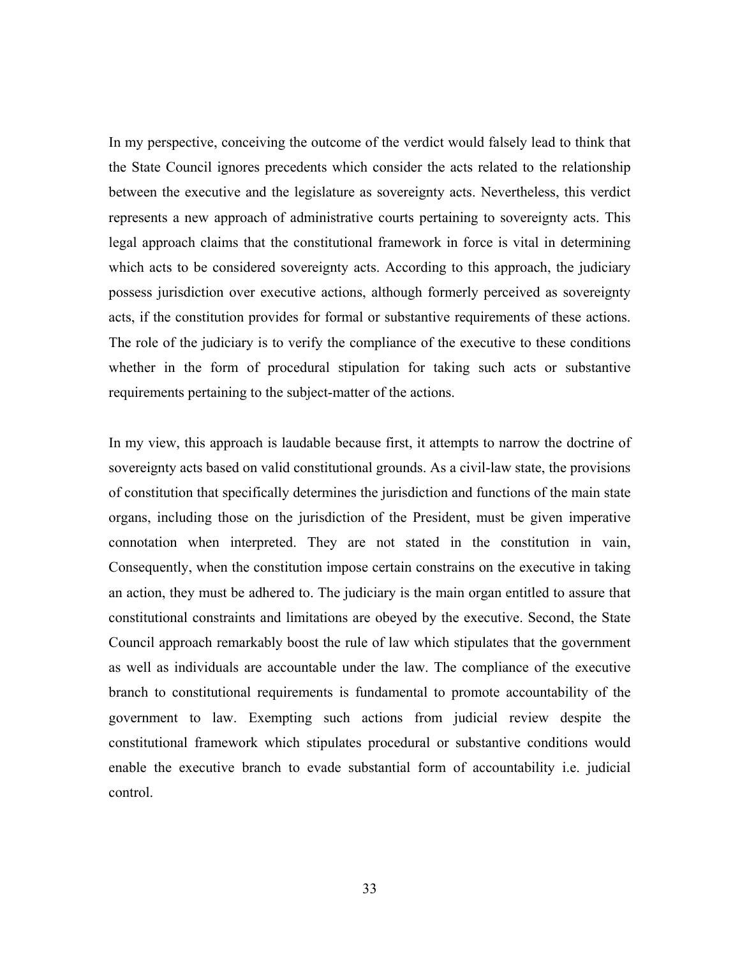In my perspective, conceiving the outcome of the verdict would falsely lead to think that the State Council ignores precedents which consider the acts related to the relationship between the executive and the legislature as sovereignty acts. Nevertheless, this verdict represents a new approach of administrative courts pertaining to sovereignty acts. This legal approach claims that the constitutional framework in force is vital in determining which acts to be considered sovereignty acts. According to this approach, the judiciary possess jurisdiction over executive actions, although formerly perceived as sovereignty acts, if the constitution provides for formal or substantive requirements of these actions. The role of the judiciary is to verify the compliance of the executive to these conditions whether in the form of procedural stipulation for taking such acts or substantive requirements pertaining to the subject-matter of the actions.

In my view, this approach is laudable because first, it attempts to narrow the doctrine of sovereignty acts based on valid constitutional grounds. As a civil-law state, the provisions of constitution that specifically determines the jurisdiction and functions of the main state organs, including those on the jurisdiction of the President, must be given imperative connotation when interpreted. They are not stated in the constitution in vain, Consequently, when the constitution impose certain constrains on the executive in taking an action, they must be adhered to. The judiciary is the main organ entitled to assure that constitutional constraints and limitations are obeyed by the executive. Second, the State Council approach remarkably boost the rule of law which stipulates that the government as well as individuals are accountable under the law. The compliance of the executive branch to constitutional requirements is fundamental to promote accountability of the government to law. Exempting such actions from judicial review despite the constitutional framework which stipulates procedural or substantive conditions would enable the executive branch to evade substantial form of accountability i.e. judicial control.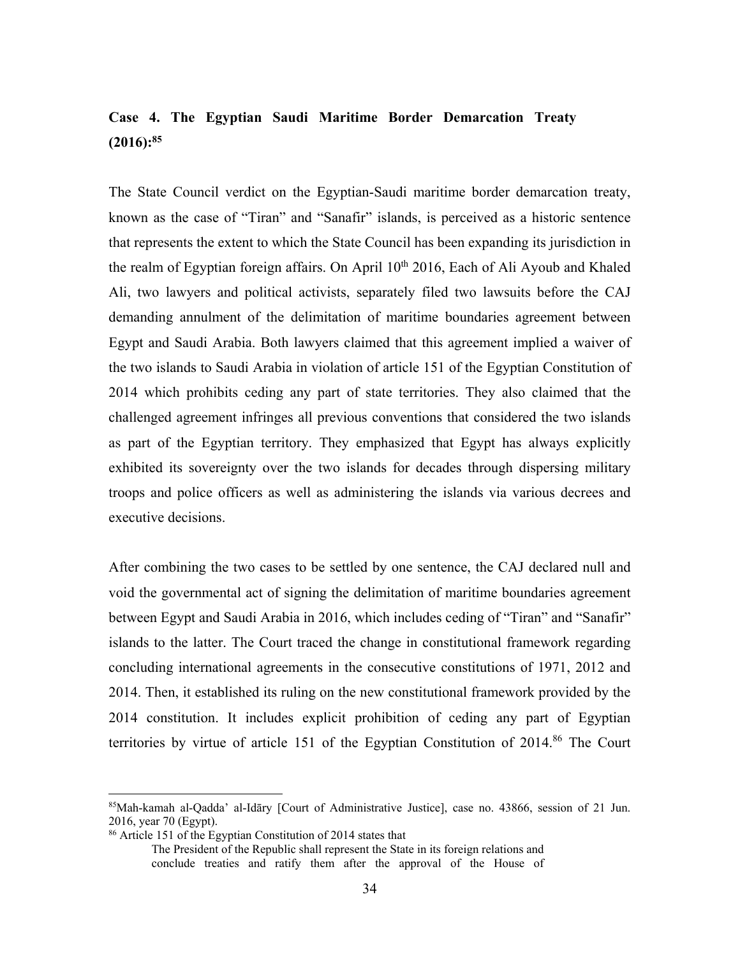## **Case 4. The Egyptian Saudi Maritime Border Demarcation Treaty (2016):85**

The State Council verdict on the Egyptian-Saudi maritime border demarcation treaty, known as the case of "Tiran" and "Sanafir" islands, is perceived as a historic sentence that represents the extent to which the State Council has been expanding its jurisdiction in the realm of Egyptian foreign affairs. On April  $10<sup>th</sup> 2016$ , Each of Ali Ayoub and Khaled Ali, two lawyers and political activists, separately filed two lawsuits before the CAJ demanding annulment of the delimitation of maritime boundaries agreement between Egypt and Saudi Arabia. Both lawyers claimed that this agreement implied a waiver of the two islands to Saudi Arabia in violation of article 151 of the Egyptian Constitution of 2014 which prohibits ceding any part of state territories. They also claimed that the challenged agreement infringes all previous conventions that considered the two islands as part of the Egyptian territory. They emphasized that Egypt has always explicitly exhibited its sovereignty over the two islands for decades through dispersing military troops and police officers as well as administering the islands via various decrees and executive decisions.

After combining the two cases to be settled by one sentence, the CAJ declared null and void the governmental act of signing the delimitation of maritime boundaries agreement between Egypt and Saudi Arabia in 2016, which includes ceding of "Tiran" and "Sanafir" islands to the latter. The Court traced the change in constitutional framework regarding concluding international agreements in the consecutive constitutions of 1971, 2012 and 2014. Then, it established its ruling on the new constitutional framework provided by the 2014 constitution. It includes explicit prohibition of ceding any part of Egyptian territories by virtue of article 151 of the Egyptian Constitution of  $2014<sup>86</sup>$  The Court

<sup>85</sup>Mah-kamah al-Qadda' al-Idāry [Court of Administrative Justice], case no. 43866, session of 21 Jun. 2016, year 70 (Egypt).

<sup>86</sup> Article 151 of the Egyptian Constitution of 2014 states that

The President of the Republic shall represent the State in its foreign relations and conclude treaties and ratify them after the approval of the House of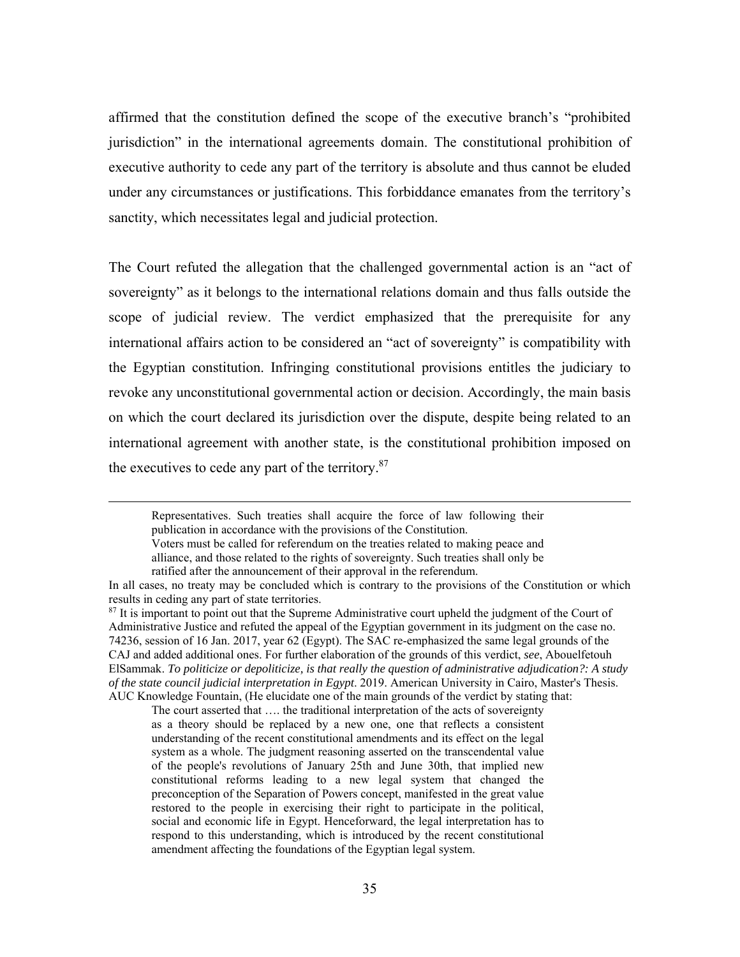affirmed that the constitution defined the scope of the executive branch's "prohibited jurisdiction" in the international agreements domain. The constitutional prohibition of executive authority to cede any part of the territory is absolute and thus cannot be eluded under any circumstances or justifications. This forbiddance emanates from the territory's sanctity, which necessitates legal and judicial protection.

The Court refuted the allegation that the challenged governmental action is an "act of sovereignty" as it belongs to the international relations domain and thus falls outside the scope of judicial review. The verdict emphasized that the prerequisite for any international affairs action to be considered an "act of sovereignty" is compatibility with the Egyptian constitution. Infringing constitutional provisions entitles the judiciary to revoke any unconstitutional governmental action or decision. Accordingly, the main basis on which the court declared its jurisdiction over the dispute, despite being related to an international agreement with another state, is the constitutional prohibition imposed on the executives to cede any part of the territory.<sup>87</sup>

 Representatives. Such treaties shall acquire the force of law following their publication in accordance with the provisions of the Constitution. Voters must be called for referendum on the treaties related to making peace and alliance, and those related to the rights of sovereignty. Such treaties shall only be

ratified after the announcement of their approval in the referendum.

The court asserted that …. the traditional interpretation of the acts of sovereignty as a theory should be replaced by a new one, one that reflects a consistent understanding of the recent constitutional amendments and its effect on the legal system as a whole. The judgment reasoning asserted on the transcendental value of the people's revolutions of January 25th and June 30th, that implied new constitutional reforms leading to a new legal system that changed the preconception of the Separation of Powers concept, manifested in the great value restored to the people in exercising their right to participate in the political, social and economic life in Egypt. Henceforward, the legal interpretation has to respond to this understanding, which is introduced by the recent constitutional amendment affecting the foundations of the Egyptian legal system.

In all cases, no treaty may be concluded which is contrary to the provisions of the Constitution or which results in ceding any part of state territories.

<sup>&</sup>lt;sup>87</sup> It is important to point out that the Supreme Administrative court upheld the judgment of the Court of Administrative Justice and refuted the appeal of the Egyptian government in its judgment on the case no. 74236, session of 16 Jan. 2017, year 62 (Egypt). The SAC re-emphasized the same legal grounds of the CAJ and added additional ones. For further elaboration of the grounds of this verdict, *see*, Abouelfetouh ElSammak. *To politicize or depoliticize, is that really the question of administrative adjudication?: A study of the state council judicial interpretation in Egypt*. 2019. American University in Cairo, Master's Thesis. AUC Knowledge Fountain, (He elucidate one of the main grounds of the verdict by stating that: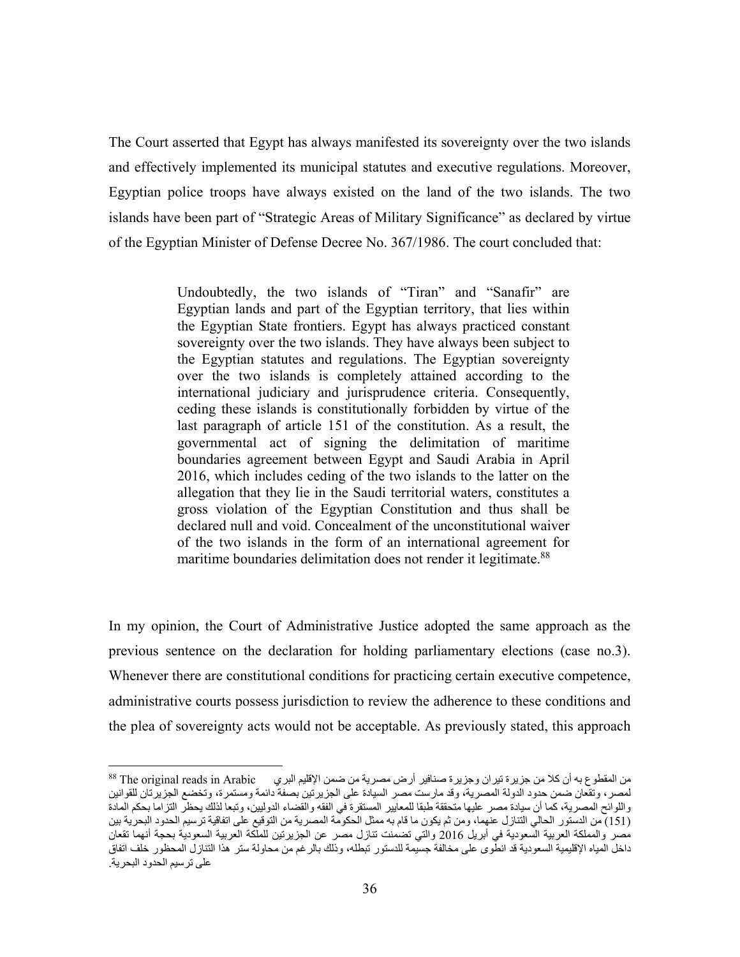The Court asserted that Egypt has always manifested its sovereignty over the two islands and effectively implemented its municipal statutes and executive regulations. Moreover, Egyptian police troops have always existed on the land of the two islands. The two islands have been part of "Strategic Areas of Military Significance" as declared by virtue of the Egyptian Minister of Defense Decree No. 367/1986. The court concluded that:

> Undoubtedly, the two islands of "Tiran" and "Sanafir" are Egyptian lands and part of the Egyptian territory, that lies within the Egyptian State frontiers. Egypt has always practiced constant sovereignty over the two islands. They have always been subject to the Egyptian statutes and regulations. The Egyptian sovereignty over the two islands is completely attained according to the international judiciary and jurisprudence criteria. Consequently, ceding these islands is constitutionally forbidden by virtue of the last paragraph of article 151 of the constitution. As a result, the governmental act of signing the delimitation of maritime boundaries agreement between Egypt and Saudi Arabia in April 2016, which includes ceding of the two islands to the latter on the allegation that they lie in the Saudi territorial waters, constitutes a gross violation of the Egyptian Constitution and thus shall be declared null and void. Concealment of the unconstitutional waiver of the two islands in the form of an international agreement for maritime boundaries delimitation does not render it legitimate.<sup>88</sup>

In my opinion, the Court of Administrative Justice adopted the same approach as the previous sentence on the declaration for holding parliamentary elections (case no.3). Whenever there are constitutional conditions for practicing certain executive competence, administrative courts possess jurisdiction to review the adherence to these conditions and the plea of sovereignty acts would not be acceptable. As previously stated, this approach

من المقطوع به أن كلا من جزيرة تيران وجزيرة صنافير أرض مصرية من ضمن الإقليم البري Arabic in reads original The 88 لمصر، وتقعان ضمن حدود الدولة المصرية، وقد مارست مصر السيادة على الجزيرتين بصفة دائمة ومستمرة، وتخضع الجزيرتان للقوانين واللوائح المصرية، كما أن سيادة مصر عليها متحققة طبقا للمعايير المستقرة في الفقه والقضاء الدوليين، وتبعا لذلك يحظر التزاما بحكم المادة (151) من الدستور الحالي التنازل عنهما، ومن ثم يكون ما قام به ممثل الحكومة المصرية من التوقيع على اتفاقية ترسيم الحدود البحرية بين مصر والمملكة العربية السعودية في أبريل 2016 والتي تضمنت تنازل مصر عن الجزيرتين للملكة العربية السعودية بحجة أنهما تقعان داخل المياه الإقليمية السعودية قد انطوى على مخالفة جسيمة للدستور تبطله، وذلك بالرغم من محاولة ستر هذا التنازل المحظور خلف اتفاق على ترسيم الحدود البحرية.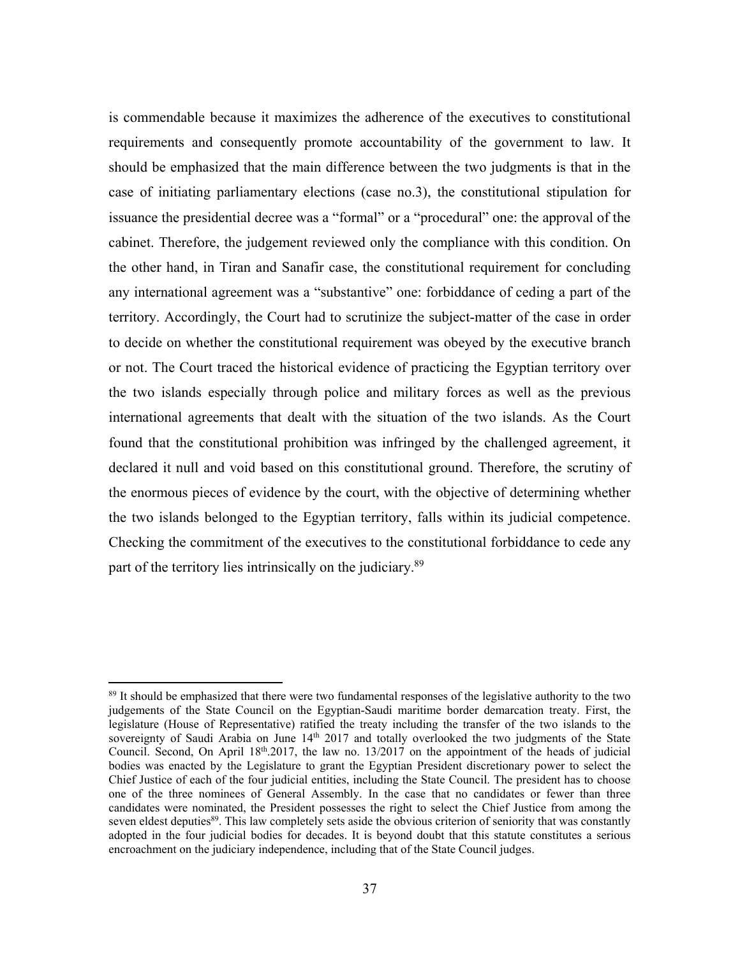is commendable because it maximizes the adherence of the executives to constitutional requirements and consequently promote accountability of the government to law. It should be emphasized that the main difference between the two judgments is that in the case of initiating parliamentary elections (case no.3), the constitutional stipulation for issuance the presidential decree was a "formal" or a "procedural" one: the approval of the cabinet. Therefore, the judgement reviewed only the compliance with this condition. On the other hand, in Tiran and Sanafir case, the constitutional requirement for concluding any international agreement was a "substantive" one: forbiddance of ceding a part of the territory. Accordingly, the Court had to scrutinize the subject-matter of the case in order to decide on whether the constitutional requirement was obeyed by the executive branch or not. The Court traced the historical evidence of practicing the Egyptian territory over the two islands especially through police and military forces as well as the previous international agreements that dealt with the situation of the two islands. As the Court found that the constitutional prohibition was infringed by the challenged agreement, it declared it null and void based on this constitutional ground. Therefore, the scrutiny of the enormous pieces of evidence by the court, with the objective of determining whether the two islands belonged to the Egyptian territory, falls within its judicial competence. Checking the commitment of the executives to the constitutional forbiddance to cede any part of the territory lies intrinsically on the judiciary.<sup>89</sup>

<sup>&</sup>lt;sup>89</sup> It should be emphasized that there were two fundamental responses of the legislative authority to the two judgements of the State Council on the Egyptian-Saudi maritime border demarcation treaty. First, the legislature (House of Representative) ratified the treaty including the transfer of the two islands to the sovereignty of Saudi Arabia on June 14<sup>th</sup> 2017 and totally overlooked the two judgments of the State Council. Second, On April 18th.2017, the law no. 13/2017 on the appointment of the heads of judicial bodies was enacted by the Legislature to grant the Egyptian President discretionary power to select the Chief Justice of each of the four judicial entities, including the State Council. The president has to choose one of the three nominees of General Assembly. In the case that no candidates or fewer than three candidates were nominated, the President possesses the right to select the Chief Justice from among the seven eldest deputies<sup>89</sup>. This law completely sets aside the obvious criterion of seniority that was constantly adopted in the four judicial bodies for decades. It is beyond doubt that this statute constitutes a serious encroachment on the judiciary independence, including that of the State Council judges.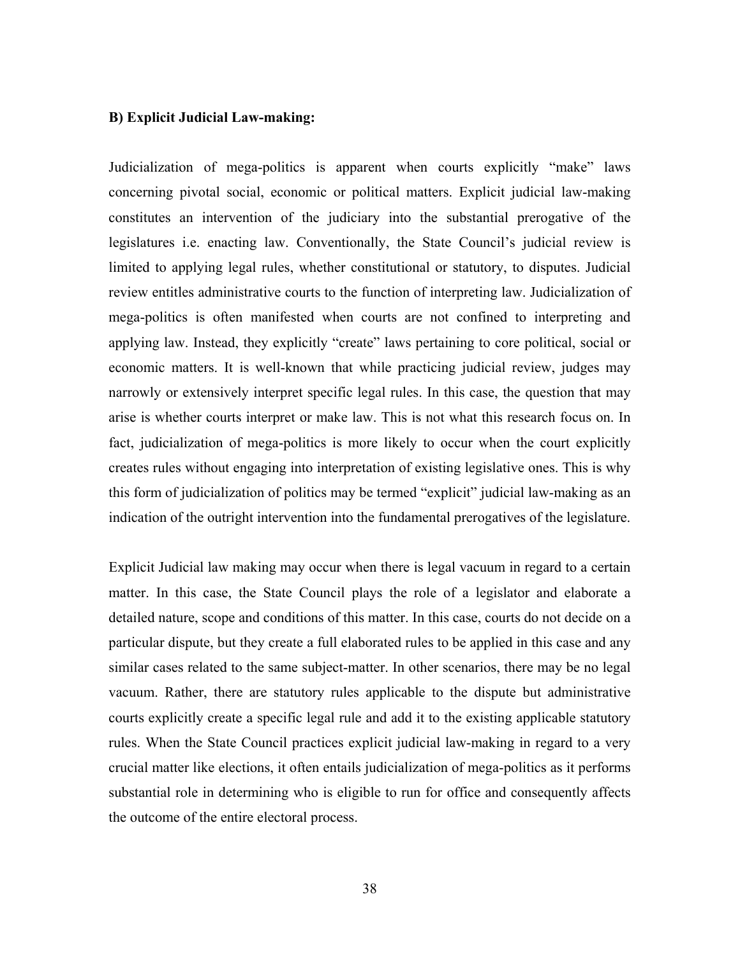#### **B) Explicit Judicial Law-making:**

Judicialization of mega-politics is apparent when courts explicitly "make" laws concerning pivotal social, economic or political matters. Explicit judicial law-making constitutes an intervention of the judiciary into the substantial prerogative of the legislatures i.e. enacting law. Conventionally, the State Council's judicial review is limited to applying legal rules, whether constitutional or statutory, to disputes. Judicial review entitles administrative courts to the function of interpreting law. Judicialization of mega-politics is often manifested when courts are not confined to interpreting and applying law. Instead, they explicitly "create" laws pertaining to core political, social or economic matters. It is well-known that while practicing judicial review, judges may narrowly or extensively interpret specific legal rules. In this case, the question that may arise is whether courts interpret or make law. This is not what this research focus on. In fact, judicialization of mega-politics is more likely to occur when the court explicitly creates rules without engaging into interpretation of existing legislative ones. This is why this form of judicialization of politics may be termed "explicit" judicial law-making as an indication of the outright intervention into the fundamental prerogatives of the legislature.

Explicit Judicial law making may occur when there is legal vacuum in regard to a certain matter. In this case, the State Council plays the role of a legislator and elaborate a detailed nature, scope and conditions of this matter. In this case, courts do not decide on a particular dispute, but they create a full elaborated rules to be applied in this case and any similar cases related to the same subject-matter. In other scenarios, there may be no legal vacuum. Rather, there are statutory rules applicable to the dispute but administrative courts explicitly create a specific legal rule and add it to the existing applicable statutory rules. When the State Council practices explicit judicial law-making in regard to a very crucial matter like elections, it often entails judicialization of mega-politics as it performs substantial role in determining who is eligible to run for office and consequently affects the outcome of the entire electoral process.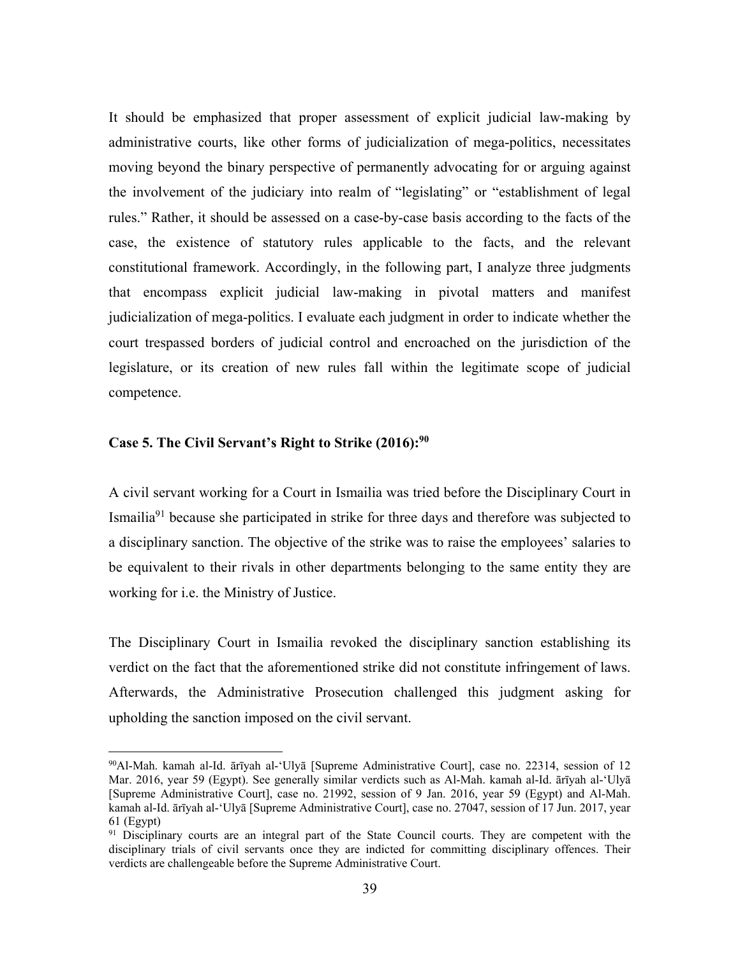It should be emphasized that proper assessment of explicit judicial law-making by administrative courts, like other forms of judicialization of mega-politics, necessitates moving beyond the binary perspective of permanently advocating for or arguing against the involvement of the judiciary into realm of "legislating" or "establishment of legal rules." Rather, it should be assessed on a case-by-case basis according to the facts of the case, the existence of statutory rules applicable to the facts, and the relevant constitutional framework. Accordingly, in the following part, I analyze three judgments that encompass explicit judicial law-making in pivotal matters and manifest judicialization of mega-politics. I evaluate each judgment in order to indicate whether the court trespassed borders of judicial control and encroached on the jurisdiction of the legislature, or its creation of new rules fall within the legitimate scope of judicial competence.

### **Case 5. The Civil Servant's Right to Strike (2016):90**

 $\overline{a}$ 

A civil servant working for a Court in Ismailia was tried before the Disciplinary Court in Ismailia91 because she participated in strike for three days and therefore was subjected to a disciplinary sanction. The objective of the strike was to raise the employees' salaries to be equivalent to their rivals in other departments belonging to the same entity they are working for i.e. the Ministry of Justice.

The Disciplinary Court in Ismailia revoked the disciplinary sanction establishing its verdict on the fact that the aforementioned strike did not constitute infringement of laws. Afterwards, the Administrative Prosecution challenged this judgment asking for upholding the sanction imposed on the civil servant.

<sup>90</sup>Al-Mah. kamah al-Id. ārīyah al-'Ulyā [Supreme Administrative Court], case no. 22314, session of 12 Mar. 2016, year 59 (Egypt). See generally similar verdicts such as Al-Mah. kamah al-Id. ārīyah al-'Ulyā [Supreme Administrative Court], case no. 21992, session of 9 Jan. 2016, year 59 (Egypt) and Al-Mah. kamah al-Id. ārīyah al-'Ulyā [Supreme Administrative Court], case no. 27047, session of 17 Jun. 2017, year 61 (Egypt)

<sup>&</sup>lt;sup>91</sup> Disciplinary courts are an integral part of the State Council courts. They are competent with the disciplinary trials of civil servants once they are indicted for committing disciplinary offences. Their verdicts are challengeable before the Supreme Administrative Court.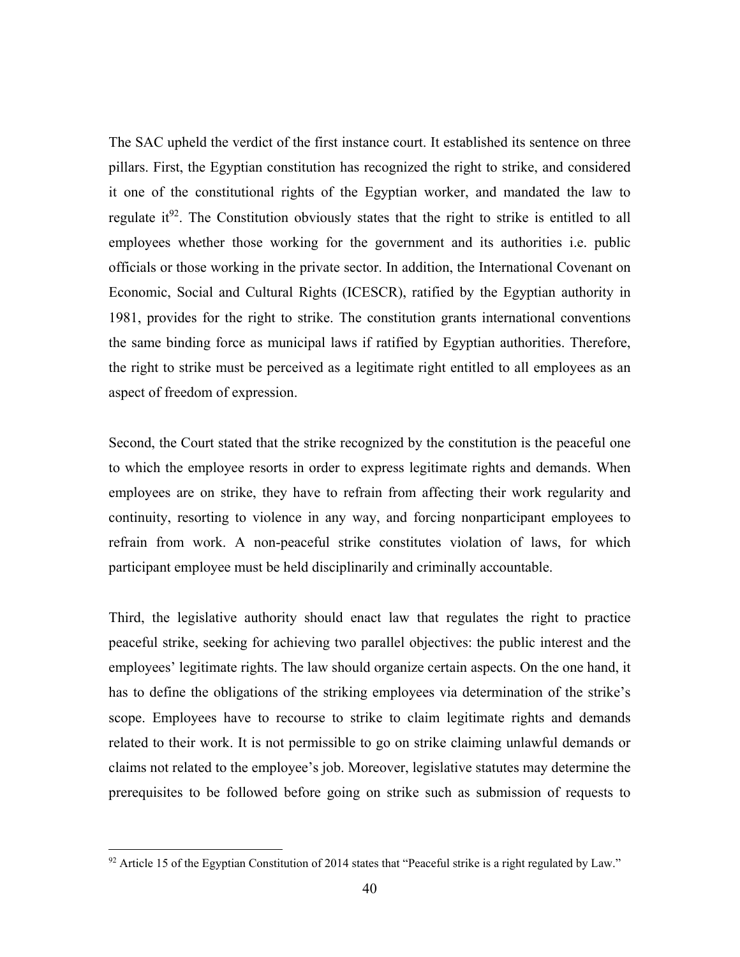The SAC upheld the verdict of the first instance court. It established its sentence on three pillars. First, the Egyptian constitution has recognized the right to strike, and considered it one of the constitutional rights of the Egyptian worker, and mandated the law to regulate it<sup>92</sup>. The Constitution obviously states that the right to strike is entitled to all employees whether those working for the government and its authorities i.e. public officials or those working in the private sector. In addition, the International Covenant on Economic, Social and Cultural Rights (ICESCR), ratified by the Egyptian authority in 1981, provides for the right to strike. The constitution grants international conventions the same binding force as municipal laws if ratified by Egyptian authorities. Therefore, the right to strike must be perceived as a legitimate right entitled to all employees as an aspect of freedom of expression.

Second, the Court stated that the strike recognized by the constitution is the peaceful one to which the employee resorts in order to express legitimate rights and demands. When employees are on strike, they have to refrain from affecting their work regularity and continuity, resorting to violence in any way, and forcing nonparticipant employees to refrain from work. A non-peaceful strike constitutes violation of laws, for which participant employee must be held disciplinarily and criminally accountable.

Third, the legislative authority should enact law that regulates the right to practice peaceful strike, seeking for achieving two parallel objectives: the public interest and the employees' legitimate rights. The law should organize certain aspects. On the one hand, it has to define the obligations of the striking employees via determination of the strike's scope. Employees have to recourse to strike to claim legitimate rights and demands related to their work. It is not permissible to go on strike claiming unlawful demands or claims not related to the employee's job. Moreover, legislative statutes may determine the prerequisites to be followed before going on strike such as submission of requests to

 $92$  Article 15 of the Egyptian Constitution of 2014 states that "Peaceful strike is a right regulated by Law."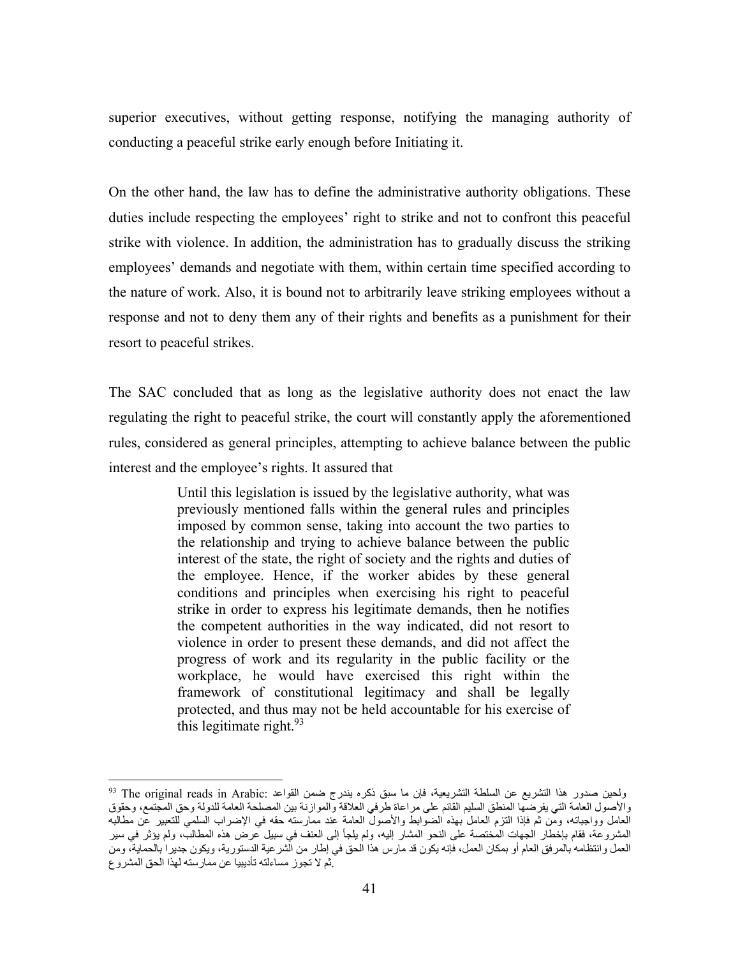superior executives, without getting response, notifying the managing authority of conducting a peaceful strike early enough before Initiating it.

On the other hand, the law has to define the administrative authority obligations. These duties include respecting the employees' right to strike and not to confront this peaceful strike with violence. In addition, the administration has to gradually discuss the striking employees' demands and negotiate with them, within certain time specified according to the nature of work. Also, it is bound not to arbitrarily leave striking employees without a response and not to deny them any of their rights and benefits as a punishment for their resort to peaceful strikes.

The SAC concluded that as long as the legislative authority does not enact the law regulating the right to peaceful strike, the court will constantly apply the aforementioned rules, considered as general principles, attempting to achieve balance between the public interest and the employee's rights. It assured that

> Until this legislation is issued by the legislative authority, what was previously mentioned falls within the general rules and principles imposed by common sense, taking into account the two parties to the relationship and trying to achieve balance between the public interest of the state, the right of society and the rights and duties of the employee. Hence, if the worker abides by these general conditions and principles when exercising his right to peaceful strike in order to express his legitimate demands, then he notifies the competent authorities in the way indicated, did not resort to violence in order to present these demands, and did not affect the progress of work and its regularity in the public facility or the workplace, he would have exercised this right within the framework of constitutional legitimacy and shall be legally protected, and thus may not be held accountable for his exercise of this legitimate right. $93$

ولحين صدور هذا التشريع عن السلطة التشريعية، فإن ما سبق ذكره يندرج ضمن القواعد :The original reads in Arabic <sup>93</sup> والأصول العامة التي يفرضها المنطق السليم القائم على مراعاة طرفي العلاقة والموازنة بين المصلحة العامة للدولة وحق المجتمع، وحقوق العامل وواجباته، ومن ثم فإذا التزم العامل بهذه الضوابط والأصول العامة عند ممارسته حقه في الإضراب السلمي للتعبير عن مطالبه المشروعة، فقام بإخطار الجهات المختصة على النحو المشار إليه، ولم يلجأ إلى العنف في سبيل عرض هذه المطالب، ولم يؤثر في سير العمل وانتظامه بالمرفق العام أو بمكان العمل، فإنه يكون قد مارس هذا الحق في إطار من الشرعية الدستورية، ويكون جديرا بالحماية، ومن .ثم لا تجوز مساءلته تأديبيا عن ممارسته لهذا الحق المشروع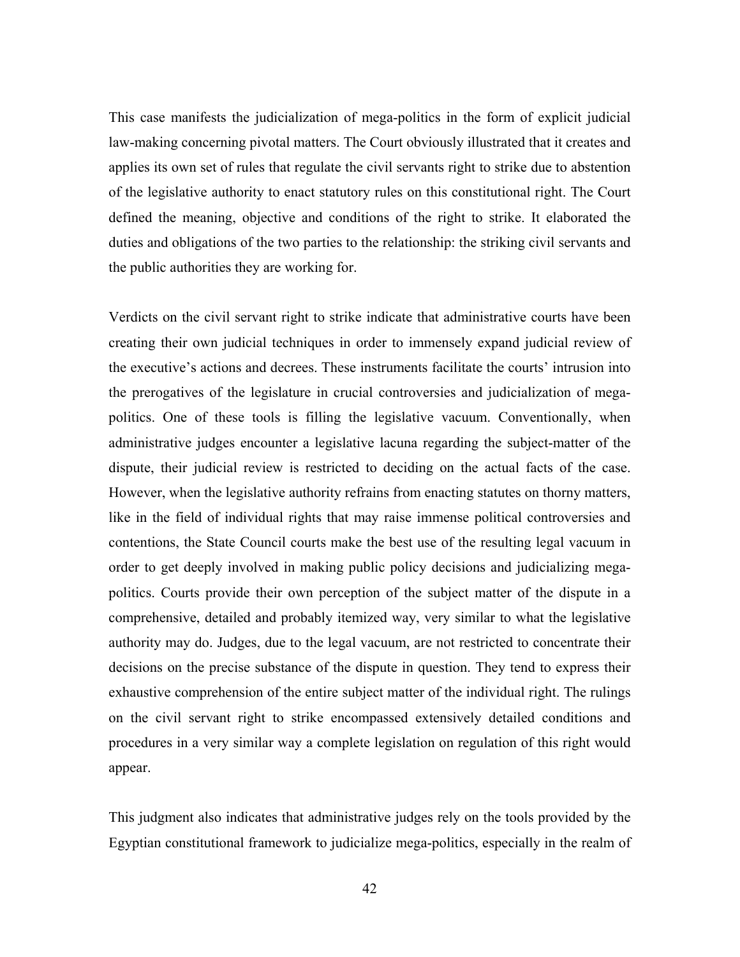This case manifests the judicialization of mega-politics in the form of explicit judicial law-making concerning pivotal matters. The Court obviously illustrated that it creates and applies its own set of rules that regulate the civil servants right to strike due to abstention of the legislative authority to enact statutory rules on this constitutional right. The Court defined the meaning, objective and conditions of the right to strike. It elaborated the duties and obligations of the two parties to the relationship: the striking civil servants and the public authorities they are working for.

Verdicts on the civil servant right to strike indicate that administrative courts have been creating their own judicial techniques in order to immensely expand judicial review of the executive's actions and decrees. These instruments facilitate the courts' intrusion into the prerogatives of the legislature in crucial controversies and judicialization of megapolitics. One of these tools is filling the legislative vacuum. Conventionally, when administrative judges encounter a legislative lacuna regarding the subject-matter of the dispute, their judicial review is restricted to deciding on the actual facts of the case. However, when the legislative authority refrains from enacting statutes on thorny matters, like in the field of individual rights that may raise immense political controversies and contentions, the State Council courts make the best use of the resulting legal vacuum in order to get deeply involved in making public policy decisions and judicializing megapolitics. Courts provide their own perception of the subject matter of the dispute in a comprehensive, detailed and probably itemized way, very similar to what the legislative authority may do. Judges, due to the legal vacuum, are not restricted to concentrate their decisions on the precise substance of the dispute in question. They tend to express their exhaustive comprehension of the entire subject matter of the individual right. The rulings on the civil servant right to strike encompassed extensively detailed conditions and procedures in a very similar way a complete legislation on regulation of this right would appear.

This judgment also indicates that administrative judges rely on the tools provided by the Egyptian constitutional framework to judicialize mega-politics, especially in the realm of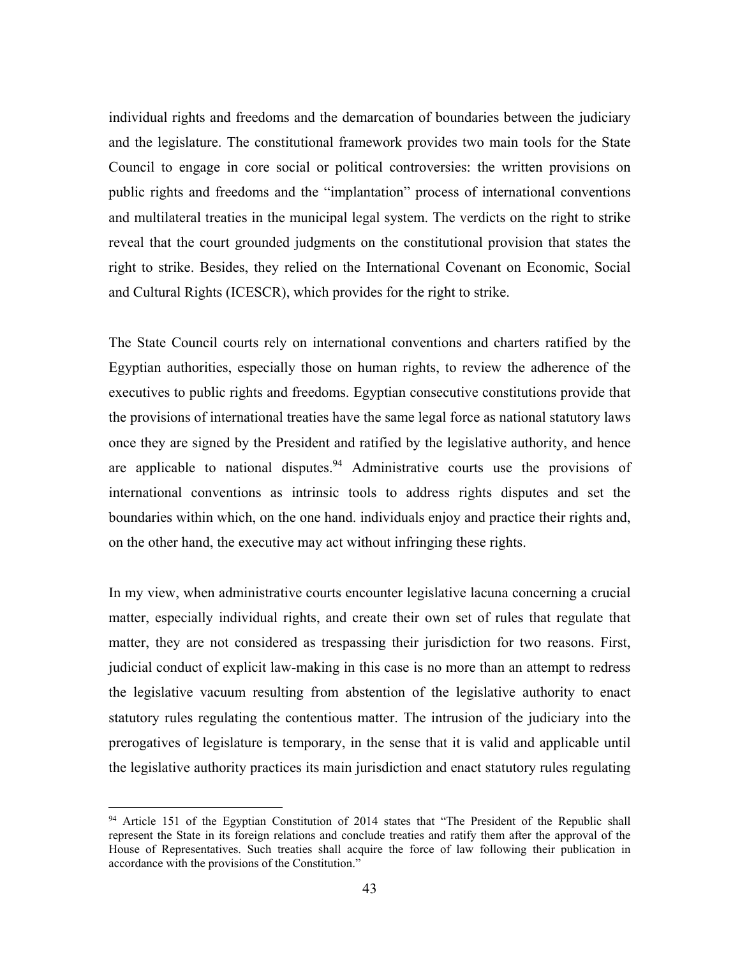individual rights and freedoms and the demarcation of boundaries between the judiciary and the legislature. The constitutional framework provides two main tools for the State Council to engage in core social or political controversies: the written provisions on public rights and freedoms and the "implantation" process of international conventions and multilateral treaties in the municipal legal system. The verdicts on the right to strike reveal that the court grounded judgments on the constitutional provision that states the right to strike. Besides, they relied on the International Covenant on Economic, Social and Cultural Rights (ICESCR), which provides for the right to strike.

The State Council courts rely on international conventions and charters ratified by the Egyptian authorities, especially those on human rights, to review the adherence of the executives to public rights and freedoms. Egyptian consecutive constitutions provide that the provisions of international treaties have the same legal force as national statutory laws once they are signed by the President and ratified by the legislative authority, and hence are applicable to national disputes.  $94$  Administrative courts use the provisions of international conventions as intrinsic tools to address rights disputes and set the boundaries within which, on the one hand. individuals enjoy and practice their rights and, on the other hand, the executive may act without infringing these rights.

In my view, when administrative courts encounter legislative lacuna concerning a crucial matter, especially individual rights, and create their own set of rules that regulate that matter, they are not considered as trespassing their jurisdiction for two reasons. First, judicial conduct of explicit law-making in this case is no more than an attempt to redress the legislative vacuum resulting from abstention of the legislative authority to enact statutory rules regulating the contentious matter. The intrusion of the judiciary into the prerogatives of legislature is temporary, in the sense that it is valid and applicable until the legislative authority practices its main jurisdiction and enact statutory rules regulating

<sup>&</sup>lt;sup>94</sup> Article 151 of the Egyptian Constitution of 2014 states that "The President of the Republic shall represent the State in its foreign relations and conclude treaties and ratify them after the approval of the House of Representatives. Such treaties shall acquire the force of law following their publication in accordance with the provisions of the Constitution."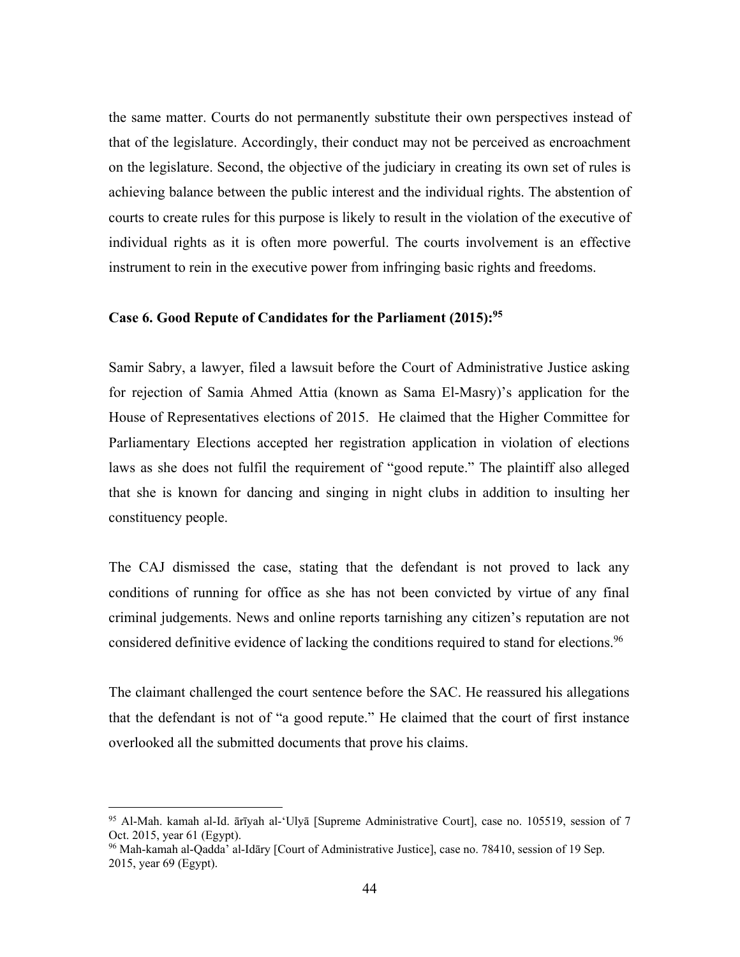the same matter. Courts do not permanently substitute their own perspectives instead of that of the legislature. Accordingly, their conduct may not be perceived as encroachment on the legislature. Second, the objective of the judiciary in creating its own set of rules is achieving balance between the public interest and the individual rights. The abstention of courts to create rules for this purpose is likely to result in the violation of the executive of individual rights as it is often more powerful. The courts involvement is an effective instrument to rein in the executive power from infringing basic rights and freedoms.

### **Case 6. Good Repute of Candidates for the Parliament (2015):95**

Samir Sabry, a lawyer, filed a lawsuit before the Court of Administrative Justice asking for rejection of Samia Ahmed Attia (known as Sama El-Masry)'s application for the House of Representatives elections of 2015. He claimed that the Higher Committee for Parliamentary Elections accepted her registration application in violation of elections laws as she does not fulfil the requirement of "good repute." The plaintiff also alleged that she is known for dancing and singing in night clubs in addition to insulting her constituency people.

The CAJ dismissed the case, stating that the defendant is not proved to lack any conditions of running for office as she has not been convicted by virtue of any final criminal judgements. News and online reports tarnishing any citizen's reputation are not considered definitive evidence of lacking the conditions required to stand for elections.<sup>96</sup>

The claimant challenged the court sentence before the SAC. He reassured his allegations that the defendant is not of "a good repute." He claimed that the court of first instance overlooked all the submitted documents that prove his claims.

<u>.</u>

<sup>95</sup> Al-Mah. kamah al-Id. ārīyah al-'Ulyā [Supreme Administrative Court], case no. 105519, session of 7 Oct. 2015, year 61 (Egypt).

<sup>96</sup> Mah-kamah al-Qadda' al-Idāry [Court of Administrative Justice], case no. 78410, session of 19 Sep. 2015, year 69 (Egypt).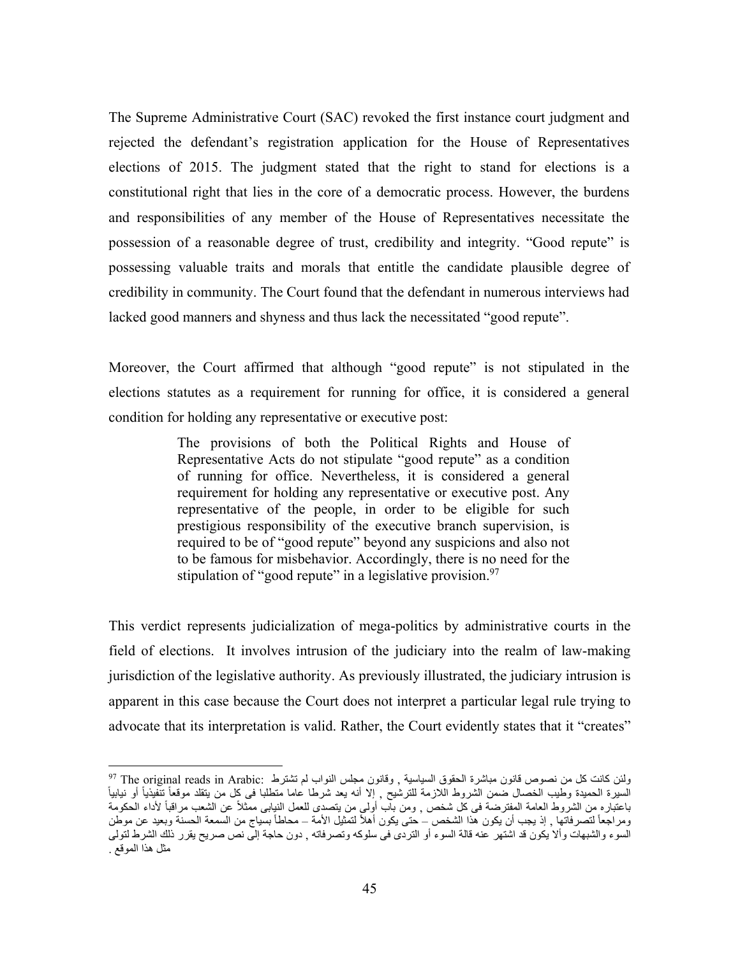The Supreme Administrative Court (SAC) revoked the first instance court judgment and rejected the defendant's registration application for the House of Representatives elections of 2015. The judgment stated that the right to stand for elections is a constitutional right that lies in the core of a democratic process. However, the burdens and responsibilities of any member of the House of Representatives necessitate the possession of a reasonable degree of trust, credibility and integrity. "Good repute" is possessing valuable traits and morals that entitle the candidate plausible degree of credibility in community. The Court found that the defendant in numerous interviews had lacked good manners and shyness and thus lack the necessitated "good repute".

Moreover, the Court affirmed that although "good repute" is not stipulated in the elections statutes as a requirement for running for office, it is considered a general condition for holding any representative or executive post:

> The provisions of both the Political Rights and House of Representative Acts do not stipulate "good repute" as a condition of running for office. Nevertheless, it is considered a general requirement for holding any representative or executive post. Any representative of the people, in order to be eligible for such prestigious responsibility of the executive branch supervision, is required to be of "good repute" beyond any suspicions and also not to be famous for misbehavior. Accordingly, there is no need for the stipulation of "good repute" in a legislative provision.<sup>97</sup>

This verdict represents judicialization of mega-politics by administrative courts in the field of elections. It involves intrusion of the judiciary into the realm of law-making jurisdiction of the legislative authority. As previously illustrated, the judiciary intrusion is apparent in this case because the Court does not interpret a particular legal rule trying to advocate that its interpretation is valid. Rather, the Court evidently states that it "creates"

<u>.</u>

 $^{97}$  The original reads in Arabic: ولئن كانت كل من نصوص قانون مباشرة الحقوق السياسية , وقانون مجلس النواب لم تشترط ً السيرة الحميدة وطيب الخصال ضمن الشروط اللازمة للترشيح , إلا أنه يعد شرطا عاما متطلبا فى كل من يتقلد موقعاً تنّفيذياً أو نيابياً باعتباره من الشروط العامة المفترضة فى كل شخص , ومن باب أولى من يتصدى للعمل النيابى ممثلاً عن الشعب مراقباً لأداء الحكومة ومراجعاً لتصرفاتها , إذ يجب أن يكون هذا الشخص – حتى يكون أهلأ لتمثيل الأمة – محاطأ بسياج من السمعة الحسنة وبعيد عن موطن السوء والشبهات وألا يكون قد اشتهر عنه قالة السوء أو التردى فى سلوكه وتصرفاته , دون حاجة إلى نص صريح يقرر ذلك الشرط لتولى مثل هذا الموقع .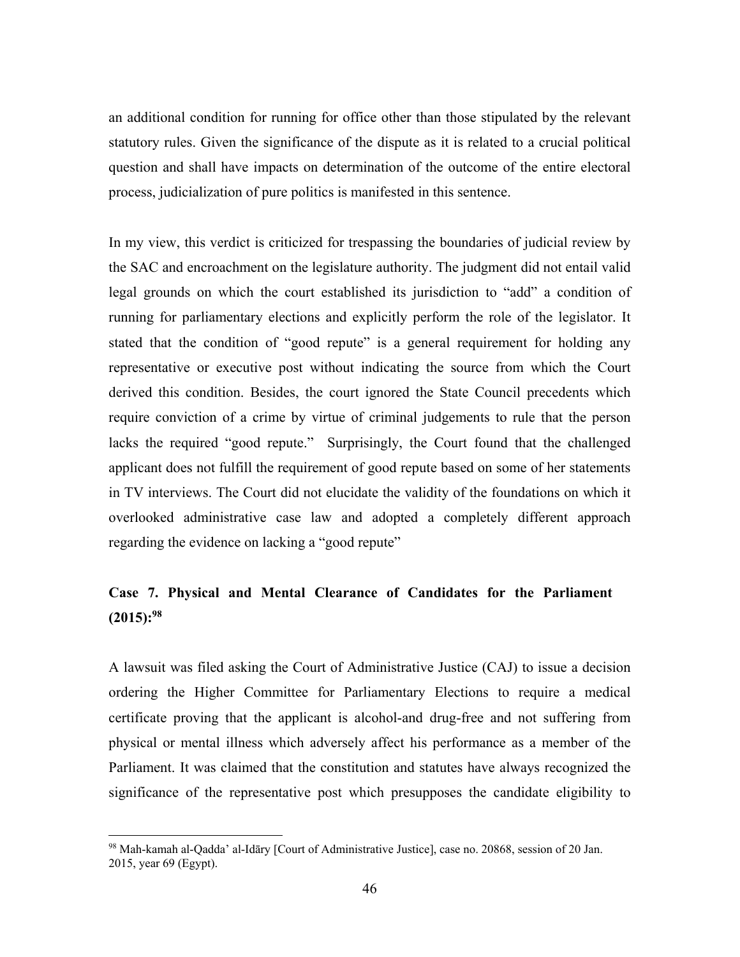an additional condition for running for office other than those stipulated by the relevant statutory rules. Given the significance of the dispute as it is related to a crucial political question and shall have impacts on determination of the outcome of the entire electoral process, judicialization of pure politics is manifested in this sentence.

In my view, this verdict is criticized for trespassing the boundaries of judicial review by the SAC and encroachment on the legislature authority. The judgment did not entail valid legal grounds on which the court established its jurisdiction to "add" a condition of running for parliamentary elections and explicitly perform the role of the legislator. It stated that the condition of "good repute" is a general requirement for holding any representative or executive post without indicating the source from which the Court derived this condition. Besides, the court ignored the State Council precedents which require conviction of a crime by virtue of criminal judgements to rule that the person lacks the required "good repute." Surprisingly, the Court found that the challenged applicant does not fulfill the requirement of good repute based on some of her statements in TV interviews. The Court did not elucidate the validity of the foundations on which it overlooked administrative case law and adopted a completely different approach regarding the evidence on lacking a "good repute"

# **Case 7. Physical and Mental Clearance of Candidates for the Parliament (2015):98**

A lawsuit was filed asking the Court of Administrative Justice (CAJ) to issue a decision ordering the Higher Committee for Parliamentary Elections to require a medical certificate proving that the applicant is alcohol-and drug-free and not suffering from physical or mental illness which adversely affect his performance as a member of the Parliament. It was claimed that the constitution and statutes have always recognized the significance of the representative post which presupposes the candidate eligibility to

1

<sup>98</sup> Mah-kamah al-Qadda' al-Idāry [Court of Administrative Justice], case no. 20868, session of 20 Jan. 2015, year 69 (Egypt).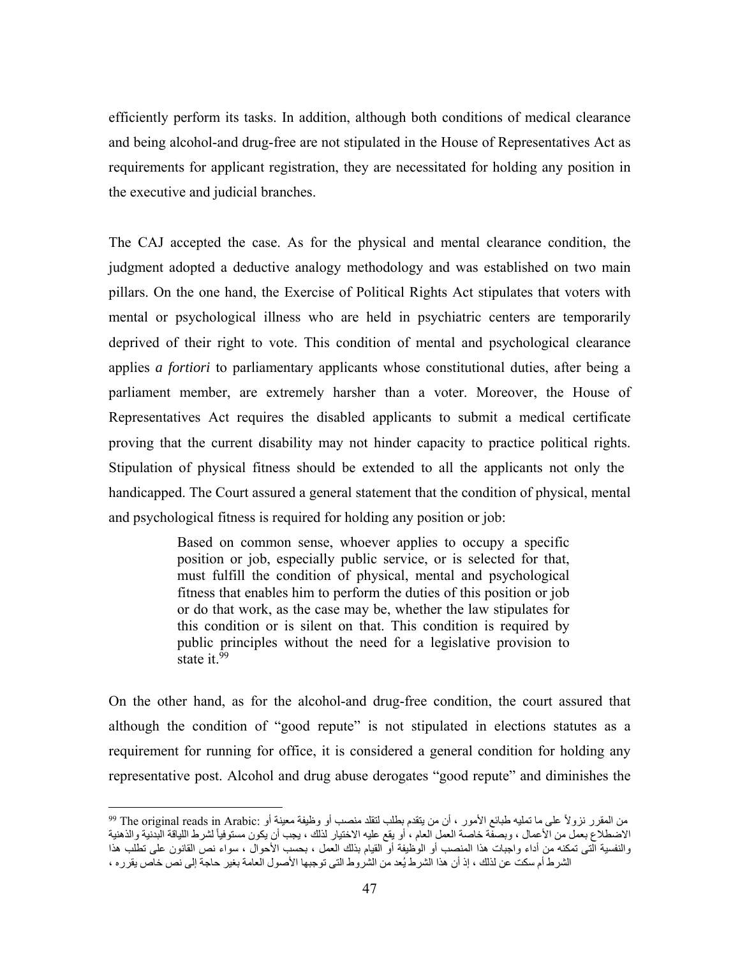efficiently perform its tasks. In addition, although both conditions of medical clearance and being alcohol-and drug-free are not stipulated in the House of Representatives Act as requirements for applicant registration, they are necessitated for holding any position in the executive and judicial branches.

The CAJ accepted the case. As for the physical and mental clearance condition, the judgment adopted a deductive analogy methodology and was established on two main pillars. On the one hand, the Exercise of Political Rights Act stipulates that voters with mental or psychological illness who are held in psychiatric centers are temporarily deprived of their right to vote. This condition of mental and psychological clearance applies *a fortiori* to parliamentary applicants whose constitutional duties, after being a parliament member, are extremely harsher than a voter. Moreover, the House of Representatives Act requires the disabled applicants to submit a medical certificate proving that the current disability may not hinder capacity to practice political rights. Stipulation of physical fitness should be extended to all the applicants not only the handicapped. The Court assured a general statement that the condition of physical, mental and psychological fitness is required for holding any position or job:

> Based on common sense, whoever applies to occupy a specific position or job, especially public service, or is selected for that, must fulfill the condition of physical, mental and psychological fitness that enables him to perform the duties of this position or job or do that work, as the case may be, whether the law stipulates for this condition or is silent on that. This condition is required by public principles without the need for a legislative provision to state it.<sup>99</sup>

On the other hand, as for the alcohol-and drug-free condition, the court assured that although the condition of "good repute" is not stipulated in elections statutes as a requirement for running for office, it is considered a general condition for holding any representative post. Alcohol and drug abuse derogates "good repute" and diminishes the

من المقرر نزولاً على ما تمليه طبائع الأمور ، أن من يتقدم بطلب لتقلد منصب أو وظيفة معينة أو :The original reads in Arabic <sup>99</sup> الاضطلاع بعمل من الأعمال ، وبصفة خاصة العمل العام ، أو يقع عليه الاختيار لذلك ، يجب أن يكون مستوفياً لشرط اللياقة البدنية والذهنية والنفسية التى تمكنه من أداء واجبات هذا المنصب أو الوظيفة أو القيام بذلك العمل ، بحسب الأحوال ، سواء نص القانون على تطلب هذا الشرط أم سكت عن لذلك ، إذ أن هذا الشرط يُعد من الشروط التي توجبها الأصول العامة بغير حاجة إلى نص خاص يقرره ،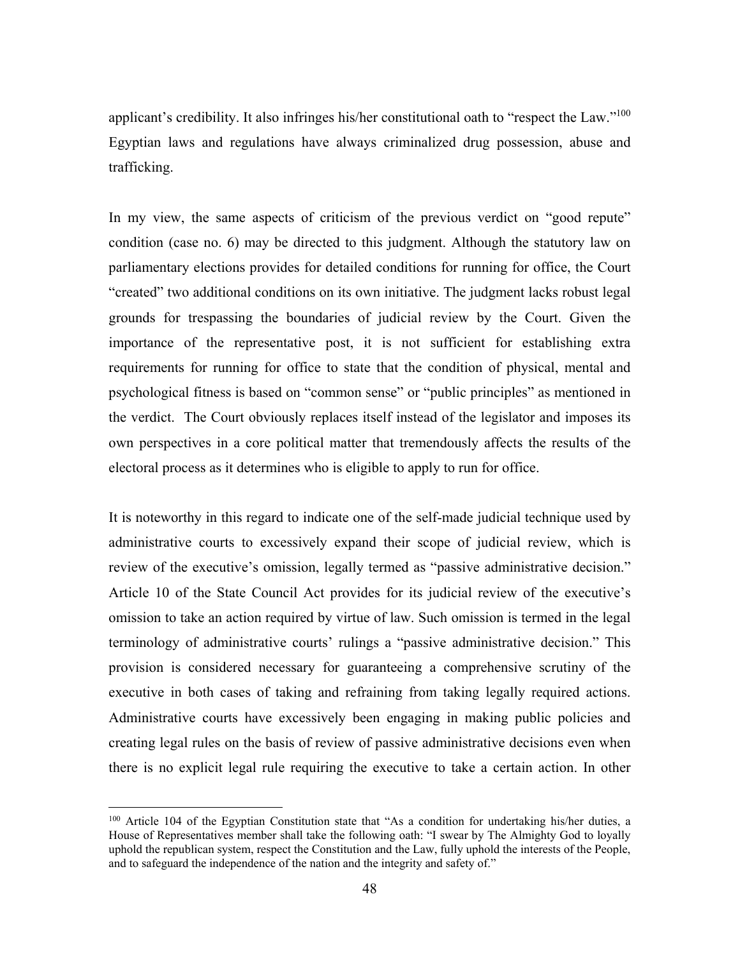applicant's credibility. It also infringes his/her constitutional oath to "respect the Law."<sup>100</sup> Egyptian laws and regulations have always criminalized drug possession, abuse and trafficking.

In my view, the same aspects of criticism of the previous verdict on "good repute" condition (case no. 6) may be directed to this judgment. Although the statutory law on parliamentary elections provides for detailed conditions for running for office, the Court "created" two additional conditions on its own initiative. The judgment lacks robust legal grounds for trespassing the boundaries of judicial review by the Court. Given the importance of the representative post, it is not sufficient for establishing extra requirements for running for office to state that the condition of physical, mental and psychological fitness is based on "common sense" or "public principles" as mentioned in the verdict. The Court obviously replaces itself instead of the legislator and imposes its own perspectives in a core political matter that tremendously affects the results of the electoral process as it determines who is eligible to apply to run for office.

It is noteworthy in this regard to indicate one of the self-made judicial technique used by administrative courts to excessively expand their scope of judicial review, which is review of the executive's omission, legally termed as "passive administrative decision." Article 10 of the State Council Act provides for its judicial review of the executive's omission to take an action required by virtue of law. Such omission is termed in the legal terminology of administrative courts' rulings a "passive administrative decision." This provision is considered necessary for guaranteeing a comprehensive scrutiny of the executive in both cases of taking and refraining from taking legally required actions. Administrative courts have excessively been engaging in making public policies and creating legal rules on the basis of review of passive administrative decisions even when there is no explicit legal rule requiring the executive to take a certain action. In other

<u>.</u>

<sup>&</sup>lt;sup>100</sup> Article 104 of the Egyptian Constitution state that "As a condition for undertaking his/her duties, a House of Representatives member shall take the following oath: "I swear by The Almighty God to loyally uphold the republican system, respect the Constitution and the Law, fully uphold the interests of the People, and to safeguard the independence of the nation and the integrity and safety of."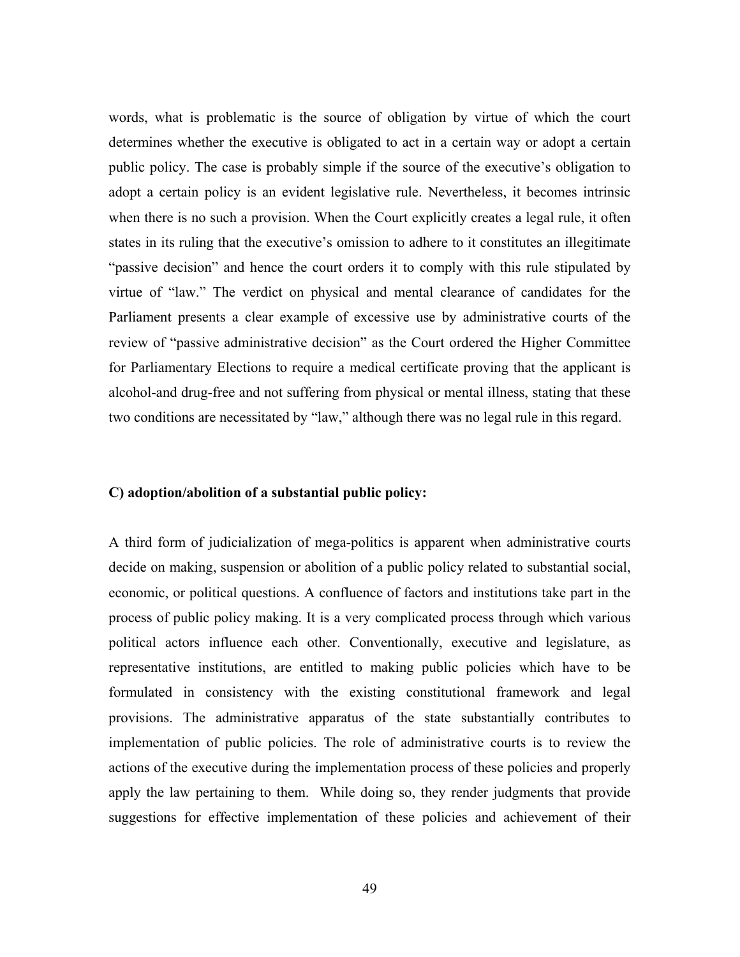words, what is problematic is the source of obligation by virtue of which the court determines whether the executive is obligated to act in a certain way or adopt a certain public policy. The case is probably simple if the source of the executive's obligation to adopt a certain policy is an evident legislative rule. Nevertheless, it becomes intrinsic when there is no such a provision. When the Court explicitly creates a legal rule, it often states in its ruling that the executive's omission to adhere to it constitutes an illegitimate "passive decision" and hence the court orders it to comply with this rule stipulated by virtue of "law." The verdict on physical and mental clearance of candidates for the Parliament presents a clear example of excessive use by administrative courts of the review of "passive administrative decision" as the Court ordered the Higher Committee for Parliamentary Elections to require a medical certificate proving that the applicant is alcohol-and drug-free and not suffering from physical or mental illness, stating that these two conditions are necessitated by "law," although there was no legal rule in this regard.

#### **C) adoption/abolition of a substantial public policy:**

A third form of judicialization of mega-politics is apparent when administrative courts decide on making, suspension or abolition of a public policy related to substantial social, economic, or political questions. A confluence of factors and institutions take part in the process of public policy making. It is a very complicated process through which various political actors influence each other. Conventionally, executive and legislature, as representative institutions, are entitled to making public policies which have to be formulated in consistency with the existing constitutional framework and legal provisions. The administrative apparatus of the state substantially contributes to implementation of public policies. The role of administrative courts is to review the actions of the executive during the implementation process of these policies and properly apply the law pertaining to them. While doing so, they render judgments that provide suggestions for effective implementation of these policies and achievement of their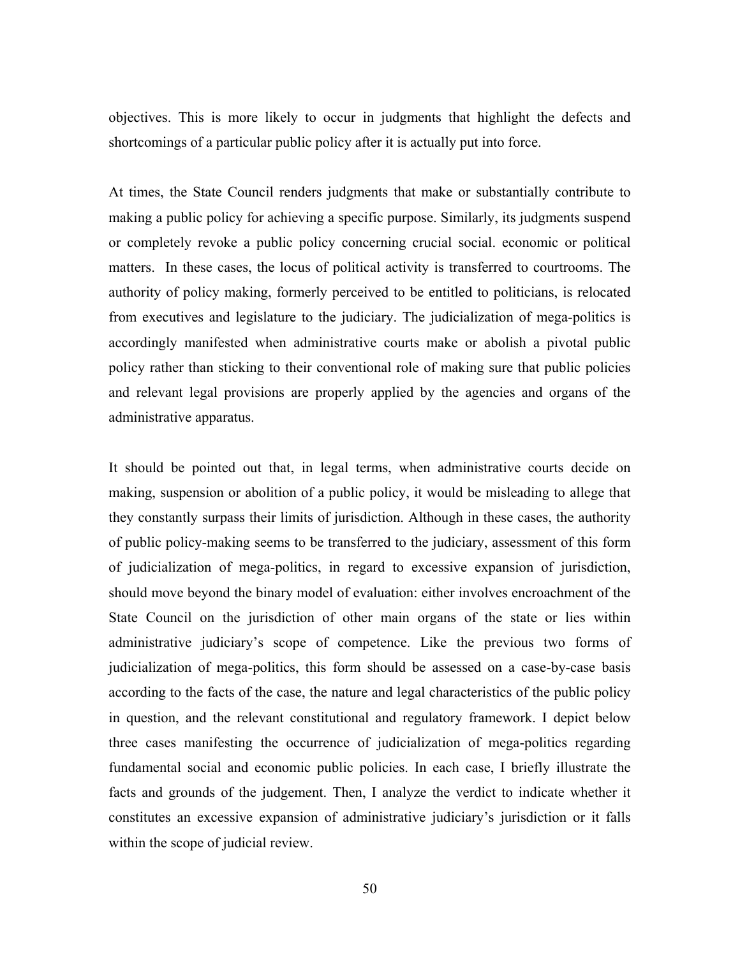objectives. This is more likely to occur in judgments that highlight the defects and shortcomings of a particular public policy after it is actually put into force.

At times, the State Council renders judgments that make or substantially contribute to making a public policy for achieving a specific purpose. Similarly, its judgments suspend or completely revoke a public policy concerning crucial social. economic or political matters. In these cases, the locus of political activity is transferred to courtrooms. The authority of policy making, formerly perceived to be entitled to politicians, is relocated from executives and legislature to the judiciary. The judicialization of mega-politics is accordingly manifested when administrative courts make or abolish a pivotal public policy rather than sticking to their conventional role of making sure that public policies and relevant legal provisions are properly applied by the agencies and organs of the administrative apparatus.

It should be pointed out that, in legal terms, when administrative courts decide on making, suspension or abolition of a public policy, it would be misleading to allege that they constantly surpass their limits of jurisdiction. Although in these cases, the authority of public policy-making seems to be transferred to the judiciary, assessment of this form of judicialization of mega-politics, in regard to excessive expansion of jurisdiction, should move beyond the binary model of evaluation: either involves encroachment of the State Council on the jurisdiction of other main organs of the state or lies within administrative judiciary's scope of competence. Like the previous two forms of judicialization of mega-politics, this form should be assessed on a case-by-case basis according to the facts of the case, the nature and legal characteristics of the public policy in question, and the relevant constitutional and regulatory framework. I depict below three cases manifesting the occurrence of judicialization of mega-politics regarding fundamental social and economic public policies. In each case, I briefly illustrate the facts and grounds of the judgement. Then, I analyze the verdict to indicate whether it constitutes an excessive expansion of administrative judiciary's jurisdiction or it falls within the scope of judicial review.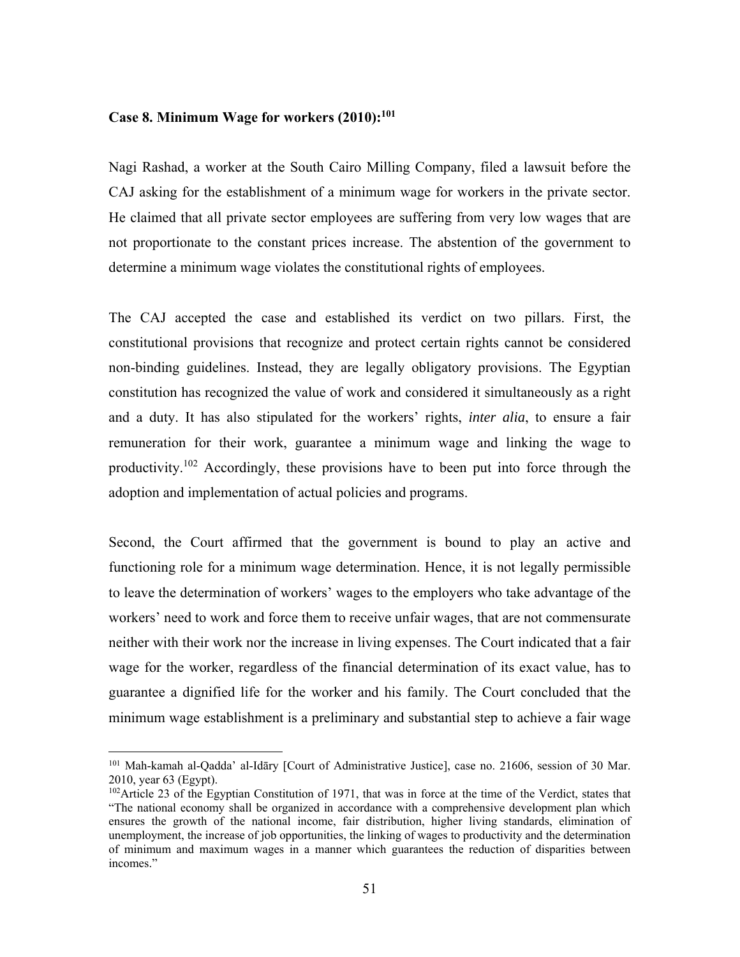#### **Case 8. Minimum Wage for workers (2010):101**

Nagi Rashad, a worker at the South Cairo Milling Company, filed a lawsuit before the CAJ asking for the establishment of a minimum wage for workers in the private sector. He claimed that all private sector employees are suffering from very low wages that are not proportionate to the constant prices increase. The abstention of the government to determine a minimum wage violates the constitutional rights of employees.

The CAJ accepted the case and established its verdict on two pillars. First, the constitutional provisions that recognize and protect certain rights cannot be considered non-binding guidelines. Instead, they are legally obligatory provisions. The Egyptian constitution has recognized the value of work and considered it simultaneously as a right and a duty. It has also stipulated for the workers' rights, *inter alia*, to ensure a fair remuneration for their work, guarantee a minimum wage and linking the wage to productivity.<sup>102</sup> Accordingly, these provisions have to been put into force through the adoption and implementation of actual policies and programs.

Second, the Court affirmed that the government is bound to play an active and functioning role for a minimum wage determination. Hence, it is not legally permissible to leave the determination of workers' wages to the employers who take advantage of the workers' need to work and force them to receive unfair wages, that are not commensurate neither with their work nor the increase in living expenses. The Court indicated that a fair wage for the worker, regardless of the financial determination of its exact value, has to guarantee a dignified life for the worker and his family. The Court concluded that the minimum wage establishment is a preliminary and substantial step to achieve a fair wage

<sup>101</sup> Mah-kamah al-Qadda' al-Idāry [Court of Administrative Justice], case no. 21606, session of 30 Mar. 2010, year 63 (Egypt).

<sup>&</sup>lt;sup>102</sup>Article 23 of the Egyptian Constitution of 1971, that was in force at the time of the Verdict, states that "The national economy shall be organized in accordance with a comprehensive development plan which ensures the growth of the national income, fair distribution, higher living standards, elimination of unemployment, the increase of job opportunities, the linking of wages to productivity and the determination of minimum and maximum wages in a manner which guarantees the reduction of disparities between incomes."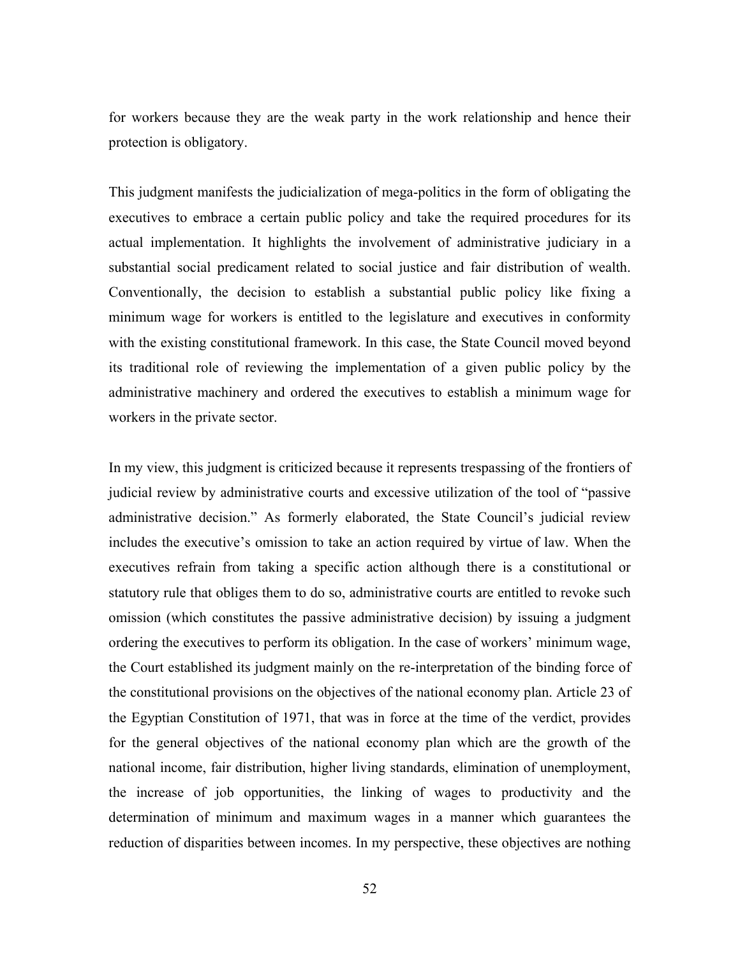for workers because they are the weak party in the work relationship and hence their protection is obligatory.

This judgment manifests the judicialization of mega-politics in the form of obligating the executives to embrace a certain public policy and take the required procedures for its actual implementation. It highlights the involvement of administrative judiciary in a substantial social predicament related to social justice and fair distribution of wealth. Conventionally, the decision to establish a substantial public policy like fixing a minimum wage for workers is entitled to the legislature and executives in conformity with the existing constitutional framework. In this case, the State Council moved beyond its traditional role of reviewing the implementation of a given public policy by the administrative machinery and ordered the executives to establish a minimum wage for workers in the private sector.

In my view, this judgment is criticized because it represents trespassing of the frontiers of judicial review by administrative courts and excessive utilization of the tool of "passive administrative decision." As formerly elaborated, the State Council's judicial review includes the executive's omission to take an action required by virtue of law. When the executives refrain from taking a specific action although there is a constitutional or statutory rule that obliges them to do so, administrative courts are entitled to revoke such omission (which constitutes the passive administrative decision) by issuing a judgment ordering the executives to perform its obligation. In the case of workers' minimum wage, the Court established its judgment mainly on the re-interpretation of the binding force of the constitutional provisions on the objectives of the national economy plan. Article 23 of the Egyptian Constitution of 1971, that was in force at the time of the verdict, provides for the general objectives of the national economy plan which are the growth of the national income, fair distribution, higher living standards, elimination of unemployment, the increase of job opportunities, the linking of wages to productivity and the determination of minimum and maximum wages in a manner which guarantees the reduction of disparities between incomes. In my perspective, these objectives are nothing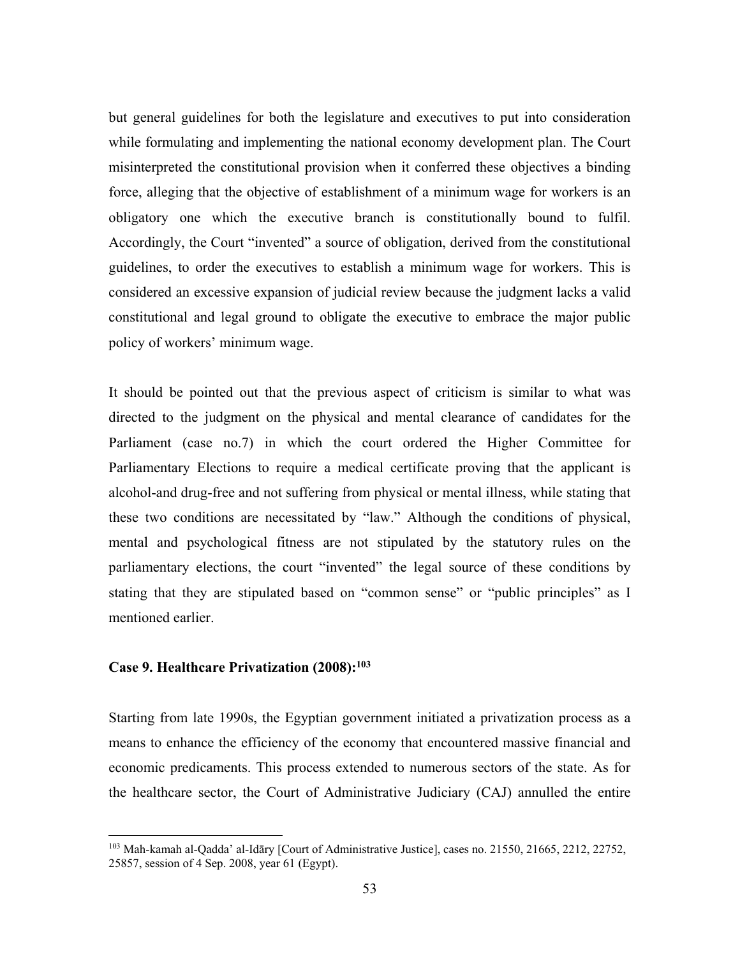but general guidelines for both the legislature and executives to put into consideration while formulating and implementing the national economy development plan. The Court misinterpreted the constitutional provision when it conferred these objectives a binding force, alleging that the objective of establishment of a minimum wage for workers is an obligatory one which the executive branch is constitutionally bound to fulfil. Accordingly, the Court "invented" a source of obligation, derived from the constitutional guidelines, to order the executives to establish a minimum wage for workers. This is considered an excessive expansion of judicial review because the judgment lacks a valid constitutional and legal ground to obligate the executive to embrace the major public policy of workers' minimum wage.

It should be pointed out that the previous aspect of criticism is similar to what was directed to the judgment on the physical and mental clearance of candidates for the Parliament (case no.7) in which the court ordered the Higher Committee for Parliamentary Elections to require a medical certificate proving that the applicant is alcohol-and drug-free and not suffering from physical or mental illness, while stating that these two conditions are necessitated by "law." Although the conditions of physical, mental and psychological fitness are not stipulated by the statutory rules on the parliamentary elections, the court "invented" the legal source of these conditions by stating that they are stipulated based on "common sense" or "public principles" as I mentioned earlier.

### **Case 9. Healthcare Privatization (2008):103**

 $\overline{a}$ 

Starting from late 1990s, the Egyptian government initiated a privatization process as a means to enhance the efficiency of the economy that encountered massive financial and economic predicaments. This process extended to numerous sectors of the state. As for the healthcare sector, the Court of Administrative Judiciary (CAJ) annulled the entire

<sup>103</sup> Mah-kamah al-Qadda' al-Idāry [Court of Administrative Justice], cases no. 21550, 21665, 2212, 22752, 25857, session of 4 Sep. 2008, year 61 (Egypt).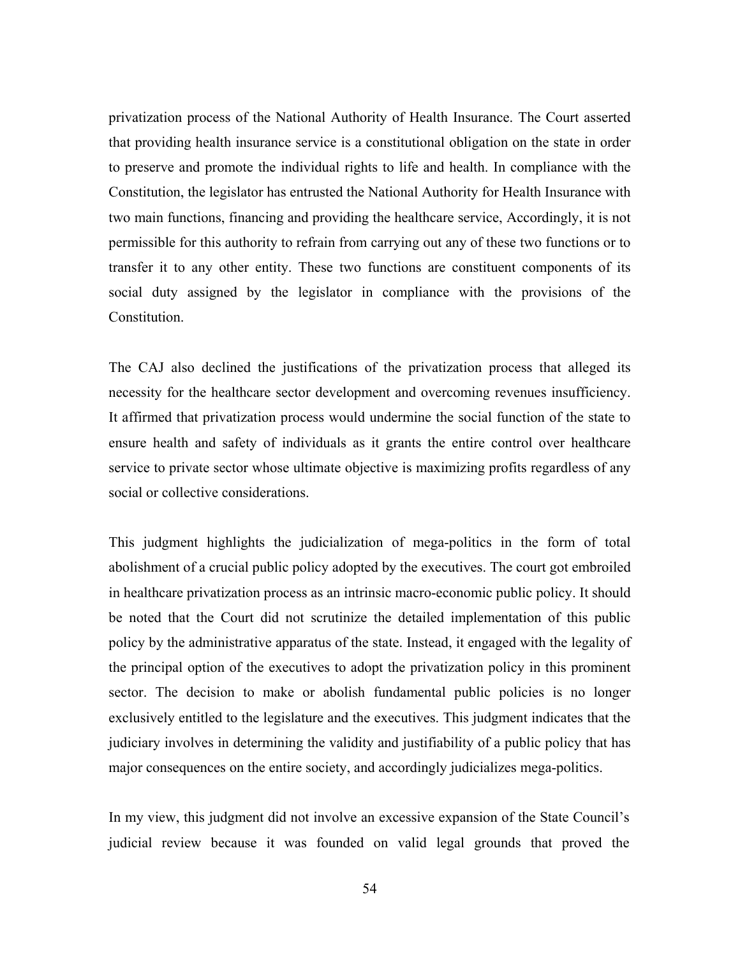privatization process of the National Authority of Health Insurance. The Court asserted that providing health insurance service is a constitutional obligation on the state in order to preserve and promote the individual rights to life and health. In compliance with the Constitution, the legislator has entrusted the National Authority for Health Insurance with two main functions, financing and providing the healthcare service, Accordingly, it is not permissible for this authority to refrain from carrying out any of these two functions or to transfer it to any other entity. These two functions are constituent components of its social duty assigned by the legislator in compliance with the provisions of the Constitution.

The CAJ also declined the justifications of the privatization process that alleged its necessity for the healthcare sector development and overcoming revenues insufficiency. It affirmed that privatization process would undermine the social function of the state to ensure health and safety of individuals as it grants the entire control over healthcare service to private sector whose ultimate objective is maximizing profits regardless of any social or collective considerations.

This judgment highlights the judicialization of mega-politics in the form of total abolishment of a crucial public policy adopted by the executives. The court got embroiled in healthcare privatization process as an intrinsic macro-economic public policy. It should be noted that the Court did not scrutinize the detailed implementation of this public policy by the administrative apparatus of the state. Instead, it engaged with the legality of the principal option of the executives to adopt the privatization policy in this prominent sector. The decision to make or abolish fundamental public policies is no longer exclusively entitled to the legislature and the executives. This judgment indicates that the judiciary involves in determining the validity and justifiability of a public policy that has major consequences on the entire society, and accordingly judicializes mega-politics.

In my view, this judgment did not involve an excessive expansion of the State Council's judicial review because it was founded on valid legal grounds that proved the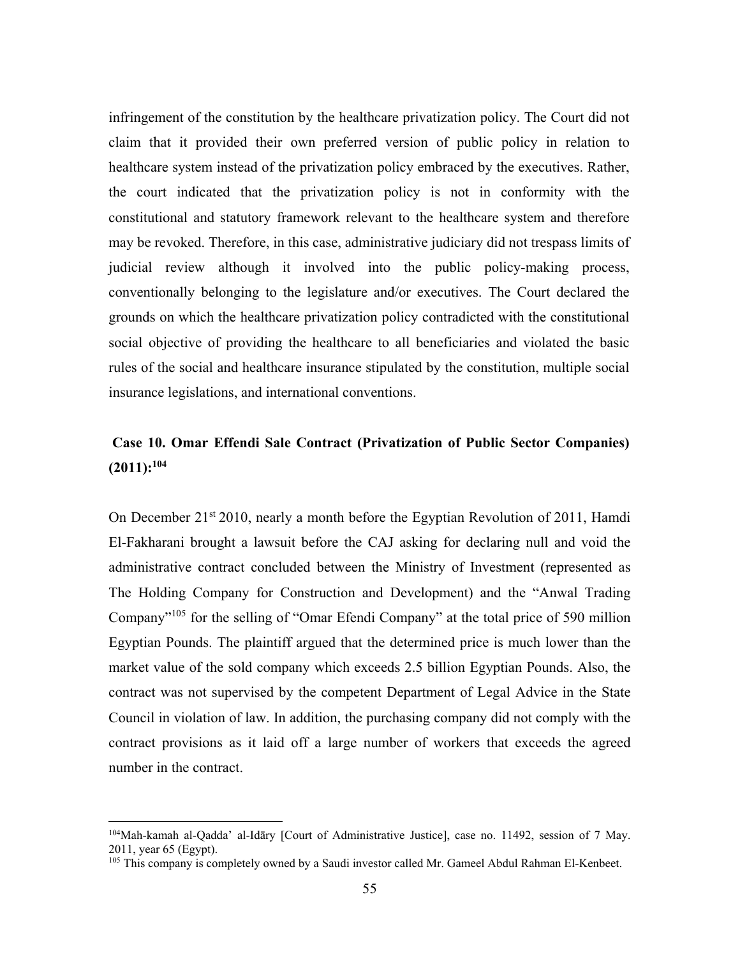infringement of the constitution by the healthcare privatization policy. The Court did not claim that it provided their own preferred version of public policy in relation to healthcare system instead of the privatization policy embraced by the executives. Rather, the court indicated that the privatization policy is not in conformity with the constitutional and statutory framework relevant to the healthcare system and therefore may be revoked. Therefore, in this case, administrative judiciary did not trespass limits of judicial review although it involved into the public policy-making process, conventionally belonging to the legislature and/or executives. The Court declared the grounds on which the healthcare privatization policy contradicted with the constitutional social objective of providing the healthcare to all beneficiaries and violated the basic rules of the social and healthcare insurance stipulated by the constitution, multiple social insurance legislations, and international conventions.

# **Case 10. Omar Effendi Sale Contract (Privatization of Public Sector Companies) (2011):104**

On December 21<sup>st</sup> 2010, nearly a month before the Egyptian Revolution of 2011, Hamdi El-Fakharani brought a lawsuit before the CAJ asking for declaring null and void the administrative contract concluded between the Ministry of Investment (represented as The Holding Company for Construction and Development) and the "Anwal Trading Company<sup>"105</sup> for the selling of "Omar Efendi Company" at the total price of 590 million Egyptian Pounds. The plaintiff argued that the determined price is much lower than the market value of the sold company which exceeds 2.5 billion Egyptian Pounds. Also, the contract was not supervised by the competent Department of Legal Advice in the State Council in violation of law. In addition, the purchasing company did not comply with the contract provisions as it laid off a large number of workers that exceeds the agreed number in the contract.

<sup>104</sup>Mah-kamah al-Qadda' al-Idāry [Court of Administrative Justice], case no. 11492, session of 7 May. 2011, year 65 (Egypt).

<sup>&</sup>lt;sup>105</sup> This company is completely owned by a Saudi investor called Mr. Gameel Abdul Rahman El-Kenbeet.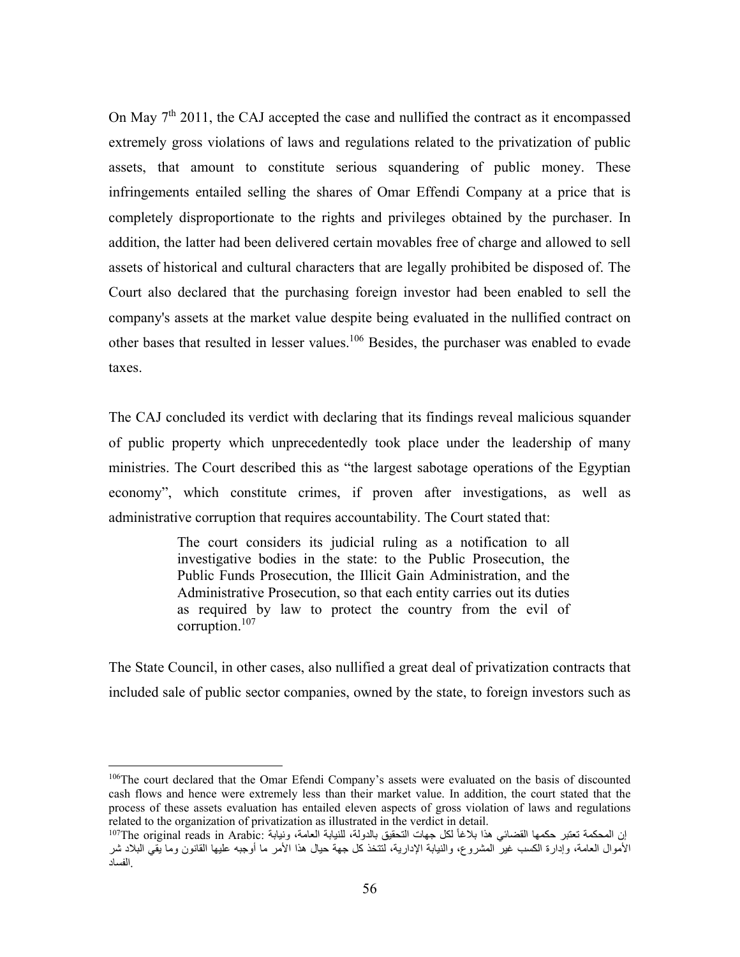On May  $7<sup>th</sup>$  2011, the CAJ accepted the case and nullified the contract as it encompassed extremely gross violations of laws and regulations related to the privatization of public assets, that amount to constitute serious squandering of public money. These infringements entailed selling the shares of Omar Effendi Company at a price that is completely disproportionate to the rights and privileges obtained by the purchaser. In addition, the latter had been delivered certain movables free of charge and allowed to sell assets of historical and cultural characters that are legally prohibited be disposed of. The Court also declared that the purchasing foreign investor had been enabled to sell the company's assets at the market value despite being evaluated in the nullified contract on other bases that resulted in lesser values.106 Besides, the purchaser was enabled to evade taxes.

The CAJ concluded its verdict with declaring that its findings reveal malicious squander of public property which unprecedentedly took place under the leadership of many ministries. The Court described this as "the largest sabotage operations of the Egyptian economy", which constitute crimes, if proven after investigations, as well as administrative corruption that requires accountability. The Court stated that:

> The court considers its judicial ruling as a notification to all investigative bodies in the state: to the Public Prosecution, the Public Funds Prosecution, the Illicit Gain Administration, and the Administrative Prosecution, so that each entity carries out its duties as required by law to protect the country from the evil of corruption.107

The State Council, in other cases, also nullified a great deal of privatization contracts that included sale of public sector companies, owned by the state, to foreign investors such as

<u>.</u>

<sup>&</sup>lt;sup>106</sup>The court declared that the Omar Efendi Company's assets were evaluated on the basis of discounted cash flows and hence were extremely less than their market value. In addition, the court stated that the process of these assets evaluation has entailed eleven aspects of gross violation of laws and regulations related to the organization of privatization as illustrated in the verdict in detail.

ان المحكمة تعتبر حكمها القضائي هذا بلاغاً لكل جهات التحقيق بالدولة، للنيابة العامة، ونيابة :<sup>107</sup>The original reads in Arabic الأموال العامة، وإدارة الكسب غير المشروع، والنيابة الإدارية، لتتخذ كل جهة حيال هذا الأمر ما أوجبه عليها القانون وما يقي البلاد شر . الفساد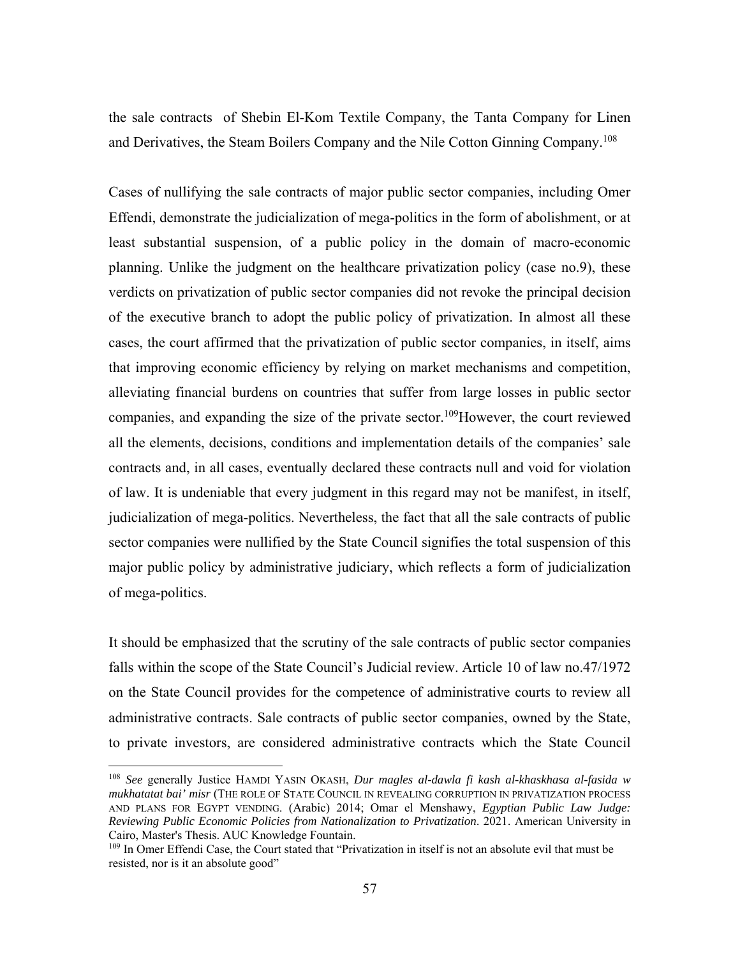the sale contracts of Shebin El-Kom Textile Company, the Tanta Company for Linen and Derivatives, the Steam Boilers Company and the Nile Cotton Ginning Company.108

Cases of nullifying the sale contracts of major public sector companies, including Omer Effendi, demonstrate the judicialization of mega-politics in the form of abolishment, or at least substantial suspension, of a public policy in the domain of macro-economic planning. Unlike the judgment on the healthcare privatization policy (case no.9), these verdicts on privatization of public sector companies did not revoke the principal decision of the executive branch to adopt the public policy of privatization. In almost all these cases, the court affirmed that the privatization of public sector companies, in itself, aims that improving economic efficiency by relying on market mechanisms and competition, alleviating financial burdens on countries that suffer from large losses in public sector companies, and expanding the size of the private sector.<sup>109</sup>However, the court reviewed all the elements, decisions, conditions and implementation details of the companies' sale contracts and, in all cases, eventually declared these contracts null and void for violation of law. It is undeniable that every judgment in this regard may not be manifest, in itself, judicialization of mega-politics. Nevertheless, the fact that all the sale contracts of public sector companies were nullified by the State Council signifies the total suspension of this major public policy by administrative judiciary, which reflects a form of judicialization of mega-politics.

It should be emphasized that the scrutiny of the sale contracts of public sector companies falls within the scope of the State Council's Judicial review. Article 10 of law no.47/1972 on the State Council provides for the competence of administrative courts to review all administrative contracts. Sale contracts of public sector companies, owned by the State, to private investors, are considered administrative contracts which the State Council

<sup>108</sup> *See* generally Justice HAMDI YASIN OKASH, *Dur magles al-dawla fi kash al-khaskhasa al-fasida w mukhatatat bai' misr* (THE ROLE OF STATE COUNCIL IN REVEALING CORRUPTION IN PRIVATIZATION PROCESS AND PLANS FOR EGYPT VENDING. (Arabic) 2014; Omar el Menshawy, *Egyptian Public Law Judge: Reviewing Public Economic Policies from Nationalization to Privatization*. 2021. American University in Cairo, Master's Thesis. AUC Knowledge Fountain.

<sup>&</sup>lt;sup>109</sup> In Omer Effendi Case, the Court stated that "Privatization in itself is not an absolute evil that must be resisted, nor is it an absolute good"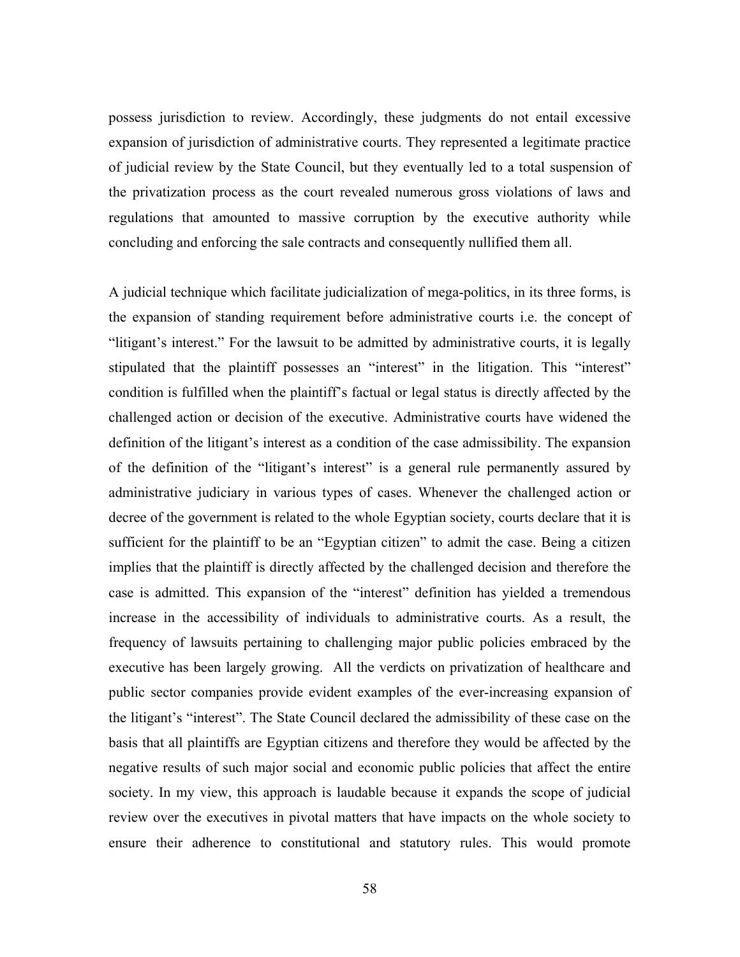possess jurisdiction to review. Accordingly, these judgments do not entail excessive expansion of jurisdiction of administrative courts. They represented a legitimate practice of judicial review by the State Council, but they eventually led to a total suspension of the privatization process as the court revealed numerous gross violations of laws and regulations that amounted to massive corruption by the executive authority while concluding and enforcing the sale contracts and consequently nullified them all.

A judicial technique which facilitate judicialization of mega-politics, in its three forms, is the expansion of standing requirement before administrative courts i.e. the concept of "litigant's interest." For the lawsuit to be admitted by administrative courts, it is legally stipulated that the plaintiff possesses an "interest" in the litigation. This "interest" condition is fulfilled when the plaintiff's factual or legal status is directly affected by the challenged action or decision of the executive. Administrative courts have widened the definition of the litigant's interest as a condition of the case admissibility. The expansion of the definition of the "litigant's interest" is a general rule permanently assured by administrative judiciary in various types of cases. Whenever the challenged action or decree of the government is related to the whole Egyptian society, courts declare that it is sufficient for the plaintiff to be an "Egyptian citizen" to admit the case. Being a citizen implies that the plaintiff is directly affected by the challenged decision and therefore the case is admitted. This expansion of the "interest" definition has yielded a tremendous increase in the accessibility of individuals to administrative courts. As a result, the frequency of lawsuits pertaining to challenging major public policies embraced by the executive has been largely growing. All the verdicts on privatization of healthcare and public sector companies provide evident examples of the ever-increasing expansion of the litigant's "interest". The State Council declared the admissibility of these case on the basis that all plaintiffs are Egyptian citizens and therefore they would be affected by the negative results of such major social and economic public policies that affect the entire society. In my view, this approach is laudable because it expands the scope of judicial review over the executives in pivotal matters that have impacts on the whole society to ensure their adherence to constitutional and statutory rules. This would promote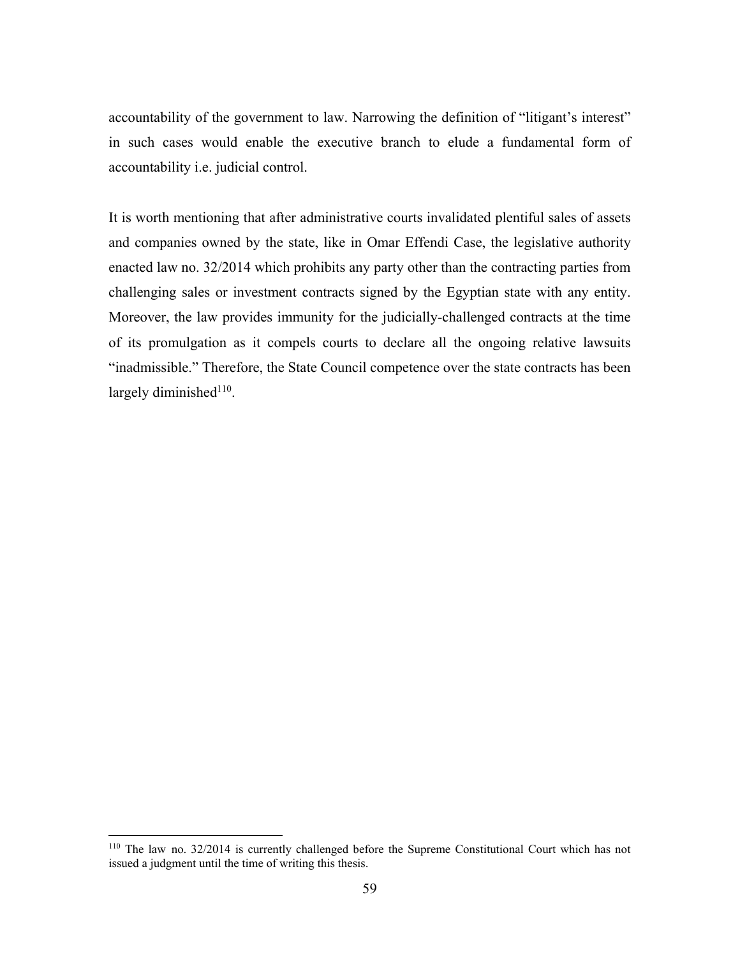accountability of the government to law. Narrowing the definition of "litigant's interest" in such cases would enable the executive branch to elude a fundamental form of accountability i.e. judicial control.

It is worth mentioning that after administrative courts invalidated plentiful sales of assets and companies owned by the state, like in Omar Effendi Case, the legislative authority enacted law no. 32/2014 which prohibits any party other than the contracting parties from challenging sales or investment contracts signed by the Egyptian state with any entity. Moreover, the law provides immunity for the judicially-challenged contracts at the time of its promulgation as it compels courts to declare all the ongoing relative lawsuits "inadmissible." Therefore, the State Council competence over the state contracts has been largely diminished $110$ .

<sup>110</sup> The law no. 32/2014 is currently challenged before the Supreme Constitutional Court which has not issued a judgment until the time of writing this thesis.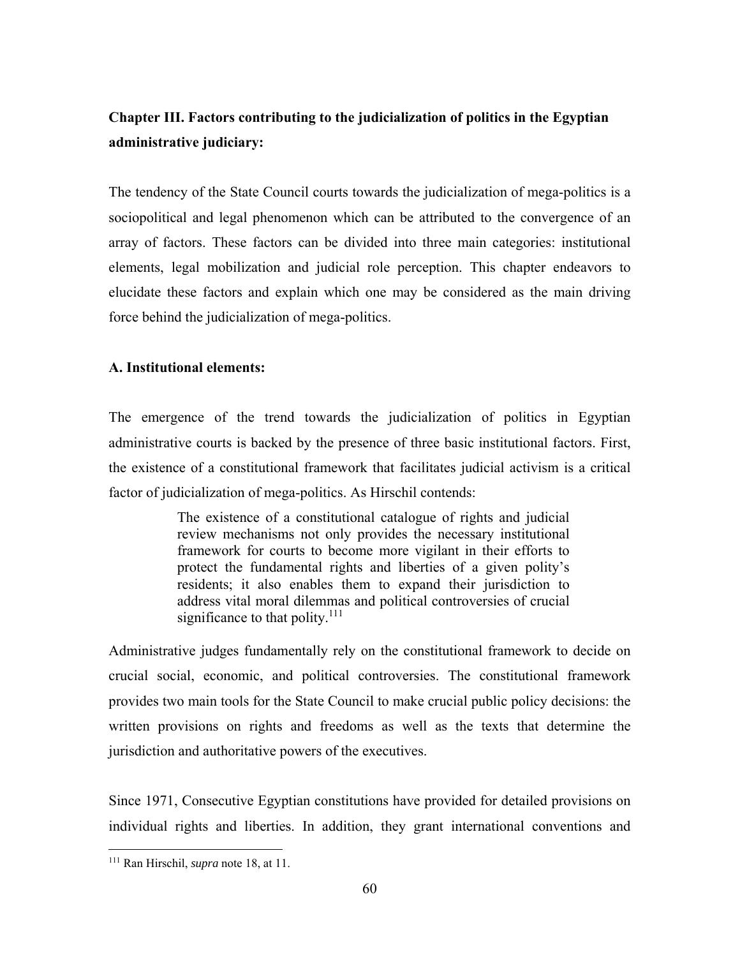# **Chapter III. Factors contributing to the judicialization of politics in the Egyptian administrative judiciary:**

The tendency of the State Council courts towards the judicialization of mega-politics is a sociopolitical and legal phenomenon which can be attributed to the convergence of an array of factors. These factors can be divided into three main categories: institutional elements, legal mobilization and judicial role perception. This chapter endeavors to elucidate these factors and explain which one may be considered as the main driving force behind the judicialization of mega-politics.

### **A. Institutional elements:**

The emergence of the trend towards the judicialization of politics in Egyptian administrative courts is backed by the presence of three basic institutional factors. First, the existence of a constitutional framework that facilitates judicial activism is a critical factor of judicialization of mega-politics. As Hirschil contends:

> The existence of a constitutional catalogue of rights and judicial review mechanisms not only provides the necessary institutional framework for courts to become more vigilant in their efforts to protect the fundamental rights and liberties of a given polity's residents; it also enables them to expand their jurisdiction to address vital moral dilemmas and political controversies of crucial significance to that polity. $111$

Administrative judges fundamentally rely on the constitutional framework to decide on crucial social, economic, and political controversies. The constitutional framework provides two main tools for the State Council to make crucial public policy decisions: the written provisions on rights and freedoms as well as the texts that determine the jurisdiction and authoritative powers of the executives.

Since 1971, Consecutive Egyptian constitutions have provided for detailed provisions on individual rights and liberties. In addition, they grant international conventions and

<sup>111</sup> Ran Hirschil, *supra* note 18, at 11.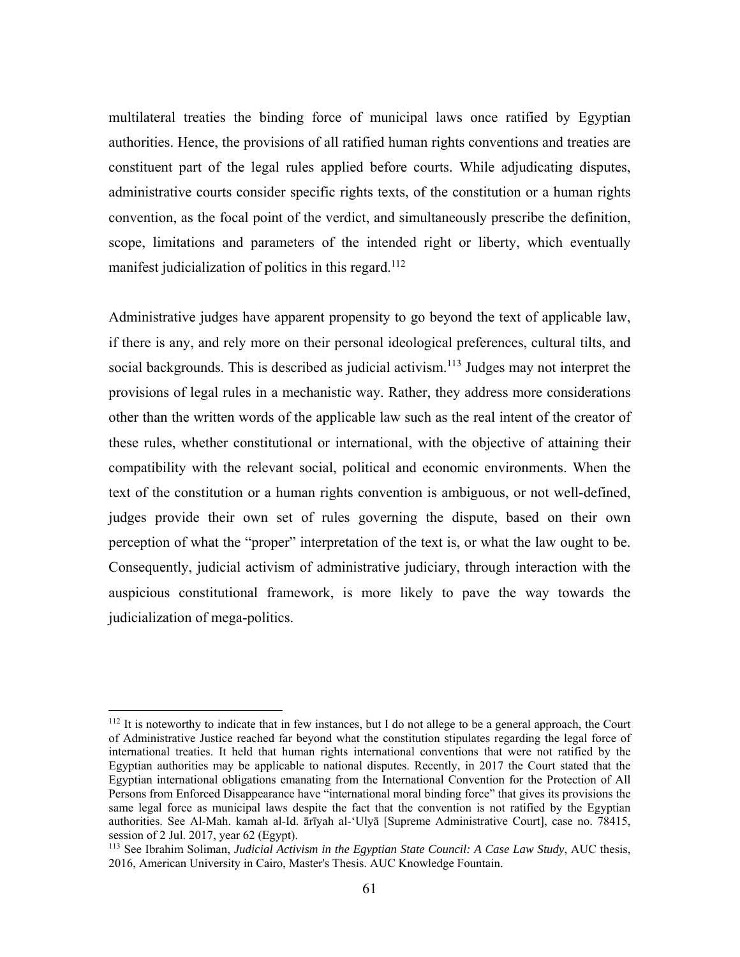multilateral treaties the binding force of municipal laws once ratified by Egyptian authorities. Hence, the provisions of all ratified human rights conventions and treaties are constituent part of the legal rules applied before courts. While adjudicating disputes, administrative courts consider specific rights texts, of the constitution or a human rights convention, as the focal point of the verdict, and simultaneously prescribe the definition, scope, limitations and parameters of the intended right or liberty, which eventually manifest judicialization of politics in this regard.<sup>112</sup>

Administrative judges have apparent propensity to go beyond the text of applicable law, if there is any, and rely more on their personal ideological preferences, cultural tilts, and social backgrounds. This is described as judicial activism.<sup>113</sup> Judges may not interpret the provisions of legal rules in a mechanistic way. Rather, they address more considerations other than the written words of the applicable law such as the real intent of the creator of these rules, whether constitutional or international, with the objective of attaining their compatibility with the relevant social, political and economic environments. When the text of the constitution or a human rights convention is ambiguous, or not well-defined, judges provide their own set of rules governing the dispute, based on their own perception of what the "proper" interpretation of the text is, or what the law ought to be. Consequently, judicial activism of administrative judiciary, through interaction with the auspicious constitutional framework, is more likely to pave the way towards the judicialization of mega-politics.

 $112$  It is noteworthy to indicate that in few instances, but I do not allege to be a general approach, the Court of Administrative Justice reached far beyond what the constitution stipulates regarding the legal force of international treaties. It held that human rights international conventions that were not ratified by the Egyptian authorities may be applicable to national disputes. Recently, in 2017 the Court stated that the Egyptian international obligations emanating from the International Convention for the Protection of All Persons from Enforced Disappearance have "international moral binding force" that gives its provisions the same legal force as municipal laws despite the fact that the convention is not ratified by the Egyptian authorities. See Al-Mah. kamah al-Id. ārīyah al-'Ulyā [Supreme Administrative Court], case no. 78415, session of 2 Jul. 2017, year 62 (Egypt).

<sup>113</sup> See Ibrahim Soliman, *Judicial Activism in the Egyptian State Council: A Case Law Study*, AUC thesis, 2016, American University in Cairo, Master's Thesis. AUC Knowledge Fountain.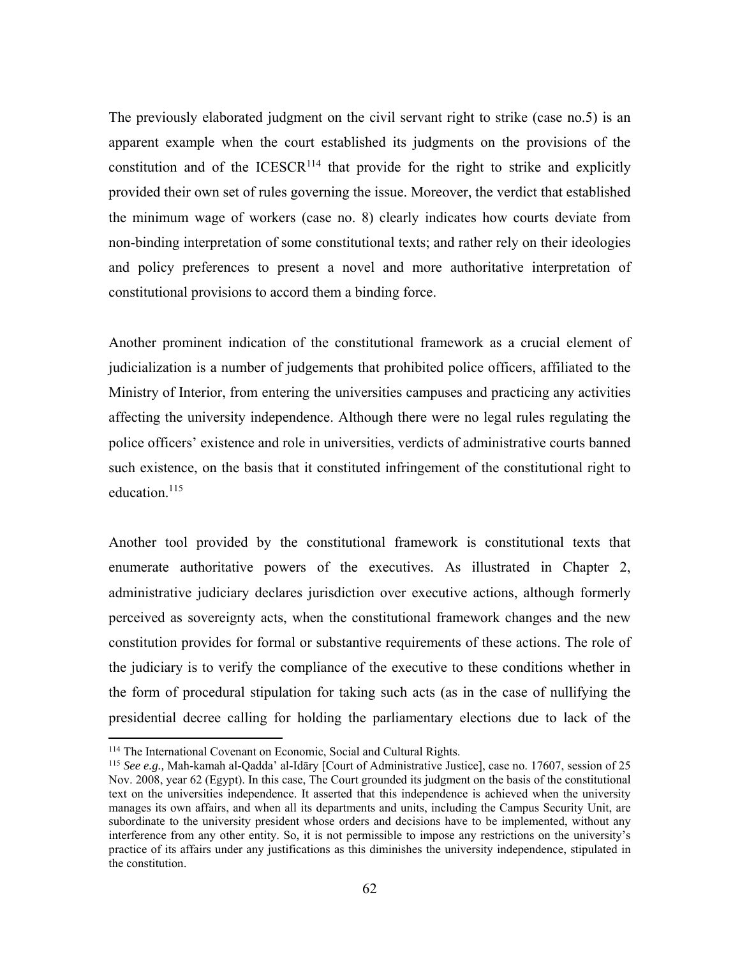The previously elaborated judgment on the civil servant right to strike (case no.5) is an apparent example when the court established its judgments on the provisions of the constitution and of the  $ICESCR<sup>114</sup>$  that provide for the right to strike and explicitly provided their own set of rules governing the issue. Moreover, the verdict that established the minimum wage of workers (case no. 8) clearly indicates how courts deviate from non-binding interpretation of some constitutional texts; and rather rely on their ideologies and policy preferences to present a novel and more authoritative interpretation of constitutional provisions to accord them a binding force.

Another prominent indication of the constitutional framework as a crucial element of judicialization is a number of judgements that prohibited police officers, affiliated to the Ministry of Interior, from entering the universities campuses and practicing any activities affecting the university independence. Although there were no legal rules regulating the police officers' existence and role in universities, verdicts of administrative courts banned such existence, on the basis that it constituted infringement of the constitutional right to education.<sup>115</sup>

Another tool provided by the constitutional framework is constitutional texts that enumerate authoritative powers of the executives. As illustrated in Chapter 2, administrative judiciary declares jurisdiction over executive actions, although formerly perceived as sovereignty acts, when the constitutional framework changes and the new constitution provides for formal or substantive requirements of these actions. The role of the judiciary is to verify the compliance of the executive to these conditions whether in the form of procedural stipulation for taking such acts (as in the case of nullifying the presidential decree calling for holding the parliamentary elections due to lack of the

<sup>114</sup> The International Covenant on Economic, Social and Cultural Rights.

<sup>115</sup> *See e.g.,* Mah-kamah al-Qadda' al-Idāry [Court of Administrative Justice], case no. 17607, session of 25 Nov. 2008, year 62 (Egypt). In this case, The Court grounded its judgment on the basis of the constitutional text on the universities independence. It asserted that this independence is achieved when the university manages its own affairs, and when all its departments and units, including the Campus Security Unit, are subordinate to the university president whose orders and decisions have to be implemented, without any interference from any other entity. So, it is not permissible to impose any restrictions on the university's practice of its affairs under any justifications as this diminishes the university independence, stipulated in the constitution.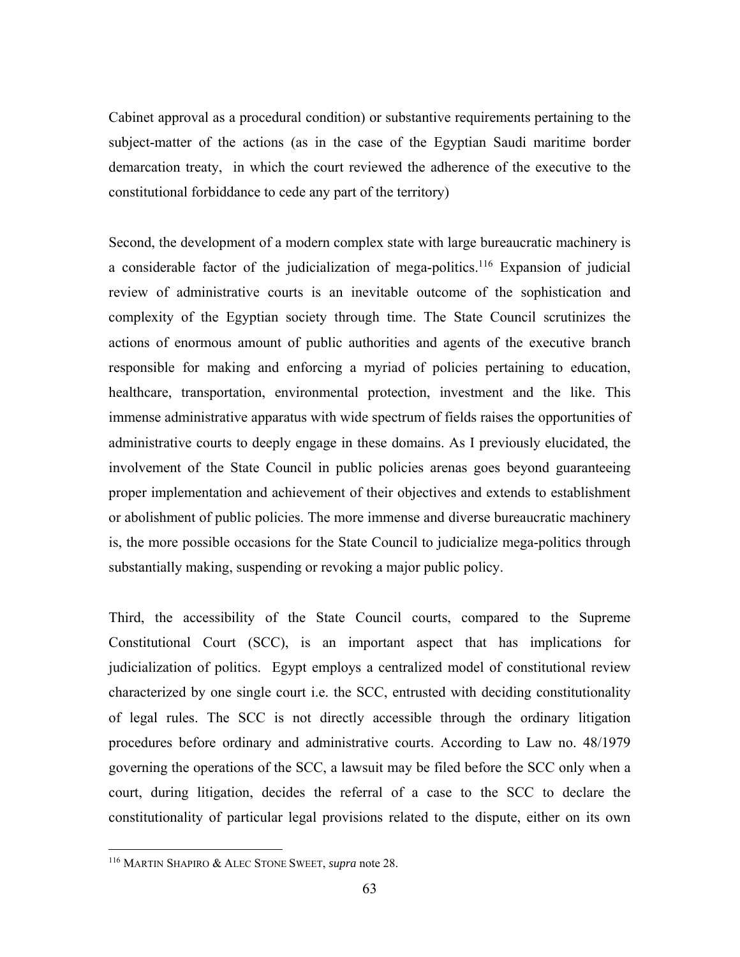Cabinet approval as a procedural condition) or substantive requirements pertaining to the subject-matter of the actions (as in the case of the Egyptian Saudi maritime border demarcation treaty, in which the court reviewed the adherence of the executive to the constitutional forbiddance to cede any part of the territory)

Second, the development of a modern complex state with large bureaucratic machinery is a considerable factor of the judicialization of mega-politics.<sup>116</sup> Expansion of judicial review of administrative courts is an inevitable outcome of the sophistication and complexity of the Egyptian society through time. The State Council scrutinizes the actions of enormous amount of public authorities and agents of the executive branch responsible for making and enforcing a myriad of policies pertaining to education, healthcare, transportation, environmental protection, investment and the like. This immense administrative apparatus with wide spectrum of fields raises the opportunities of administrative courts to deeply engage in these domains. As I previously elucidated, the involvement of the State Council in public policies arenas goes beyond guaranteeing proper implementation and achievement of their objectives and extends to establishment or abolishment of public policies. The more immense and diverse bureaucratic machinery is, the more possible occasions for the State Council to judicialize mega-politics through substantially making, suspending or revoking a major public policy.

Third, the accessibility of the State Council courts, compared to the Supreme Constitutional Court (SCC), is an important aspect that has implications for judicialization of politics. Egypt employs a centralized model of constitutional review characterized by one single court i.e. the SCC, entrusted with deciding constitutionality of legal rules. The SCC is not directly accessible through the ordinary litigation procedures before ordinary and administrative courts. According to Law no. 48/1979 governing the operations of the SCC, a lawsuit may be filed before the SCC only when a court, during litigation, decides the referral of a case to the SCC to declare the constitutionality of particular legal provisions related to the dispute, either on its own

<sup>116</sup> MARTIN SHAPIRO & ALEC STONE SWEET, *supra* note 28.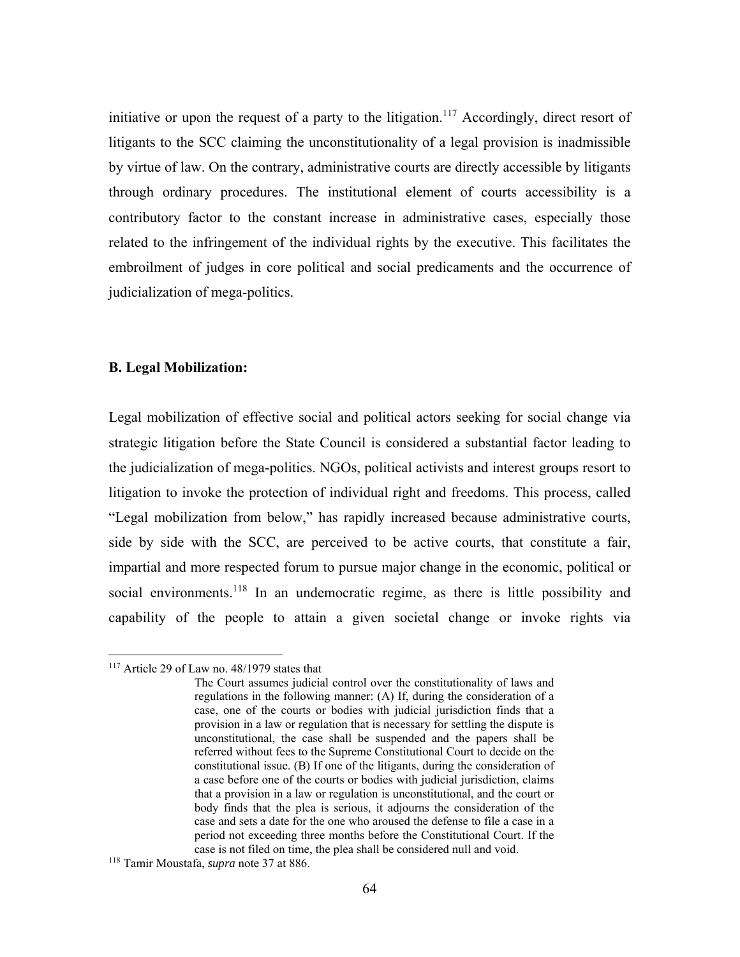initiative or upon the request of a party to the litigation.<sup>117</sup> Accordingly, direct resort of litigants to the SCC claiming the unconstitutionality of a legal provision is inadmissible by virtue of law. On the contrary, administrative courts are directly accessible by litigants through ordinary procedures. The institutional element of courts accessibility is a contributory factor to the constant increase in administrative cases, especially those related to the infringement of the individual rights by the executive. This facilitates the embroilment of judges in core political and social predicaments and the occurrence of judicialization of mega-politics.

#### **B. Legal Mobilization:**

Legal mobilization of effective social and political actors seeking for social change via strategic litigation before the State Council is considered a substantial factor leading to the judicialization of mega-politics. NGOs, political activists and interest groups resort to litigation to invoke the protection of individual right and freedoms. This process, called "Legal mobilization from below," has rapidly increased because administrative courts, side by side with the SCC, are perceived to be active courts, that constitute a fair, impartial and more respected forum to pursue major change in the economic, political or social environments.<sup>118</sup> In an undemocratic regime, as there is little possibility and capability of the people to attain a given societal change or invoke rights via

1

<sup>&</sup>lt;sup>117</sup> Article 29 of Law no. 48/1979 states that

The Court assumes judicial control over the constitutionality of laws and regulations in the following manner: (A) If, during the consideration of a case, one of the courts or bodies with judicial jurisdiction finds that a provision in a law or regulation that is necessary for settling the dispute is unconstitutional, the case shall be suspended and the papers shall be referred without fees to the Supreme Constitutional Court to decide on the constitutional issue. (B) If one of the litigants, during the consideration of a case before one of the courts or bodies with judicial jurisdiction, claims that a provision in a law or regulation is unconstitutional, and the court or body finds that the plea is serious, it adjourns the consideration of the case and sets a date for the one who aroused the defense to file a case in a period not exceeding three months before the Constitutional Court. If the case is not filed on time, the plea shall be considered null and void.

<sup>118</sup> Tamir Moustafa, *supra* note 37 at 886.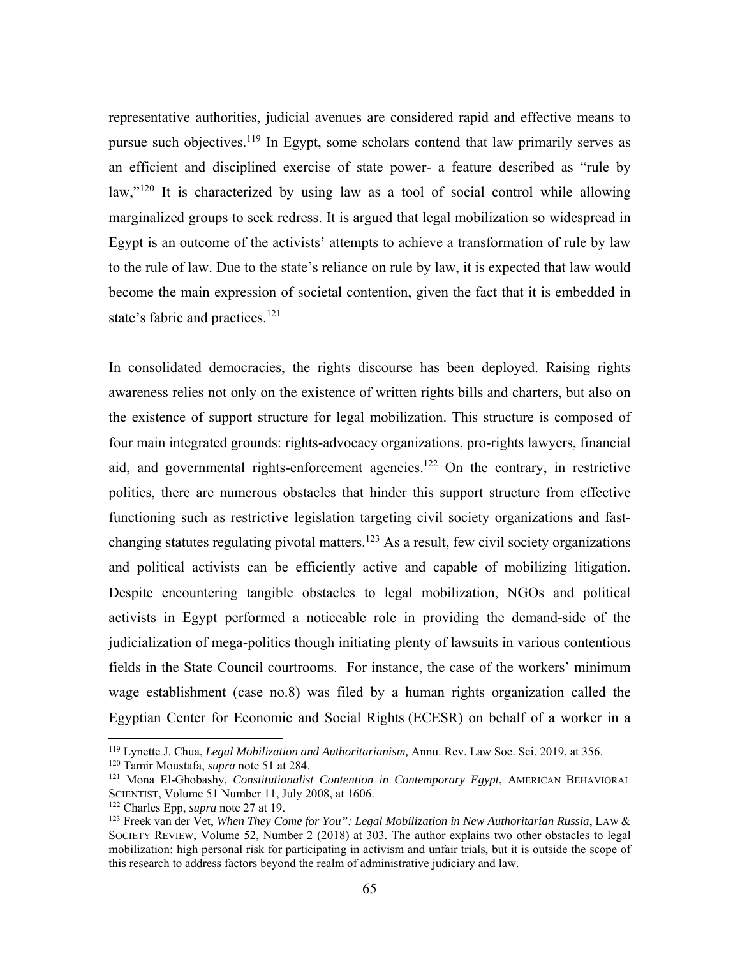representative authorities, judicial avenues are considered rapid and effective means to pursue such objectives.<sup>119</sup> In Egypt, some scholars contend that law primarily serves as an efficient and disciplined exercise of state power- a feature described as "rule by law,"<sup>120</sup> It is characterized by using law as a tool of social control while allowing marginalized groups to seek redress. It is argued that legal mobilization so widespread in Egypt is an outcome of the activists' attempts to achieve a transformation of rule by law to the rule of law. Due to the state's reliance on rule by law, it is expected that law would become the main expression of societal contention, given the fact that it is embedded in state's fabric and practices.<sup>121</sup>

In consolidated democracies, the rights discourse has been deployed. Raising rights awareness relies not only on the existence of written rights bills and charters, but also on the existence of support structure for legal mobilization. This structure is composed of four main integrated grounds: rights-advocacy organizations, pro-rights lawyers, financial aid, and governmental rights-enforcement agencies.<sup>122</sup> On the contrary, in restrictive polities, there are numerous obstacles that hinder this support structure from effective functioning such as restrictive legislation targeting civil society organizations and fastchanging statutes regulating pivotal matters.<sup>123</sup> As a result, few civil society organizations and political activists can be efficiently active and capable of mobilizing litigation. Despite encountering tangible obstacles to legal mobilization, NGOs and political activists in Egypt performed a noticeable role in providing the demand-side of the judicialization of mega-politics though initiating plenty of lawsuits in various contentious fields in the State Council courtrooms. For instance, the case of the workers' minimum wage establishment (case no.8) was filed by a human rights organization called the Egyptian Center for Economic and Social Rights (ECESR) on behalf of a worker in a

<sup>119</sup> Lynette J. Chua, *Legal Mobilization and Authoritarianism,* Annu. Rev. Law Soc. Sci. 2019, at 356.

<sup>&</sup>lt;sup>120</sup> Tamir Moustafa, *supra* note 51 at 284.<br><sup>121</sup> Mona El-Ghobashy, *Constitutionalist Contention in Contemporary Egypt*, AMERICAN BEHAVIORAL SCIENTIST, Volume 51 Number 11, July 2008, at 1606. 122 Charles Epp, *supra* note 27 at 19.

<sup>123</sup> Freek van der Vet, *When They Come for You": Legal Mobilization in New Authoritarian Russia*, LAW & SOCIETY REVIEW, Volume 52, Number 2 (2018) at 303. The author explains two other obstacles to legal mobilization: high personal risk for participating in activism and unfair trials, but it is outside the scope of this research to address factors beyond the realm of administrative judiciary and law.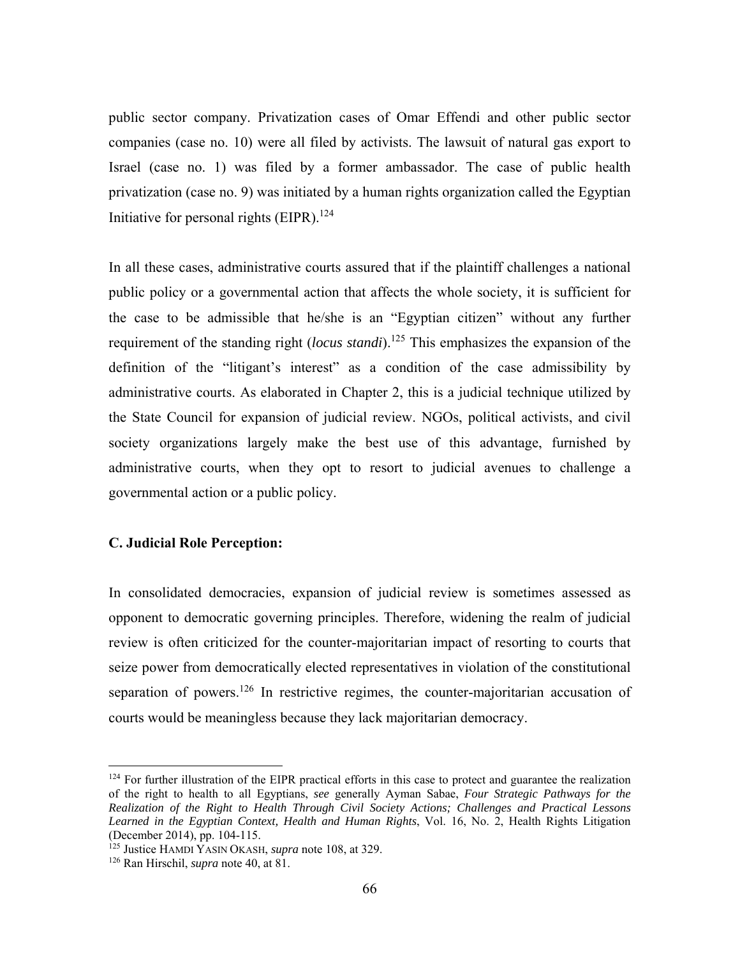public sector company. Privatization cases of Omar Effendi and other public sector companies (case no. 10) were all filed by activists. The lawsuit of natural gas export to Israel (case no. 1) was filed by a former ambassador. The case of public health privatization (case no. 9) was initiated by a human rights organization called the Egyptian Initiative for personal rights (EIPR). $124$ 

In all these cases, administrative courts assured that if the plaintiff challenges a national public policy or a governmental action that affects the whole society, it is sufficient for the case to be admissible that he/she is an "Egyptian citizen" without any further requirement of the standing right (*locus standi*).<sup>125</sup> This emphasizes the expansion of the definition of the "litigant's interest" as a condition of the case admissibility by administrative courts. As elaborated in Chapter 2, this is a judicial technique utilized by the State Council for expansion of judicial review. NGOs, political activists, and civil society organizations largely make the best use of this advantage, furnished by administrative courts, when they opt to resort to judicial avenues to challenge a governmental action or a public policy.

## **C. Judicial Role Perception:**

In consolidated democracies, expansion of judicial review is sometimes assessed as opponent to democratic governing principles. Therefore, widening the realm of judicial review is often criticized for the counter-majoritarian impact of resorting to courts that seize power from democratically elected representatives in violation of the constitutional separation of powers.<sup>126</sup> In restrictive regimes, the counter-majoritarian accusation of courts would be meaningless because they lack majoritarian democracy.

 $124$  For further illustration of the EIPR practical efforts in this case to protect and guarantee the realization of the right to health to all Egyptians, *see* generally Ayman Sabae, *Four Strategic Pathways for the Realization of the Right to Health Through Civil Society Actions; Challenges and Practical Lessons Learned in the Egyptian Context, Health and Human Rights*, Vol. 16, No. 2, Health Rights Litigation (December 2014), pp. 104-115.

<sup>125</sup> Justice HAMDI YASIN OKASH, *supra* note 108, at 329.

<sup>126</sup> Ran Hirschil, *supra* note 40, at 81.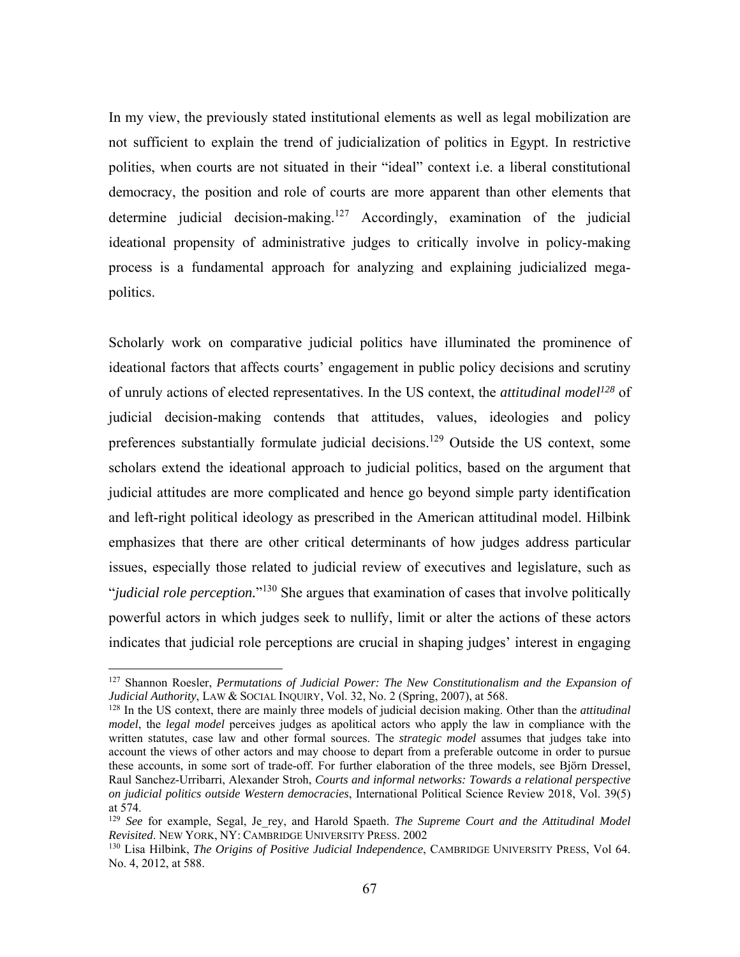In my view, the previously stated institutional elements as well as legal mobilization are not sufficient to explain the trend of judicialization of politics in Egypt. In restrictive polities, when courts are not situated in their "ideal" context i.e. a liberal constitutional democracy, the position and role of courts are more apparent than other elements that determine judicial decision-making.<sup>127</sup> Accordingly, examination of the judicial ideational propensity of administrative judges to critically involve in policy-making process is a fundamental approach for analyzing and explaining judicialized megapolitics.

Scholarly work on comparative judicial politics have illuminated the prominence of ideational factors that affects courts' engagement in public policy decisions and scrutiny of unruly actions of elected representatives. In the US context, the *attitudinal model128* of judicial decision-making contends that attitudes, values, ideologies and policy preferences substantially formulate judicial decisions.<sup>129</sup> Outside the US context, some scholars extend the ideational approach to judicial politics, based on the argument that judicial attitudes are more complicated and hence go beyond simple party identification and left-right political ideology as prescribed in the American attitudinal model. Hilbink emphasizes that there are other critical determinants of how judges address particular issues, especially those related to judicial review of executives and legislature, such as "*judicial role perception.*"130 She argues that examination of cases that involve politically powerful actors in which judges seek to nullify, limit or alter the actions of these actors indicates that judicial role perceptions are crucial in shaping judges' interest in engaging

<sup>&</sup>lt;sup>127</sup> Shannon Roesler, *Permutations of Judicial Power: The New Constitutionalism and the Expansion of Judicial Authority*, LAW & SOCIAL INQUIRY, Vol. 32, No. 2 (Spring, 2007), at 568.

<sup>128</sup> In the US context, there are mainly three models of judicial decision making. Other than the *attitudinal model*, the *legal model* perceives judges as apolitical actors who apply the law in compliance with the written statutes, case law and other formal sources. The *strategic model* assumes that judges take into account the views of other actors and may choose to depart from a preferable outcome in order to pursue these accounts, in some sort of trade-off. For further elaboration of the three models, see Björn Dressel, Raul Sanchez-Urribarri, Alexander Stroh, *Courts and informal networks: Towards a relational perspective on judicial politics outside Western democracies*, International Political Science Review 2018, Vol. 39(5) at 574.

<sup>&</sup>lt;sup>129</sup> See for example, Segal, Je rey, and Harold Spaeth. *The Supreme Court and the Attitudinal Model Revisited*. NEW YORK, NY: CAMBRIDGE UNIVERSITY PRESS. 2002

<sup>130</sup> Lisa Hilbink, *The Origins of Positive Judicial Independence*, CAMBRIDGE UNIVERSITY PRESS, Vol 64. No. 4, 2012, at 588.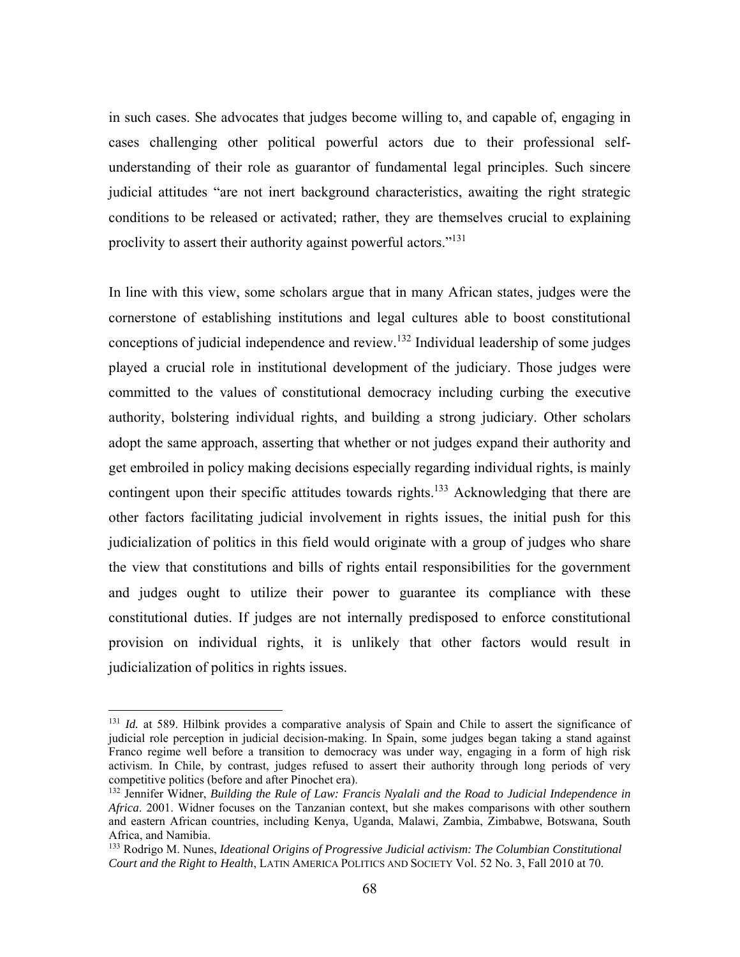in such cases. She advocates that judges become willing to, and capable of, engaging in cases challenging other political powerful actors due to their professional selfunderstanding of their role as guarantor of fundamental legal principles. Such sincere judicial attitudes "are not inert background characteristics, awaiting the right strategic conditions to be released or activated; rather, they are themselves crucial to explaining proclivity to assert their authority against powerful actors."<sup>131</sup>

In line with this view, some scholars argue that in many African states, judges were the cornerstone of establishing institutions and legal cultures able to boost constitutional conceptions of judicial independence and review.<sup>132</sup> Individual leadership of some judges played a crucial role in institutional development of the judiciary. Those judges were committed to the values of constitutional democracy including curbing the executive authority, bolstering individual rights, and building a strong judiciary. Other scholars adopt the same approach, asserting that whether or not judges expand their authority and get embroiled in policy making decisions especially regarding individual rights, is mainly contingent upon their specific attitudes towards rights.<sup>133</sup> Acknowledging that there are other factors facilitating judicial involvement in rights issues, the initial push for this judicialization of politics in this field would originate with a group of judges who share the view that constitutions and bills of rights entail responsibilities for the government and judges ought to utilize their power to guarantee its compliance with these constitutional duties. If judges are not internally predisposed to enforce constitutional provision on individual rights, it is unlikely that other factors would result in judicialization of politics in rights issues.

<sup>&</sup>lt;sup>131</sup> *Id.* at 589. Hilbink provides a comparative analysis of Spain and Chile to assert the significance of judicial role perception in judicial decision-making. In Spain, some judges began taking a stand against Franco regime well before a transition to democracy was under way, engaging in a form of high risk activism. In Chile, by contrast, judges refused to assert their authority through long periods of very competitive politics (before and after Pinochet era).

<sup>132</sup> Jennifer Widner, *Building the Rule of Law: Francis Nyalali and the Road to Judicial Independence in Africa*. 2001. Widner focuses on the Tanzanian context, but she makes comparisons with other southern and eastern African countries, including Kenya, Uganda, Malawi, Zambia, Zimbabwe, Botswana, South Africa, and Namibia.

<sup>133</sup> Rodrigo M. Nunes, *Ideational Origins of Progressive Judicial activism: The Columbian Constitutional Court and the Right to Health*, LATIN AMERICA POLITICS AND SOCIETY Vol. 52 No. 3, Fall 2010 at 70.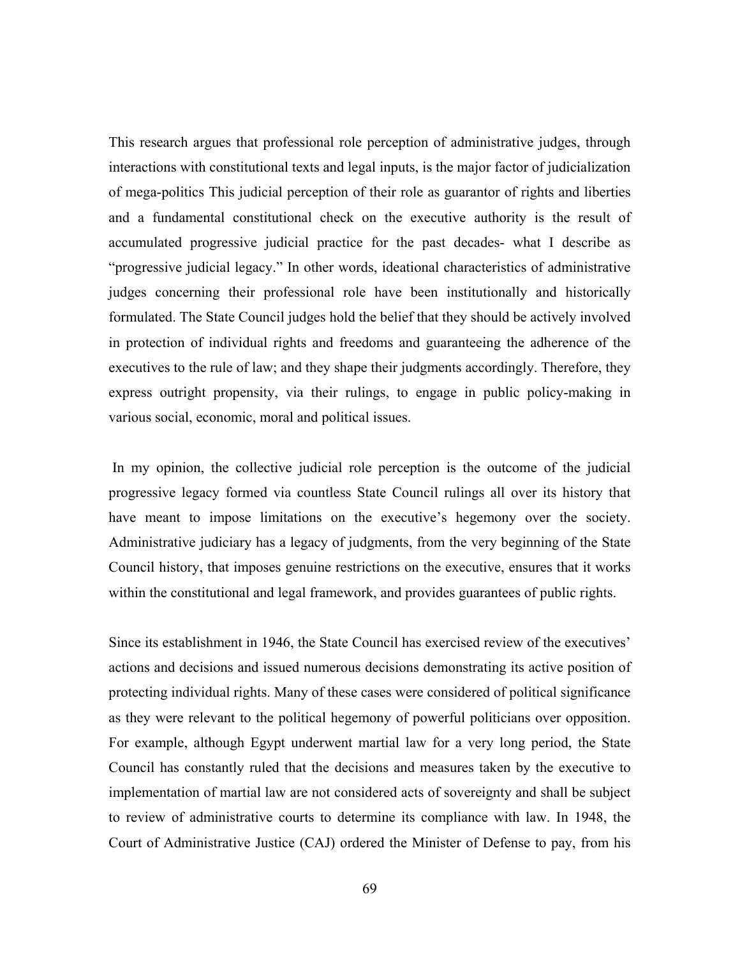This research argues that professional role perception of administrative judges, through interactions with constitutional texts and legal inputs, is the major factor of judicialization of mega-politics This judicial perception of their role as guarantor of rights and liberties and a fundamental constitutional check on the executive authority is the result of accumulated progressive judicial practice for the past decades- what I describe as "progressive judicial legacy." In other words, ideational characteristics of administrative judges concerning their professional role have been institutionally and historically formulated. The State Council judges hold the belief that they should be actively involved in protection of individual rights and freedoms and guaranteeing the adherence of the executives to the rule of law; and they shape their judgments accordingly. Therefore, they express outright propensity, via their rulings, to engage in public policy-making in various social, economic, moral and political issues.

 In my opinion, the collective judicial role perception is the outcome of the judicial progressive legacy formed via countless State Council rulings all over its history that have meant to impose limitations on the executive's hegemony over the society. Administrative judiciary has a legacy of judgments, from the very beginning of the State Council history, that imposes genuine restrictions on the executive, ensures that it works within the constitutional and legal framework, and provides guarantees of public rights.

Since its establishment in 1946, the State Council has exercised review of the executives' actions and decisions and issued numerous decisions demonstrating its active position of protecting individual rights. Many of these cases were considered of political significance as they were relevant to the political hegemony of powerful politicians over opposition. For example, although Egypt underwent martial law for a very long period, the State Council has constantly ruled that the decisions and measures taken by the executive to implementation of martial law are not considered acts of sovereignty and shall be subject to review of administrative courts to determine its compliance with law. In 1948, the Court of Administrative Justice (CAJ) ordered the Minister of Defense to pay, from his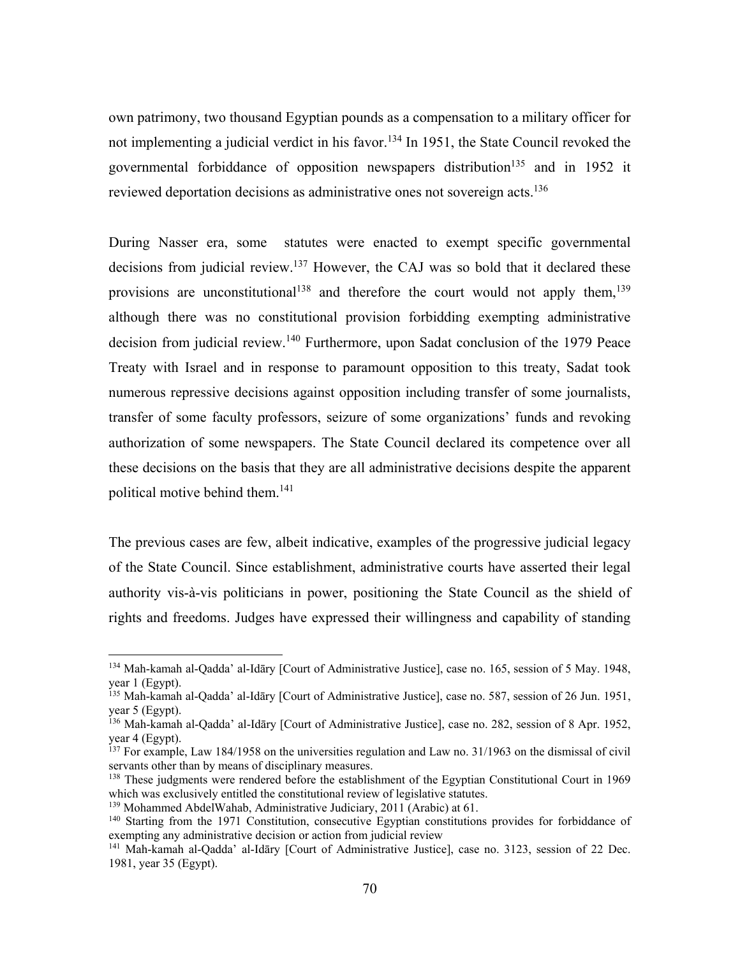own patrimony, two thousand Egyptian pounds as a compensation to a military officer for not implementing a judicial verdict in his favor.<sup>134</sup> In 1951, the State Council revoked the governmental forbiddance of opposition newspapers distribution<sup>135</sup> and in 1952 it reviewed deportation decisions as administrative ones not sovereign acts.<sup>136</sup>

During Nasser era, some statutes were enacted to exempt specific governmental decisions from judicial review.<sup>137</sup> However, the CAJ was so bold that it declared these provisions are unconstitutional<sup>138</sup> and therefore the court would not apply them,<sup>139</sup> although there was no constitutional provision forbidding exempting administrative decision from judicial review.<sup>140</sup> Furthermore, upon Sadat conclusion of the 1979 Peace Treaty with Israel and in response to paramount opposition to this treaty, Sadat took numerous repressive decisions against opposition including transfer of some journalists, transfer of some faculty professors, seizure of some organizations' funds and revoking authorization of some newspapers. The State Council declared its competence over all these decisions on the basis that they are all administrative decisions despite the apparent political motive behind them.<sup>141</sup>

The previous cases are few, albeit indicative, examples of the progressive judicial legacy of the State Council. Since establishment, administrative courts have asserted their legal authority vis-à-vis politicians in power, positioning the State Council as the shield of rights and freedoms. Judges have expressed their willingness and capability of standing

<sup>134</sup> Mah-kamah al-Qadda' al-Idāry [Court of Administrative Justice], case no. 165, session of 5 May. 1948, year 1 (Egypt).

<sup>135</sup> Mah-kamah al-Qadda' al-Idāry [Court of Administrative Justice], case no. 587, session of 26 Jun. 1951, year 5 (Egypt).

<sup>136</sup> Mah-kamah al-Qadda' al-Idāry [Court of Administrative Justice], case no. 282, session of 8 Apr. 1952, year 4 (Egypt).

<sup>&</sup>lt;sup>137</sup> For example, Law 184/1958 on the universities regulation and Law no. 31/1963 on the dismissal of civil servants other than by means of disciplinary measures.

<sup>&</sup>lt;sup>138</sup> These judgments were rendered before the establishment of the Egyptian Constitutional Court in 1969 which was exclusively entitled the constitutional review of legislative statutes.

<sup>139</sup> Mohammed AbdelWahab, Administrative Judiciary, 2011 (Arabic) at 61.

 $140$  Starting from the 1971 Constitution, consecutive Egyptian constitutions provides for forbiddance of exempting any administrative decision or action from judicial review

<sup>&</sup>lt;sup>141</sup> Mah-kamah al-Qadda' al-Idāry [Court of Administrative Justice], case no. 3123, session of 22 Dec. 1981, year 35 (Egypt).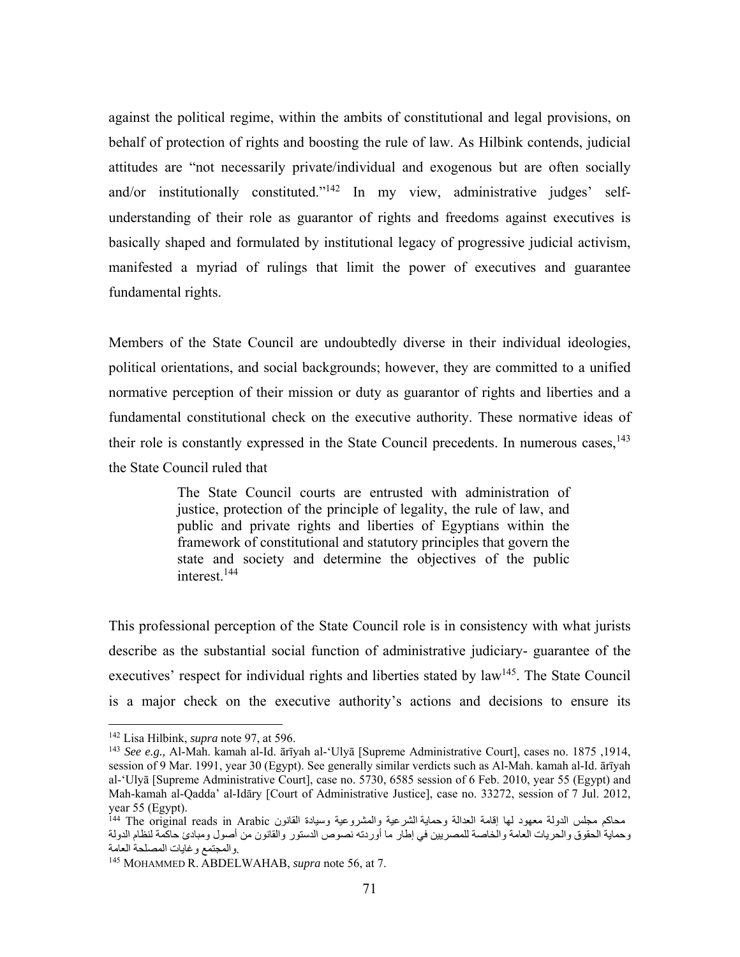against the political regime, within the ambits of constitutional and legal provisions, on behalf of protection of rights and boosting the rule of law. As Hilbink contends, judicial attitudes are "not necessarily private/individual and exogenous but are often socially and/or institutionally constituted."<sup>142</sup> In my view, administrative judges' selfunderstanding of their role as guarantor of rights and freedoms against executives is basically shaped and formulated by institutional legacy of progressive judicial activism, manifested a myriad of rulings that limit the power of executives and guarantee fundamental rights.

Members of the State Council are undoubtedly diverse in their individual ideologies, political orientations, and social backgrounds; however, they are committed to a unified normative perception of their mission or duty as guarantor of rights and liberties and a fundamental constitutional check on the executive authority. These normative ideas of their role is constantly expressed in the State Council precedents. In numerous cases,  $143$ the State Council ruled that

> The State Council courts are entrusted with administration of justice, protection of the principle of legality, the rule of law, and public and private rights and liberties of Egyptians within the framework of constitutional and statutory principles that govern the state and society and determine the objectives of the public interest.<sup>144</sup>

This professional perception of the State Council role is in consistency with what jurists describe as the substantial social function of administrative judiciary- guarantee of the executives' respect for individual rights and liberties stated by law<sup>145</sup>. The State Council is a major check on the executive authority's actions and decisions to ensure its

<sup>142</sup> Lisa Hilbink, *supra* note 97, at 596.

<sup>143</sup> *See e.g.,* Al-Mah. kamah al-Id. ārīyah al-'Ulyā [Supreme Administrative Court], cases no. 1875 ,1914, session of 9 Mar. 1991, year 30 (Egypt). See generally similar verdicts such as Al-Mah. kamah al-Id. ārīyah al-'Ulyā [Supreme Administrative Court], case no. 5730, 6585 session of 6 Feb. 2010, year 55 (Egypt) and Mah-kamah al-Qadda' al-Idāry [Court of Administrative Justice], case no. 33272, session of 7 Jul. 2012, year 55 (Egypt).

محاكم مجلس الدولة معهود لها إقامة العدالة وحماية الشرعية والمشروعية وسيادة القانون <sup>i44</sup> The original reads in Arabic وحماية الحقوق والحريات العامة والخاصة للمصريين في إطار ما أوردته نصوص الدستور والقانون من أصول ومبادئ حاكمة لنظام الدولة .والمجتمع وغايات المصلحة العامة

<sup>145</sup> MOHAMMED R. ABDELWAHAB, *supra* note 56, at 7.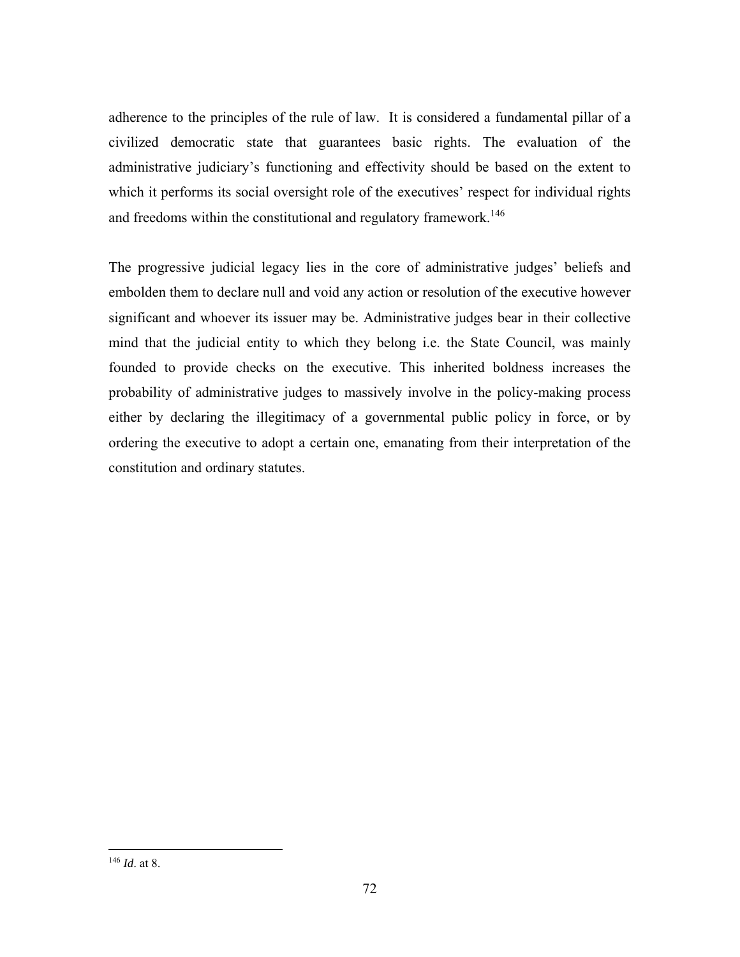adherence to the principles of the rule of law. It is considered a fundamental pillar of a civilized democratic state that guarantees basic rights. The evaluation of the administrative judiciary's functioning and effectivity should be based on the extent to which it performs its social oversight role of the executives' respect for individual rights and freedoms within the constitutional and regulatory framework.<sup>146</sup>

The progressive judicial legacy lies in the core of administrative judges' beliefs and embolden them to declare null and void any action or resolution of the executive however significant and whoever its issuer may be. Administrative judges bear in their collective mind that the judicial entity to which they belong i.e. the State Council, was mainly founded to provide checks on the executive. This inherited boldness increases the probability of administrative judges to massively involve in the policy-making process either by declaring the illegitimacy of a governmental public policy in force, or by ordering the executive to adopt a certain one, emanating from their interpretation of the constitution and ordinary statutes.

<sup>146</sup> *Id*. at 8.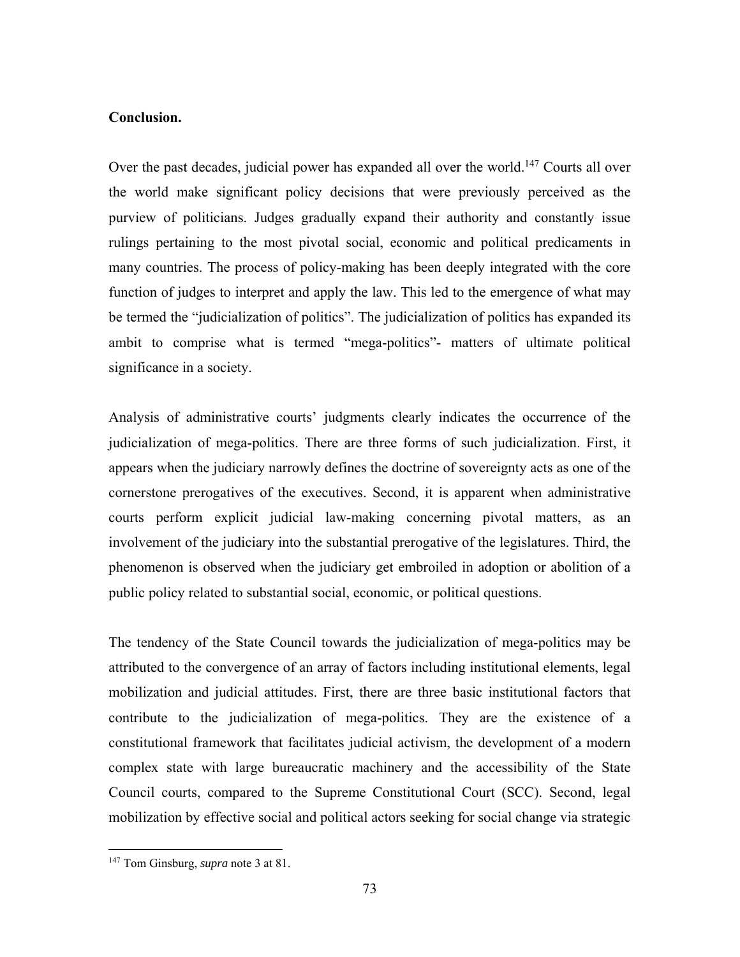## **Conclusion.**

Over the past decades, judicial power has expanded all over the world.<sup>147</sup> Courts all over the world make significant policy decisions that were previously perceived as the purview of politicians. Judges gradually expand their authority and constantly issue rulings pertaining to the most pivotal social, economic and political predicaments in many countries. The process of policy-making has been deeply integrated with the core function of judges to interpret and apply the law. This led to the emergence of what may be termed the "judicialization of politics". The judicialization of politics has expanded its ambit to comprise what is termed "mega-politics"- matters of ultimate political significance in a society.

Analysis of administrative courts' judgments clearly indicates the occurrence of the judicialization of mega-politics. There are three forms of such judicialization. First, it appears when the judiciary narrowly defines the doctrine of sovereignty acts as one of the cornerstone prerogatives of the executives. Second, it is apparent when administrative courts perform explicit judicial law-making concerning pivotal matters, as an involvement of the judiciary into the substantial prerogative of the legislatures. Third, the phenomenon is observed when the judiciary get embroiled in adoption or abolition of a public policy related to substantial social, economic, or political questions.

The tendency of the State Council towards the judicialization of mega-politics may be attributed to the convergence of an array of factors including institutional elements, legal mobilization and judicial attitudes. First, there are three basic institutional factors that contribute to the judicialization of mega-politics. They are the existence of a constitutional framework that facilitates judicial activism, the development of a modern complex state with large bureaucratic machinery and the accessibility of the State Council courts, compared to the Supreme Constitutional Court (SCC). Second, legal mobilization by effective social and political actors seeking for social change via strategic

<sup>147</sup> Tom Ginsburg, *supra* note 3 at 81.